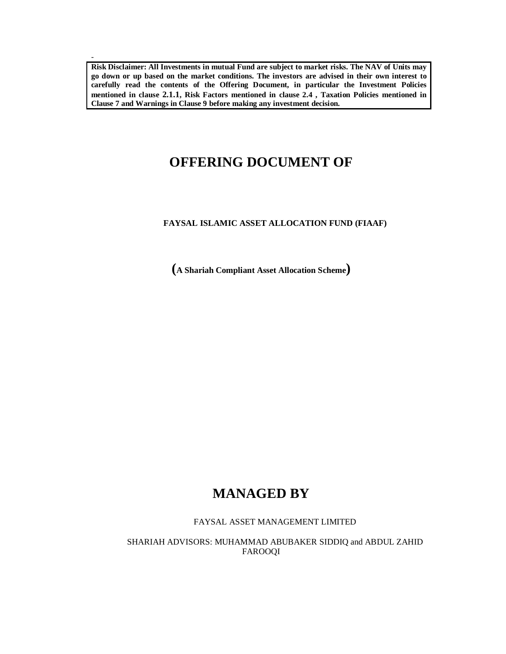**Risk Disclaimer: All Investments in mutual Fund are subject to market risks. The NAV of Units may go down or up based on the market conditions. The investors are advised in their own interest to carefully read the contents of the Offering Document, in particular the Investment Policies mentioned in clause 2.1.1, Risk Factors mentioned in clause 2.4 , Taxation Policies mentioned in Clause 7 and Warnings in Clause 9 before making any investment decision.** 

-

# **OFFERING DOCUMENT OF**

# **FAYSAL ISLAMIC ASSET ALLOCATION FUND (FIAAF)**

**(A Shariah Compliant Asset Allocation Scheme)**

# **MANAGED BY**

FAYSAL ASSET MANAGEMENT LIMITED

SHARIAH ADVISORS: MUHAMMAD ABUBAKER SIDDIQ and ABDUL ZAHID FAROOQI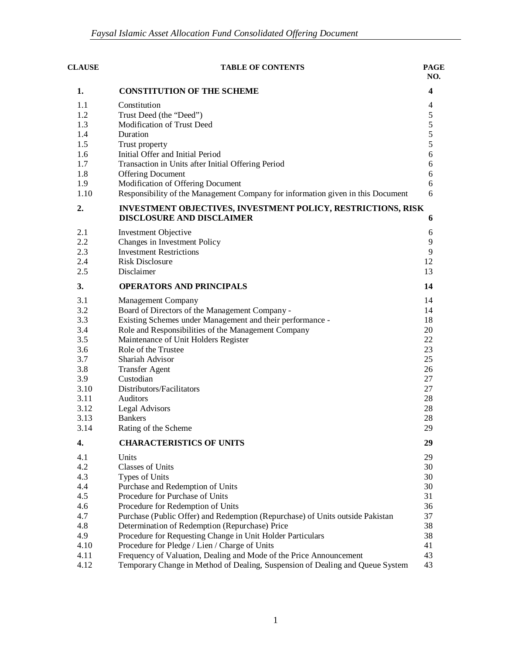| <b>CLAUSE</b><br><b>TABLE OF CONTENTS</b> |                                                                                                                                                     |                         |
|-------------------------------------------|-----------------------------------------------------------------------------------------------------------------------------------------------------|-------------------------|
| 1.                                        | <b>CONSTITUTION OF THE SCHEME</b>                                                                                                                   | $\overline{\mathbf{4}}$ |
| 1.1                                       | Constitution                                                                                                                                        | 4                       |
| 1.2                                       | Trust Deed (the "Deed")                                                                                                                             | 5                       |
| 1.3                                       | Modification of Trust Deed                                                                                                                          | 5                       |
| 1.4                                       | Duration                                                                                                                                            | 5                       |
| 1.5                                       | Trust property                                                                                                                                      | 5                       |
| 1.6                                       | Initial Offer and Initial Period                                                                                                                    | $\sqrt{6}$              |
| 1.7                                       | Transaction in Units after Initial Offering Period                                                                                                  | 6                       |
| 1.8                                       | <b>Offering Document</b>                                                                                                                            | 6                       |
| 1.9                                       | Modification of Offering Document                                                                                                                   | 6                       |
| 1.10                                      | Responsibility of the Management Company for information given in this Document                                                                     | 6                       |
| 2.                                        | <b>INVESTMENT OBJECTIVES, INVESTMENT POLICY, RESTRICTIONS, RISK</b><br><b>DISCLOSURE AND DISCLAIMER</b>                                             | 6                       |
| 2.1                                       | <b>Investment Objective</b>                                                                                                                         | 6                       |
| 2.2                                       | Changes in Investment Policy                                                                                                                        | 9                       |
| 2.3                                       | <b>Investment Restrictions</b>                                                                                                                      | 9                       |
| 2.4                                       | <b>Risk Disclosure</b>                                                                                                                              | 12                      |
| 2.5                                       | Disclaimer                                                                                                                                          | 13                      |
| 3.                                        | <b>OPERATORS AND PRINCIPALS</b>                                                                                                                     | 14                      |
| 3.1                                       | <b>Management Company</b>                                                                                                                           | 14                      |
| 3.2                                       | Board of Directors of the Management Company -                                                                                                      | 14                      |
| 3.3                                       | Existing Schemes under Management and their performance -                                                                                           | 18                      |
| 3.4                                       | Role and Responsibilities of the Management Company                                                                                                 | 20                      |
| 3.5                                       | Maintenance of Unit Holders Register                                                                                                                | 22                      |
| 3.6                                       | Role of the Trustee                                                                                                                                 | 23                      |
| 3.7                                       | Shariah Advisor                                                                                                                                     | 25                      |
| 3.8                                       | <b>Transfer Agent</b>                                                                                                                               | 26                      |
| 3.9                                       | Custodian                                                                                                                                           | 27                      |
| 3.10                                      | Distributors/Facilitators                                                                                                                           | 27                      |
| 3.11                                      | Auditors                                                                                                                                            | 28                      |
| 3.12                                      | <b>Legal Advisors</b>                                                                                                                               | 28                      |
| 3.13                                      | <b>Bankers</b>                                                                                                                                      | 28<br>29                |
| 3.14                                      | Rating of the Scheme                                                                                                                                |                         |
| 4.                                        | <b>CHARACTERISTICS OF UNITS</b>                                                                                                                     | 29                      |
| 4.1                                       | Units                                                                                                                                               | 29                      |
| 4.2                                       | <b>Classes of Units</b>                                                                                                                             | 30                      |
| 4.3                                       | Types of Units                                                                                                                                      | 30                      |
| 4.4                                       | Purchase and Redemption of Units                                                                                                                    | 30                      |
| 4.5                                       | Procedure for Purchase of Units                                                                                                                     | 31                      |
| 4.6                                       | Procedure for Redemption of Units                                                                                                                   | 36                      |
| 4.7                                       | Purchase (Public Offer) and Redemption (Repurchase) of Units outside Pakistan                                                                       | 37                      |
| 4.8                                       | Determination of Redemption (Repurchase) Price                                                                                                      | 38                      |
| 4.9                                       | Procedure for Requesting Change in Unit Holder Particulars                                                                                          | 38                      |
| 4.10                                      | Procedure for Pledge / Lien / Charge of Units                                                                                                       | 41<br>43                |
| 4.11<br>4.12                              | Frequency of Valuation, Dealing and Mode of the Price Announcement<br>Temporary Change in Method of Dealing, Suspension of Dealing and Queue System | 43                      |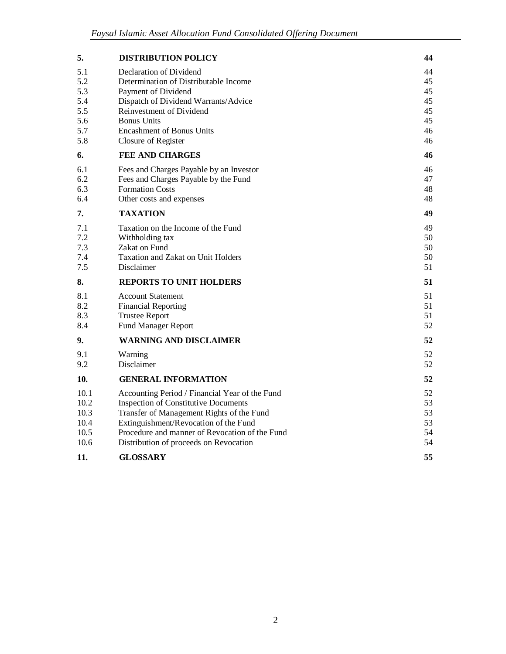| 5.                                                   | <b>DISTRIBUTION POLICY</b>                                                                                                                                                                                                                                                      | 44                                           |
|------------------------------------------------------|---------------------------------------------------------------------------------------------------------------------------------------------------------------------------------------------------------------------------------------------------------------------------------|----------------------------------------------|
| 5.1<br>5.2<br>5.3<br>5.4<br>5.5<br>5.6<br>5.7<br>5.8 | Declaration of Dividend<br>Determination of Distributable Income<br>Payment of Dividend<br>Dispatch of Dividend Warrants/Advice<br>Reinvestment of Dividend<br><b>Bonus Units</b><br><b>Encashment of Bonus Units</b><br>Closure of Register                                    | 44<br>45<br>45<br>45<br>45<br>45<br>46<br>46 |
| 6.                                                   | <b>FEE AND CHARGES</b>                                                                                                                                                                                                                                                          | 46                                           |
| 6.1<br>6.2<br>6.3<br>6.4                             | Fees and Charges Payable by an Investor<br>Fees and Charges Payable by the Fund<br><b>Formation Costs</b><br>Other costs and expenses                                                                                                                                           | 46<br>47<br>48<br>48                         |
| 7.                                                   | <b>TAXATION</b>                                                                                                                                                                                                                                                                 | 49                                           |
| 7.1<br>7.2<br>7.3<br>7.4<br>7.5                      | Taxation on the Income of the Fund<br>Withholding tax<br>Zakat on Fund<br>Taxation and Zakat on Unit Holders<br>Disclaimer                                                                                                                                                      | 49<br>50<br>50<br>50<br>51                   |
| 8.                                                   | <b>REPORTS TO UNIT HOLDERS</b>                                                                                                                                                                                                                                                  | 51                                           |
| 8.1<br>8.2<br>8.3<br>8.4                             | <b>Account Statement</b><br><b>Financial Reporting</b><br><b>Trustee Report</b><br><b>Fund Manager Report</b>                                                                                                                                                                   | 51<br>51<br>51<br>52                         |
| 9.                                                   | <b>WARNING AND DISCLAIMER</b>                                                                                                                                                                                                                                                   | 52                                           |
| 9.1<br>9.2                                           | Warning<br>Disclaimer                                                                                                                                                                                                                                                           | 52<br>52                                     |
| 10.                                                  | <b>GENERAL INFORMATION</b>                                                                                                                                                                                                                                                      | 52                                           |
| 10.1<br>10.2<br>10.3<br>10.4<br>10.5<br>10.6         | Accounting Period / Financial Year of the Fund<br><b>Inspection of Constitutive Documents</b><br>Transfer of Management Rights of the Fund<br>Extinguishment/Revocation of the Fund<br>Procedure and manner of Revocation of the Fund<br>Distribution of proceeds on Revocation | 52<br>53<br>53<br>53<br>54<br>54             |
| 11.                                                  | <b>GLOSSARY</b>                                                                                                                                                                                                                                                                 | 55                                           |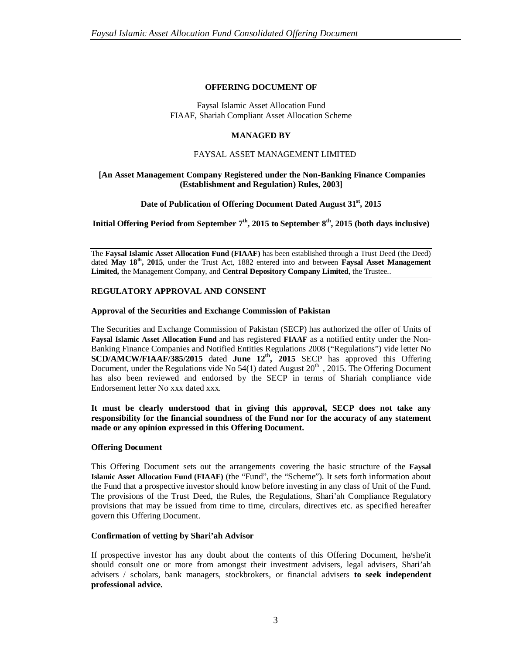### **OFFERING DOCUMENT OF**

# Faysal Islamic Asset Allocation Fund FIAAF, Shariah Compliant Asset Allocation Scheme

# **MANAGED BY**

# FAYSAL ASSET MANAGEMENT LIMITED

### **[An Asset Management Company Registered under the Non-Banking Finance Companies (Establishment and Regulation) Rules, 2003]**

# **Date of Publication of Offering Document Dated August 31st, 2015**

**Initial Offering Period from September 7th, 2015 to September 8th, 2015 (both days inclusive)**

The **Faysal Islamic Asset Allocation Fund (FIAAF)** has been established through a Trust Deed (the Deed) dated **May 18th, 2015**, under the Trust Act, 1882 entered into and between **Faysal Asset Management Limited,** the Management Company, and **Central Depository Company Limited**, the Trustee..

# **REGULATORY APPROVAL AND CONSENT**

### **Approval of the Securities and Exchange Commission of Pakistan**

The Securities and Exchange Commission of Pakistan (SECP) has authorized the offer of Units of **Faysal Islamic Asset Allocation Fund** and has registered **FIAAF** as a notified entity under the Non-Banking Finance Companies and Notified Entities Regulations 2008 ("Regulations") vide letter No **SCD/AMCW/FIAAF/385/2015** dated June 12<sup>th</sup>, 2015 SECP has approved this Offering Document, under the Regulations vide No  $54(1)$  dated August  $20<sup>th</sup>$ , 2015. The Offering Document has also been reviewed and endorsed by the SECP in terms of Shariah compliance vide Endorsement letter No xxx dated xxx.

**It must be clearly understood that in giving this approval, SECP does not take any responsibility for the financial soundness of the Fund nor for the accuracy of any statement made or any opinion expressed in this Offering Document.**

### **Offering Document**

This Offering Document sets out the arrangements covering the basic structure of the **Faysal Islamic Asset Allocation Fund (FIAAF)** (the "Fund", the "Scheme"). It sets forth information about the Fund that a prospective investor should know before investing in any class of Unit of the Fund. The provisions of the Trust Deed, the Rules, the Regulations, Shari'ah Compliance Regulatory provisions that may be issued from time to time, circulars, directives etc. as specified hereafter govern this Offering Document.

# **Confirmation of vetting by Shari'ah Advisor**

If prospective investor has any doubt about the contents of this Offering Document, he/she/it should consult one or more from amongst their investment advisers, legal advisers, Shari'ah advisers / scholars, bank managers, stockbrokers, or financial advisers **to seek independent professional advice.**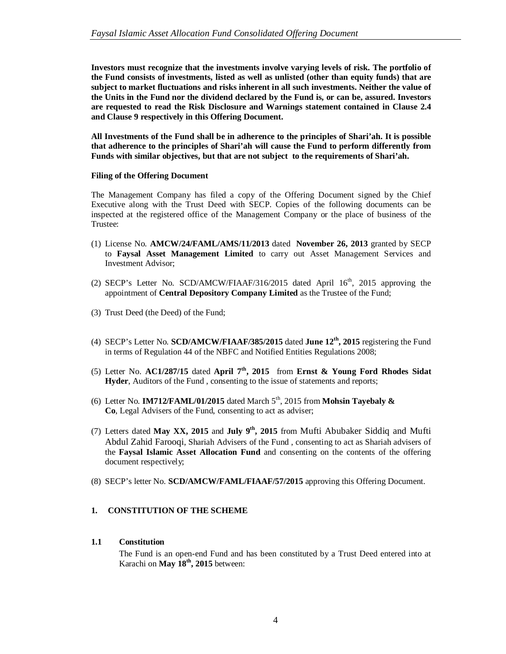**Investors must recognize that the investments involve varying levels of risk. The portfolio of the Fund consists of investments, listed as well as unlisted (other than equity funds) that are subject to market fluctuations and risks inherent in all such investments. Neither the value of the Units in the Fund nor the dividend declared by the Fund is, or can be, assured. Investors are requested to read the Risk Disclosure and Warnings statement contained in Clause 2.4 and Clause 9 respectively in this Offering Document.**

**All Investments of the Fund shall be in adherence to the principles of Shari'ah. It is possible that adherence to the principles of Shari'ah will cause the Fund to perform differently from Funds with similar objectives, but that are not subject to the requirements of Shari'ah.**

# **Filing of the Offering Document**

The Management Company has filed a copy of the Offering Document signed by the Chief Executive along with the Trust Deed with SECP. Copies of the following documents can be inspected at the registered office of the Management Company or the place of business of the Trustee:

- (1) License No. **AMCW/24/FAML/AMS/11/2013** dated **November 26, 2013** granted by SECP to **Faysal Asset Management Limited** to carry out Asset Management Services and Investment Advisor;
- (2) SECP's Letter No. SCD/AMCW/FIAAF/316/2015 dated April  $16<sup>th</sup>$ , 2015 approving the appointment of **Central Depository Company Limited** as the Trustee of the Fund;
- (3) Trust Deed (the Deed) of the Fund;
- (4) SECP's Letter No. **SCD/AMCW/FIAAF/385/2015** dated **June 12th, 2015** registering the Fund in terms of Regulation 44 of the NBFC and Notified Entities Regulations 2008;
- (5) Letter No. **AC1/287/15** dated **April 7th, 2015** from **Ernst & Young Ford Rhodes Sidat Hyder**, Auditors of the Fund , consenting to the issue of statements and reports;
- (6) Letter No. **IM712/FAML/01/2015** dated March  $5<sup>th</sup>$ , 2015 from **Mohsin Tayebaly & Co**, Legal Advisers of the Fund, consenting to act as adviser;
- (7) Letters dated **May XX, 2015** and **July 9th, 2015** from Mufti Abubaker Siddiq and Mufti Abdul Zahid Farooqi, Shariah Advisers of the Fund , consenting to act as Shariah advisers of the **Faysal Islamic Asset Allocation Fund** and consenting on the contents of the offering document respectively;
- (8) SECP's letter No. **SCD/AMCW/FAML/FIAAF/57/2015** approving this Offering Document.

# **1. CONSTITUTION OF THE SCHEME**

# **1.1 Constitution**

The Fund is an open-end Fund and has been constituted by a Trust Deed entered into at Karachi on **May 18th, 2015** between: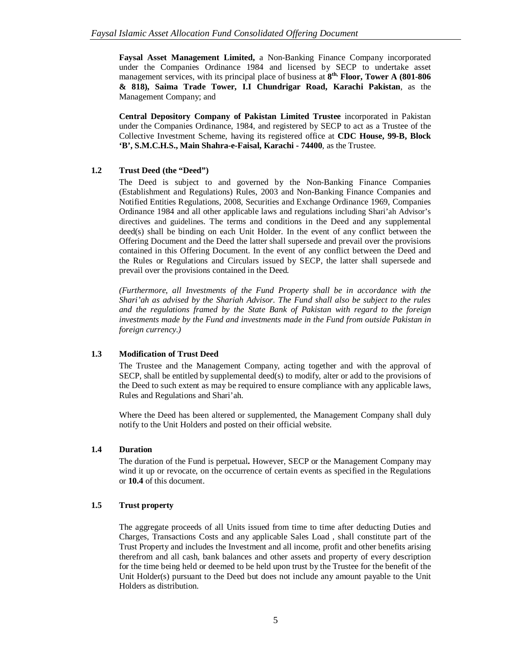**Faysal Asset Management Limited,** a Non-Banking Finance Company incorporated under the Companies Ordinance 1984 and licensed by SECP to undertake asset management services, with its principal place of business at **8 th, Floor, Tower A (801-806 & 818), Saima Trade Tower, I.I Chundrigar Road, Karachi Pakistan**, as the Management Company; and

**Central Depository Company of Pakistan Limited Trustee** incorporated in Pakistan under the Companies Ordinance, 1984, and registered by SECP to act as a Trustee of the Collective Investment Scheme, having its registered office at **CDC House, 99-B, Block 'B', S.M.C.H.S., Main Shahra-e-Faisal, Karachi - 74400**, as the Trustee.

# **1.2 Trust Deed (the "Deed")**

The Deed is subject to and governed by the Non-Banking Finance Companies (Establishment and Regulations) Rules, 2003 and Non-Banking Finance Companies and Notified Entities Regulations, 2008, Securities and Exchange Ordinance 1969, Companies Ordinance 1984 and all other applicable laws and regulations including Shari'ah Advisor's directives and guidelines. The terms and conditions in the Deed and any supplemental deed(s) shall be binding on each Unit Holder. In the event of any conflict between the Offering Document and the Deed the latter shall supersede and prevail over the provisions contained in this Offering Document. In the event of any conflict between the Deed and the Rules or Regulations and Circulars issued by SECP, the latter shall supersede and prevail over the provisions contained in the Deed.

*(Furthermore, all Investments of the Fund Property shall be in accordance with the Shari'ah as advised by the Shariah Advisor. The Fund shall also be subject to the rules and the regulations framed by the State Bank of Pakistan with regard to the foreign investments made by the Fund and investments made in the Fund from outside Pakistan in foreign currency.)*

# **1.3 Modification of Trust Deed**

The Trustee and the Management Company, acting together and with the approval of SECP, shall be entitled by supplemental deed(s) to modify, alter or add to the provisions of the Deed to such extent as may be required to ensure compliance with any applicable laws, Rules and Regulations and Shari'ah.

Where the Deed has been altered or supplemented, the Management Company shall duly notify to the Unit Holders and posted on their official website.

# **1.4 Duration**

The duration of the Fund is perpetual**.** However, SECP or the Management Company may wind it up or revocate, on the occurrence of certain events as specified in the Regulations or **10.4** of this document.

# **1.5 Trust property**

The aggregate proceeds of all Units issued from time to time after deducting Duties and Charges, Transactions Costs and any applicable Sales Load , shall constitute part of the Trust Property and includes the Investment and all income, profit and other benefits arising therefrom and all cash, bank balances and other assets and property of every description for the time being held or deemed to be held upon trust by the Trustee for the benefit of the Unit Holder(s) pursuant to the Deed but does not include any amount payable to the Unit Holders as distribution.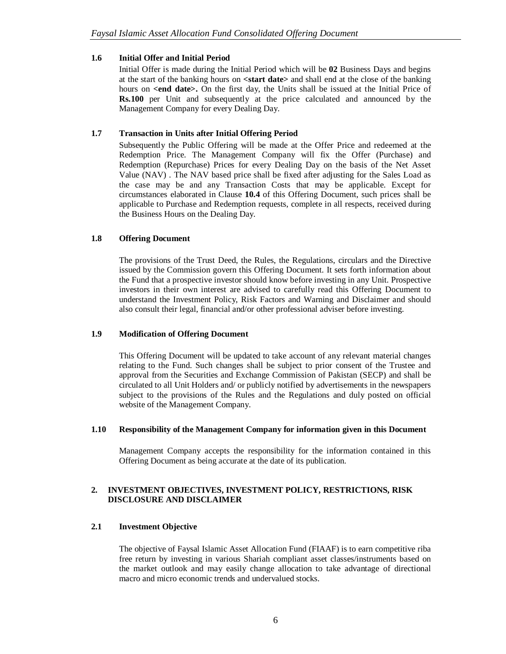# **1.6 Initial Offer and Initial Period**

Initial Offer is made during the Initial Period which will be **02** Business Days and begins at the start of the banking hours on **<start date>** and shall end at the close of the banking hours on **<end date>.** On the first day, the Units shall be issued at the Initial Price of **Rs.100** per Unit and subsequently at the price calculated and announced by the Management Company for every Dealing Day.

# **1.7 Transaction in Units after Initial Offering Period**

Subsequently the Public Offering will be made at the Offer Price and redeemed at the Redemption Price. The Management Company will fix the Offer (Purchase) and Redemption (Repurchase) Prices for every Dealing Day on the basis of the Net Asset Value (NAV) . The NAV based price shall be fixed after adjusting for the Sales Load as the case may be and any Transaction Costs that may be applicable. Except for circumstances elaborated in Clause **10.4** of this Offering Document, such prices shall be applicable to Purchase and Redemption requests, complete in all respects, received during the Business Hours on the Dealing Day.

# **1.8 Offering Document**

The provisions of the Trust Deed, the Rules, the Regulations, circulars and the Directive issued by the Commission govern this Offering Document. It sets forth information about the Fund that a prospective investor should know before investing in any Unit. Prospective investors in their own interest are advised to carefully read this Offering Document to understand the Investment Policy, Risk Factors and Warning and Disclaimer and should also consult their legal, financial and/or other professional adviser before investing.

### **1.9 Modification of Offering Document**

This Offering Document will be updated to take account of any relevant material changes relating to the Fund. Such changes shall be subject to prior consent of the Trustee and approval from the Securities and Exchange Commission of Pakistan (SECP) and shall be circulated to all Unit Holders and/ or publicly notified by advertisements in the newspapers subject to the provisions of the Rules and the Regulations and duly posted on official website of the Management Company.

### **1.10 Responsibility of the Management Company for information given in this Document**

Management Company accepts the responsibility for the information contained in this Offering Document as being accurate at the date of its publication.

# **2. INVESTMENT OBJECTIVES, INVESTMENT POLICY, RESTRICTIONS, RISK DISCLOSURE AND DISCLAIMER**

# **2.1 Investment Objective**

The objective of Faysal Islamic Asset Allocation Fund (FIAAF) is to earn competitive riba free return by investing in various Shariah compliant asset classes/instruments based on the market outlook and may easily change allocation to take advantage of directional macro and micro economic trends and undervalued stocks.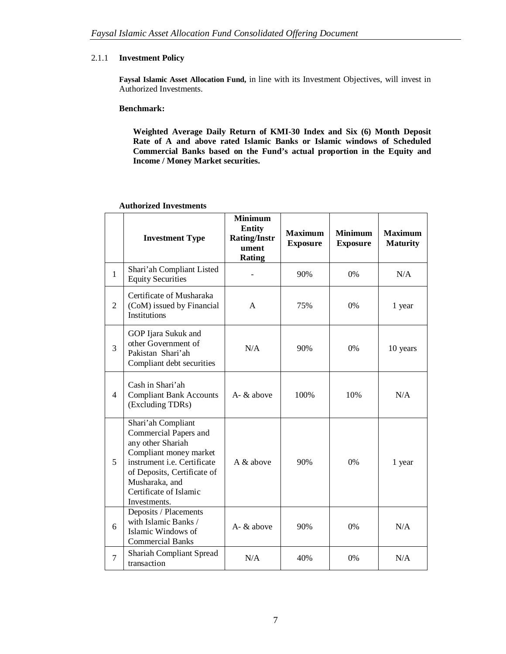# 2.1.1 **Investment Policy**

**Faysal Islamic Asset Allocation Fund,** in line with its Investment Objectives, will invest in Authorized Investments.

### **Benchmark:**

**Weighted Average Daily Return of KMI-30 Index and Six (6) Month Deposit Rate of A and above rated Islamic Banks or Islamic windows of Scheduled Commercial Banks based on the Fund's actual proportion in the Equity and Income / Money Market securities.**

|                | <b>Investment Type</b>                                                                                                                                                                                               | <b>Minimum</b><br><b>Entity</b><br><b>Rating/Instr</b><br>ument<br><b>Rating</b> | <b>Maximum</b><br><b>Exposure</b> | <b>Minimum</b><br><b>Exposure</b> | <b>Maximum</b><br><b>Maturity</b> |
|----------------|----------------------------------------------------------------------------------------------------------------------------------------------------------------------------------------------------------------------|----------------------------------------------------------------------------------|-----------------------------------|-----------------------------------|-----------------------------------|
| $\mathbf{1}$   | Shari'ah Compliant Listed<br><b>Equity Securities</b>                                                                                                                                                                |                                                                                  | 90%                               | 0%                                | N/A                               |
| $\overline{2}$ | Certificate of Musharaka<br>(CoM) issued by Financial<br>Institutions                                                                                                                                                | A                                                                                | 75%                               | 0%                                | 1 year                            |
| 3              | GOP Ijara Sukuk and<br>other Government of<br>Pakistan Shari'ah<br>Compliant debt securities                                                                                                                         | N/A                                                                              | 90%                               | 0%                                | 10 years                          |
| $\overline{4}$ | Cash in Shari'ah<br><b>Compliant Bank Accounts</b><br>(Excluding TDRs)                                                                                                                                               | $A - \&$ above                                                                   | 100%                              | 10%                               | N/A                               |
| 5              | Shari'ah Compliant<br>Commercial Papers and<br>any other Shariah<br>Compliant money market<br>instrument i.e. Certificate<br>of Deposits, Certificate of<br>Musharaka, and<br>Certificate of Islamic<br>Investments. | A $\&$ above                                                                     | 90%                               | 0%                                | 1 year                            |
| 6              | Deposits / Placements<br>with Islamic Banks /<br>Islamic Windows of<br><b>Commercial Banks</b>                                                                                                                       | A- & above                                                                       | 90%                               | 0%                                | N/A                               |
| $\tau$         | <b>Shariah Compliant Spread</b><br>transaction                                                                                                                                                                       | N/A                                                                              | 40%                               | 0%                                | N/A                               |

#### **Authorized Investments**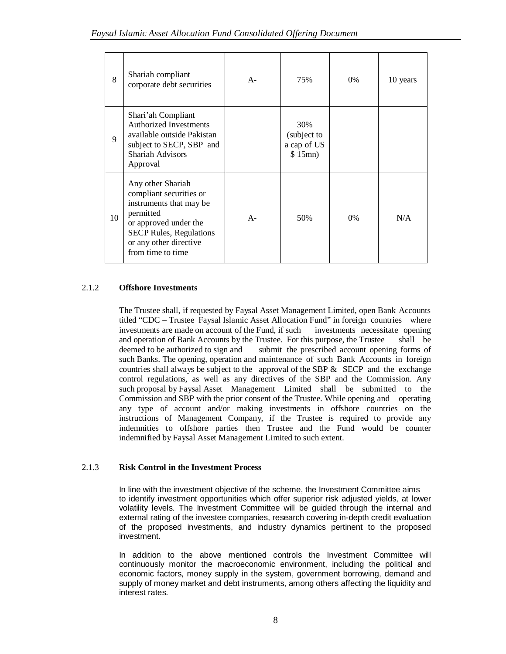| 8  | Shariah compliant<br>corporate debt securities                                                                                                                                                 | $A-$  | 75%                                          | $0\%$ | 10 years |
|----|------------------------------------------------------------------------------------------------------------------------------------------------------------------------------------------------|-------|----------------------------------------------|-------|----------|
| 9  | Shari'ah Compliant<br><b>Authorized Investments</b><br>available outside Pakistan<br>subject to SECP, SBP and<br>Shariah Advisors<br>Approval                                                  |       | 30%<br>(subject to<br>a cap of US<br>\$15mn) |       |          |
| 10 | Any other Shariah<br>compliant securities or<br>instruments that may be<br>permitted<br>or approved under the<br><b>SECP Rules, Regulations</b><br>or any other directive<br>from time to time | $A -$ | 50%                                          | 0%    | N/A      |

# 2.1.2 **Offshore Investments**

The Trustee shall, if requested by Faysal Asset Management Limited, open Bank Accounts titled "CDC – Trustee Faysal Islamic Asset Allocation Fund" in foreign countries where investments are made on account of the Fund, if such investments necessitate opening and operation of Bank Accounts by the Trustee. For this purpose, the Trustee shall be deemed to be authorized to sign and submit the prescribed account opening forms of submit the prescribed account opening forms of such Banks. The opening, operation and maintenance of such Bank Accounts in foreign countries shall always be subject to the approval of the SBP  $\&$  SECP and the exchange control regulations, as well as any directives of the SBP and the Commission. Any such proposal by Faysal Asset Management Limited shall be submitted to the Commission and SBP with the prior consent of the Trustee. While opening and operating any type of account and/or making investments in offshore countries on the instructions of Management Company, if the Trustee is required to provide any indemnities to offshore parties then Trustee and the Fund would be counter indemnified by Faysal Asset Management Limited to such extent.

# 2.1.3 **Risk Control in the Investment Process**

In line with the investment objective of the scheme, the Investment Committee aims to identify investment opportunities which offer superior risk adjusted yields, at lower volatility levels. The Investment Committee will be guided through the internal and external rating of the investee companies, research covering in-depth credit evaluation of the proposed investments, and industry dynamics pertinent to the proposed investment.

In addition to the above mentioned controls the Investment Committee will continuously monitor the macroeconomic environment, including the political and economic factors, money supply in the system, government borrowing, demand and supply of money market and debt instruments, among others affecting the liquidity and interest rates.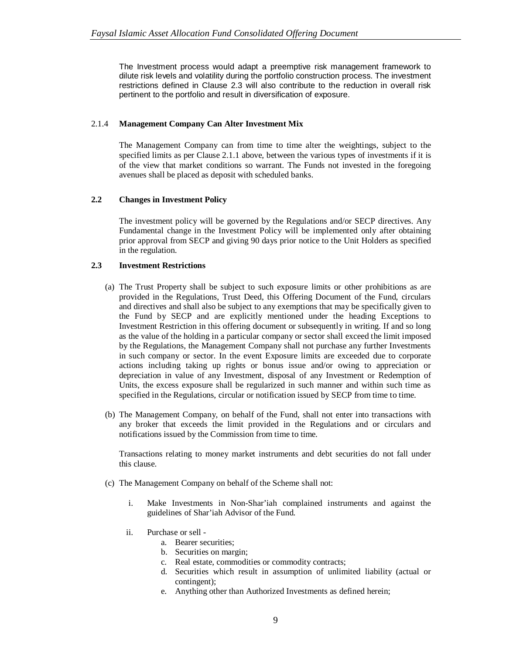The Investment process would adapt a preemptive risk management framework to dilute risk levels and volatility during the portfolio construction process. The investment restrictions defined in Clause 2.3 will also contribute to the reduction in overall risk pertinent to the portfolio and result in diversification of exposure.

### 2.1.4 **Management Company Can Alter Investment Mix**

The Management Company can from time to time alter the weightings, subject to the specified limits as per Clause 2.1.1 above, between the various types of investments if it is of the view that market conditions so warrant. The Funds not invested in the foregoing avenues shall be placed as deposit with scheduled banks.

# **2.2 Changes in Investment Policy**

The investment policy will be governed by the Regulations and/or SECP directives. Any Fundamental change in the Investment Policy will be implemented only after obtaining prior approval from SECP and giving 90 days prior notice to the Unit Holders as specified in the regulation.

# **2.3 Investment Restrictions**

- (a) The Trust Property shall be subject to such exposure limits or other prohibitions as are provided in the Regulations, Trust Deed, this Offering Document of the Fund, circulars and directives and shall also be subject to any exemptions that may be specifically given to the Fund by SECP and are explicitly mentioned under the heading Exceptions to Investment Restriction in this offering document or subsequently in writing. If and so long as the value of the holding in a particular company or sector shall exceed the limit imposed by the Regulations, the Management Company shall not purchase any further Investments in such company or sector. In the event Exposure limits are exceeded due to corporate actions including taking up rights or bonus issue and/or owing to appreciation or depreciation in value of any Investment, disposal of any Investment or Redemption of Units, the excess exposure shall be regularized in such manner and within such time as specified in the Regulations, circular or notification issued by SECP from time to time.
- (b) The Management Company, on behalf of the Fund, shall not enter into transactions with any broker that exceeds the limit provided in the Regulations and or circulars and notifications issued by the Commission from time to time.

Transactions relating to money market instruments and debt securities do not fall under this clause.

- (c) The Management Company on behalf of the Scheme shall not:
	- i. Make Investments in Non-Shar'iah complained instruments and against the guidelines of Shar'iah Advisor of the Fund.
	- ii. Purchase or sell
		- a. Bearer securities;
		- b. Securities on margin;
		- c. Real estate, commodities or commodity contracts;
		- d. Securities which result in assumption of unlimited liability (actual or contingent);
		- e. Anything other than Authorized Investments as defined herein;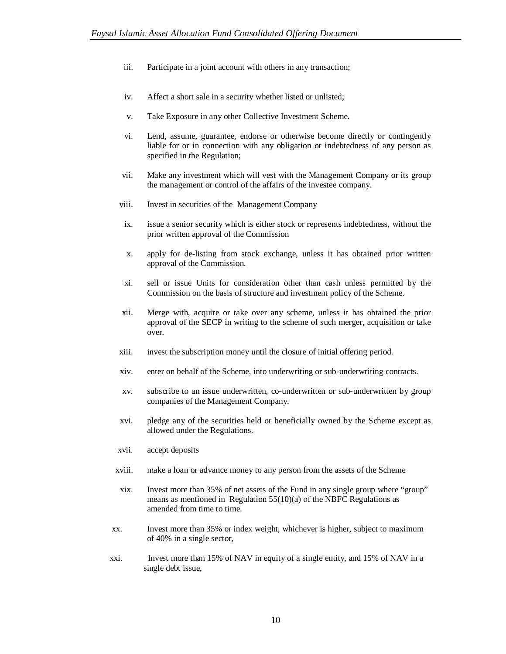- iii. Participate in a joint account with others in any transaction;
- iv. Affect a short sale in a security whether listed or unlisted;
- v. Take Exposure in any other Collective Investment Scheme.
- vi. Lend, assume, guarantee, endorse or otherwise become directly or contingently liable for or in connection with any obligation or indebtedness of any person as specified in the Regulation;
- vii. Make any investment which will vest with the Management Company or its group the management or control of the affairs of the investee company.
- viii. Invest in securities of the Management Company
- ix. issue a senior security which is either stock or represents indebtedness, without the prior written approval of the Commission
- x. apply for de-listing from stock exchange, unless it has obtained prior written approval of the Commission.
- xi. sell or issue Units for consideration other than cash unless permitted by the Commission on the basis of structure and investment policy of the Scheme.
- xii. Merge with, acquire or take over any scheme, unless it has obtained the prior approval of the SECP in writing to the scheme of such merger, acquisition or take over.
- xiii. invest the subscription money until the closure of initial offering period.
- xiv. enter on behalf of the Scheme, into underwriting or sub-underwriting contracts.
- xv. subscribe to an issue underwritten, co-underwritten or sub-underwritten by group companies of the Management Company.
- xvi. pledge any of the securities held or beneficially owned by the Scheme except as allowed under the Regulations.
- xvii. accept deposits
- xviii. make a loan or advance money to any person from the assets of the Scheme
- xix. Invest more than 35% of net assets of the Fund in any single group where "group" means as mentioned in Regulation 55(10)(a) of the NBFC Regulations as amended from time to time.
- xx. Invest more than 35% or index weight, whichever is higher, subject to maximum of 40% in a single sector,
- xxi. Invest more than 15% of NAV in equity of a single entity, and 15% of NAV in a single debt issue,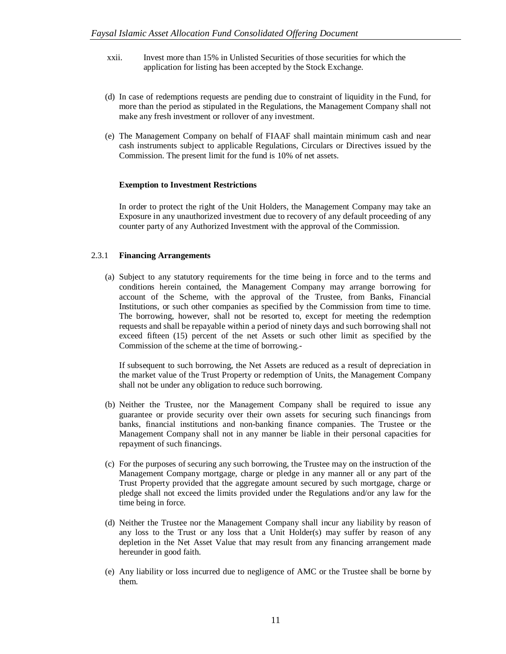- xxii. Invest more than 15% in Unlisted Securities of those securities for which the application for listing has been accepted by the Stock Exchange.
- (d) In case of redemptions requests are pending due to constraint of liquidity in the Fund, for more than the period as stipulated in the Regulations, the Management Company shall not make any fresh investment or rollover of any investment.
- (e) The Management Company on behalf of FIAAF shall maintain minimum cash and near cash instruments subject to applicable Regulations, Circulars or Directives issued by the Commission. The present limit for the fund is 10% of net assets.

# **Exemption to Investment Restrictions**

In order to protect the right of the Unit Holders, the Management Company may take an Exposure in any unauthorized investment due to recovery of any default proceeding of any counter party of any Authorized Investment with the approval of the Commission.

# 2.3.1 **Financing Arrangements**

(a) Subject to any statutory requirements for the time being in force and to the terms and conditions herein contained, the Management Company may arrange borrowing for account of the Scheme, with the approval of the Trustee, from Banks, Financial Institutions, or such other companies as specified by the Commission from time to time. The borrowing, however, shall not be resorted to, except for meeting the redemption requests and shall be repayable within a period of ninety days and such borrowing shall not exceed fifteen (15) percent of the net Assets or such other limit as specified by the Commission of the scheme at the time of borrowing.-

If subsequent to such borrowing, the Net Assets are reduced as a result of depreciation in the market value of the Trust Property or redemption of Units, the Management Company shall not be under any obligation to reduce such borrowing.

- (b) Neither the Trustee, nor the Management Company shall be required to issue any guarantee or provide security over their own assets for securing such financings from banks, financial institutions and non-banking finance companies. The Trustee or the Management Company shall not in any manner be liable in their personal capacities for repayment of such financings.
- (c) For the purposes of securing any such borrowing, the Trustee may on the instruction of the Management Company mortgage, charge or pledge in any manner all or any part of the Trust Property provided that the aggregate amount secured by such mortgage, charge or pledge shall not exceed the limits provided under the Regulations and/or any law for the time being in force.
- (d) Neither the Trustee nor the Management Company shall incur any liability by reason of any loss to the Trust or any loss that a Unit Holder(s) may suffer by reason of any depletion in the Net Asset Value that may result from any financing arrangement made hereunder in good faith.
- (e) Any liability or loss incurred due to negligence of AMC or the Trustee shall be borne by them.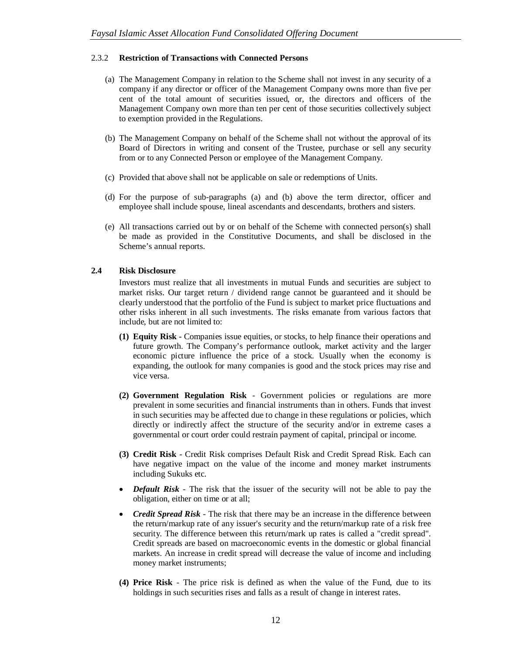### 2.3.2 **Restriction of Transactions with Connected Persons**

- (a) The Management Company in relation to the Scheme shall not invest in any security of a company if any director or officer of the Management Company owns more than five per cent of the total amount of securities issued, or, the directors and officers of the Management Company own more than ten per cent of those securities collectively subject to exemption provided in the Regulations.
- (b) The Management Company on behalf of the Scheme shall not without the approval of its Board of Directors in writing and consent of the Trustee, purchase or sell any security from or to any Connected Person or employee of the Management Company.
- (c) Provided that above shall not be applicable on sale or redemptions of Units.
- (d) For the purpose of sub-paragraphs (a) and (b) above the term director, officer and employee shall include spouse, lineal ascendants and descendants, brothers and sisters.
- (e) All transactions carried out by or on behalf of the Scheme with connected person(s) shall be made as provided in the Constitutive Documents, and shall be disclosed in the Scheme's annual reports.

# **2.4 Risk Disclosure**

Investors must realize that all investments in mutual Funds and securities are subject to market risks. Our target return / dividend range cannot be guaranteed and it should be clearly understood that the portfolio of the Fund is subject to market price fluctuations and other risks inherent in all such investments. The risks emanate from various factors that include, but are not limited to:

- **(1) Equity Risk -** Companies issue equities, or stocks, to help finance their operations and future growth. The Company's performance outlook, market activity and the larger economic picture influence the price of a stock. Usually when the economy is expanding, the outlook for many companies is good and the stock prices may rise and vice versa.
- **(2) Government Regulation Risk**  Government policies or regulations are more prevalent in some securities and financial instruments than in others. Funds that invest in such securities may be affected due to change in these regulations or policies, which directly or indirectly affect the structure of the security and/or in extreme cases a governmental or court order could restrain payment of capital, principal or income.
- **(3) Credit Risk**  Credit Risk comprises Default Risk and Credit Spread Risk. Each can have negative impact on the value of the income and money market instruments including Sukuks etc.
- *Default Risk* The risk that the issuer of the security will not be able to pay the obligation, either on time or at all;
- *Credit Spread Risk* The risk that there may be an increase in the difference between the return/markup rate of any issuer's security and the return/markup rate of a risk free security. The difference between this return/mark up rates is called a "credit spread". Credit spreads are based on macroeconomic events in the domestic or global financial markets. An increase in credit spread will decrease the value of income and including money market instruments;
- **(4) Price Risk**  The price risk is defined as when the value of the Fund, due to its holdings in such securities rises and falls as a result of change in interest rates.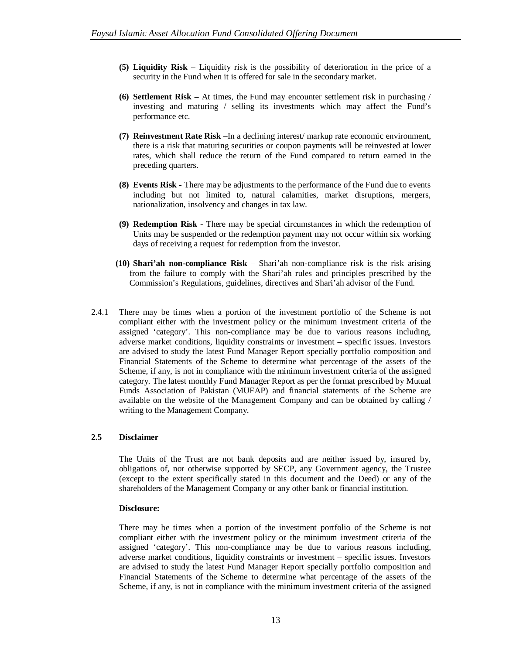- **(5) Liquidity Risk**  Liquidity risk is the possibility of deterioration in the price of a security in the Fund when it is offered for sale in the secondary market.
- **(6) Settlement Risk**  At times, the Fund may encounter settlement risk in purchasing / investing and maturing / selling its investments which may affect the Fund's performance etc.
- **(7) Reinvestment Rate Risk** –In a declining interest/ markup rate economic environment, there is a risk that maturing securities or coupon payments will be reinvested at lower rates, which shall reduce the return of the Fund compared to return earned in the preceding quarters.
- **(8) Events Risk -** There may be adjustments to the performance of the Fund due to events including but not limited to, natural calamities, market disruptions, mergers, nationalization, insolvency and changes in tax law.
- **(9) Redemption Risk** There may be special circumstances in which the redemption of Units may be suspended or the redemption payment may not occur within six working days of receiving a request for redemption from the investor.
- **(10) Shari'ah non-compliance Risk** Shari'ah non-compliance risk is the risk arising from the failure to comply with the Shari'ah rules and principles prescribed by the Commission's Regulations, guidelines, directives and Shari'ah advisor of the Fund.
- 2.4.1 There may be times when a portion of the investment portfolio of the Scheme is not compliant either with the investment policy or the minimum investment criteria of the assigned 'category'. This non-compliance may be due to various reasons including, adverse market conditions, liquidity constraints or investment – specific issues. Investors are advised to study the latest Fund Manager Report specially portfolio composition and Financial Statements of the Scheme to determine what percentage of the assets of the Scheme, if any, is not in compliance with the minimum investment criteria of the assigned category. The latest monthly Fund Manager Report as per the format prescribed by Mutual Funds Association of Pakistan (MUFAP) and financial statements of the Scheme are available on the website of the Management Company and can be obtained by calling / writing to the Management Company.

### **2.5 Disclaimer**

The Units of the Trust are not bank deposits and are neither issued by, insured by, obligations of, nor otherwise supported by SECP, any Government agency, the Trustee (except to the extent specifically stated in this document and the Deed) or any of the shareholders of the Management Company or any other bank or financial institution.

#### **Disclosure:**

There may be times when a portion of the investment portfolio of the Scheme is not compliant either with the investment policy or the minimum investment criteria of the assigned 'category'. This non-compliance may be due to various reasons including, adverse market conditions, liquidity constraints or investment – specific issues. Investors are advised to study the latest Fund Manager Report specially portfolio composition and Financial Statements of the Scheme to determine what percentage of the assets of the Scheme, if any, is not in compliance with the minimum investment criteria of the assigned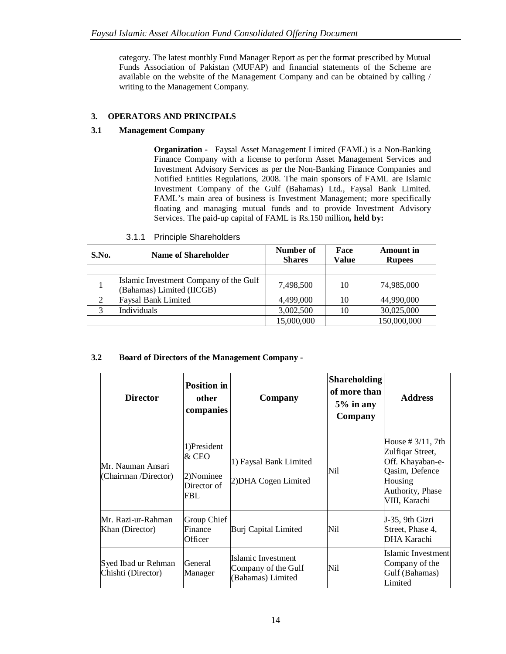category. The latest monthly Fund Manager Report as per the format prescribed by Mutual Funds Association of Pakistan (MUFAP) and financial statements of the Scheme are available on the website of the Management Company and can be obtained by calling / writing to the Management Company.

# **3. OPERATORS AND PRINCIPALS**

# **3.1 Management Company**

**Organization -** Faysal Asset Management Limited (FAML) is a Non-Banking Finance Company with a license to perform Asset Management Services and Investment Advisory Services as per the Non-Banking Finance Companies and Notified Entities Regulations, 2008. The main sponsors of FAML are Islamic Investment Company of the Gulf (Bahamas) Ltd., Faysal Bank Limited. FAML's main area of business is Investment Management; more specifically floating and managing mutual funds and to provide Investment Advisory Services. The paid-up capital of FAML is Rs.150 million**, held by:**

| S.No. | <b>Name of Shareholder</b>                                          | Number of<br><b>Shares</b> | Face<br>Value | <b>Amount</b> in<br><b>Rupees</b> |
|-------|---------------------------------------------------------------------|----------------------------|---------------|-----------------------------------|
|       |                                                                     |                            |               |                                   |
|       | Islamic Investment Company of the Gulf<br>(Bahamas) Limited (IICGB) | 7.498.500                  | 10            | 74,985,000                        |
| 2     | <b>Faysal Bank Limited</b>                                          | 4,499,000                  | 10            | 44,990,000                        |
|       | Individuals                                                         | 3,002,500                  | 10            | 30,025,000                        |
|       |                                                                     | 15,000,000                 |               | 150,000,000                       |

# **3.2 Board of Directors of the Management Company -**

| <b>Director</b>                           | <b>Position in</b><br>other<br>companies                | Company                                                        | <b>Shareholding</b><br>of more than<br>$5\%$ in any<br>Company | <b>Address</b>                                                                                                                          |
|-------------------------------------------|---------------------------------------------------------|----------------------------------------------------------------|----------------------------------------------------------------|-----------------------------------------------------------------------------------------------------------------------------------------|
| Mr. Nauman Ansari<br>(Chairman /Director) | 1)President<br>& CEO<br>2)Nominee<br>Director of<br>FBL | 1) Faysal Bank Limited<br>2) DHA Cogen Limited                 | Nil                                                            | House $\# 3/11$ , 7th<br>Zulfiqar Street,<br>Off. Khayaban-e-<br>Qasim, Defence<br>Housing<br><b>Authority</b> , Phase<br>VIII, Karachi |
| Mr. Razi-ur-Rahman<br>Khan (Director)     | Group Chief<br>Finance<br>Officer                       | Burj Capital Limited                                           | Nil                                                            | J-35, 9th Gizri<br>Street, Phase 4,<br>DHA Karachi                                                                                      |
| Syed Ibad ur Rehman<br>Chishti (Director) | General<br>Manager                                      | Islamic Investment<br>Company of the Gulf<br>(Bahamas) Limited | Nil                                                            | Islamic Investmentl<br>Company of the<br>Gulf (Bahamas)<br>Limited                                                                      |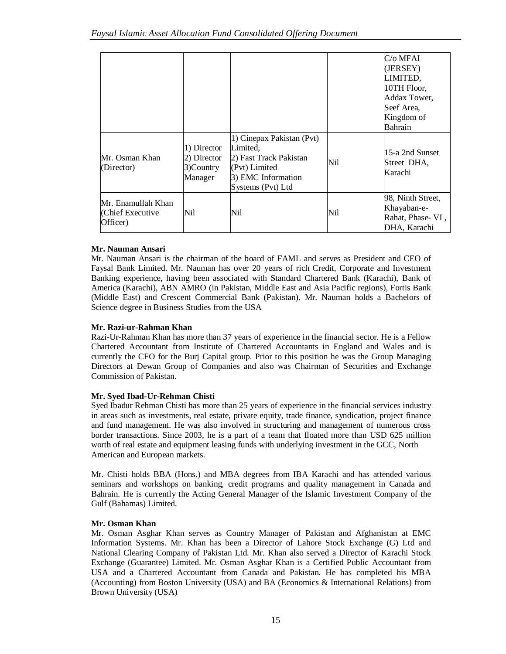|                                                   | 1) Director                            | 1) Cinepax Pakistan (Pvt)<br>Limited.                                              |     | C/o MFAI<br>(JERSEY)<br>LIMITED,<br>10TH Floor,<br>Addax Tower,<br>Seef Area,<br>Kingdom of<br>Bahrain |
|---------------------------------------------------|----------------------------------------|------------------------------------------------------------------------------------|-----|--------------------------------------------------------------------------------------------------------|
| Mr. Osman Khan<br>(Director)                      | 2) Director<br>$3)$ Country<br>Manager | 2) Fast Track Pakistan<br>(Pvt) Limited<br>3) EMC Information<br>Systems (Pvt) Ltd | Nil | 15-a 2nd Sunset<br>Street DHA,<br>Karachi                                                              |
| Mr. Enamullah Khan<br>Chief Executive<br>Officer) | Nil                                    | Nil                                                                                | Nil | 98, Ninth Street,<br>Khayaban-e-<br>Rahat, Phase-VI,<br>DHA, Karachi                                   |

# **Mr. Nauman Ansari**

Mr. Nauman Ansari is the chairman of the board of FAML and serves as President and CEO of Faysal Bank Limited. Mr. Nauman has over 20 years of rich Credit, Corporate and Investment Banking experience, having been associated with Standard Chartered Bank (Karachi), Bank of America (Karachi), ABN AMRO (in Pakistan, Middle East and Asia Pacific regions), Fortis Bank (Middle East) and Crescent Commercial Bank (Pakistan). Mr. Nauman holds a Bachelors of Science degree in Business Studies from the USA

# **Mr. Razi-ur-Rahman Khan**

Razi-Ur-Rahman Khan has more than 37 years of experience in the financial sector. He is a Fellow Chartered Accountant from Institute of Chartered Accountants in England and Wales and is currently the CFO for the Burj Capital group. Prior to this position he was the Group Managing Directors at Dewan Group of Companies and also was Chairman of Securities and Exchange Commission of Pakistan.

# **Mr. Syed Ibad-Ur-Rehman Chisti**

Syed Ibadur Rehman Chisti has more than 25 years of experience in the financial services industry in areas such as investments, real estate, private equity, trade finance, syndication, project finance and fund management. He was also involved in structuring and management of numerous cross border transactions. Since 2003, he is a part of a team that floated more than USD 625 million worth of real estate and equipment leasing funds with underlying investment in the GCC, North American and European markets.

Mr. Chisti holds BBA (Hons.) and MBA degrees from IBA Karachi and has attended various seminars and workshops on banking, credit programs and quality management in Canada and Bahrain. He is currently the Acting General Manager of the Islamic Investment Company of the Gulf (Bahamas) Limited.

# **Mr. Osman Khan**

Mr. Osman Asghar Khan serves as Country Manager of Pakistan and Afghanistan at EMC Information Systems. Mr. Khan has been a Director of Lahore Stock Exchange (G) Ltd and National Clearing Company of Pakistan Ltd. Mr. Khan also served a Director of Karachi Stock Exchange (Guarantee) Limited. Mr. Osman Asghar Khan is a Certified Public Accountant from USA and a Chartered Accountant from Canada and Pakistan. He has completed his MBA (Accounting) from Boston University (USA) and BA (Economics & International Relations) from Brown University (USA)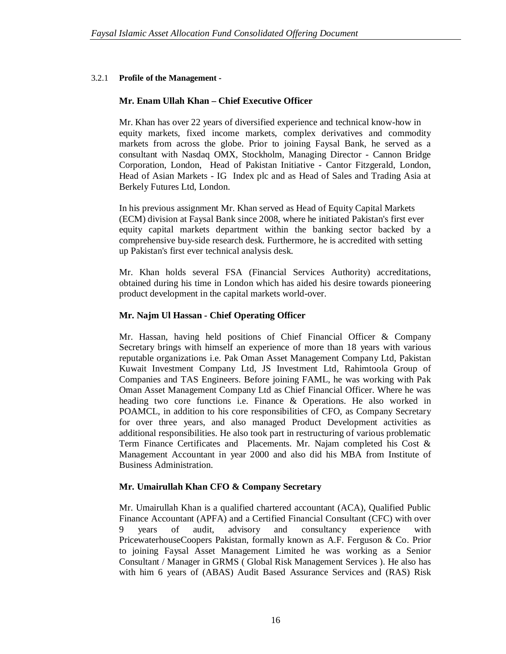# 3.2.1 **Profile of the Management -**

# **Mr. Enam Ullah Khan – Chief Executive Officer**

Mr. Khan has over 22 years of diversified experience and technical know-how in equity markets, fixed income markets, complex derivatives and commodity markets from across the globe. Prior to joining Faysal Bank, he served as a consultant with Nasdaq OMX, Stockholm, Managing Director - Cannon Bridge Corporation, London, Head of Pakistan Initiative - Cantor Fitzgerald, London, Head of Asian Markets - IG Index plc and as Head of Sales and Trading Asia at Berkely Futures Ltd, London.

In his previous assignment Mr. Khan served as Head of Equity Capital Markets (ECM) division at Faysal Bank since 2008, where he initiated Pakistan's first ever equity capital markets department within the banking sector backed by a comprehensive buy-side research desk. Furthermore, he is accredited with setting up Pakistan's first ever technical analysis desk.

Mr. Khan holds several FSA (Financial Services Authority) accreditations, obtained during his time in London which has aided his desire towards pioneering product development in the capital markets world-over.

# **Mr. Najm Ul Hassan - Chief Operating Officer**

Mr. Hassan, having held positions of Chief Financial Officer & Company Secretary brings with himself an experience of more than 18 years with various reputable organizations i.e. Pak Oman Asset Management Company Ltd, Pakistan Kuwait Investment Company Ltd, JS Investment Ltd, Rahimtoola Group of Companies and TAS Engineers. Before joining FAML, he was working with Pak Oman Asset Management Company Ltd as Chief Financial Officer. Where he was heading two core functions i.e. Finance & Operations. He also worked in POAMCL, in addition to his core responsibilities of CFO, as Company Secretary for over three years, and also managed Product Development activities as additional responsibilities. He also took part in restructuring of various problematic Term Finance Certificates and Placements. Mr. Najam completed his Cost & Management Accountant in year 2000 and also did his MBA from Institute of Business Administration.

# **Mr. Umairullah Khan CFO & Company Secretary**

Mr. Umairullah Khan is a qualified chartered accountant (ACA), Qualified Public Finance Accountant (APFA) and a Certified Financial Consultant (CFC) with over 9 years of audit, advisory and consultancy experience with PricewaterhouseCoopers Pakistan, formally known as A.F. Ferguson & Co. Prior to joining Faysal Asset Management Limited he was working as a Senior Consultant / Manager in GRMS ( Global Risk Management Services ). He also has with him 6 years of (ABAS) Audit Based Assurance Services and (RAS) Risk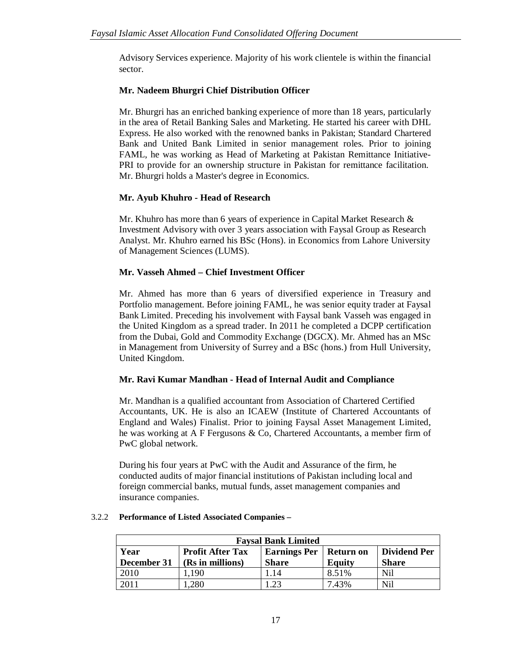Advisory Services experience. Majority of his work clientele is within the financial sector.

# **Mr. Nadeem Bhurgri Chief Distribution Officer**

Mr. Bhurgri has an enriched banking experience of more than 18 years, particularly in the area of Retail Banking Sales and Marketing. He started his career with DHL Express. He also worked with the renowned banks in Pakistan; Standard Chartered Bank and United Bank Limited in senior management roles. Prior to joining FAML, he was working as Head of Marketing at Pakistan Remittance Initiative-PRI to provide for an ownership structure in Pakistan for remittance facilitation. Mr. Bhurgri holds a Master's degree in Economics.

# **Mr. Ayub Khuhro - Head of Research**

Mr. Khuhro has more than 6 years of experience in Capital Market Research & Investment Advisory with over 3 years association with Faysal Group as Research Analyst. Mr. Khuhro earned his BSc (Hons). in Economics from Lahore University of Management Sciences (LUMS).

# **Mr. Vasseh Ahmed – Chief Investment Officer**

Mr. Ahmed has more than 6 years of diversified experience in Treasury and Portfolio management. Before joining FAML, he was senior equity trader at Faysal Bank Limited. Preceding his involvement with Faysal bank Vasseh was engaged in the United Kingdom as a spread trader. In 2011 he completed a DCPP certification from the Dubai, Gold and Commodity Exchange (DGCX). Mr. Ahmed has an MSc in Management from University of Surrey and a BSc (hons.) from Hull University, United Kingdom.

# **Mr. Ravi Kumar Mandhan - Head of Internal Audit and Compliance**

Mr. Mandhan is a qualified accountant from Association of Chartered Certified Accountants, UK. He is also an ICAEW (Institute of Chartered Accountants of England and Wales) Finalist. Prior to joining Faysal Asset Management Limited, he was working at A F Fergusons & Co, Chartered Accountants, a member firm of PwC global network.

During his four years at PwC with the Audit and Assurance of the firm, he conducted audits of major financial institutions of Pakistan including local and foreign commercial banks, mutual funds, asset management companies and insurance companies.

| <b>Faysal Bank Limited</b> |                                                                                    |              |               |              |  |  |  |
|----------------------------|------------------------------------------------------------------------------------|--------------|---------------|--------------|--|--|--|
| Year                       | <b>Profit After Tax</b><br><b>Earnings Per</b><br><b>Dividend Per</b><br>Return on |              |               |              |  |  |  |
| December 31                | (Rs in millions)                                                                   | <b>Share</b> | <b>Equity</b> | <b>Share</b> |  |  |  |
| 2010                       | .190                                                                               | .14          | 8.51%         | Nil          |  |  |  |
| 2011                       | 280                                                                                | 23           | 7.43%         | Nil          |  |  |  |

# 3.2.2 **Performance of Listed Associated Companies –**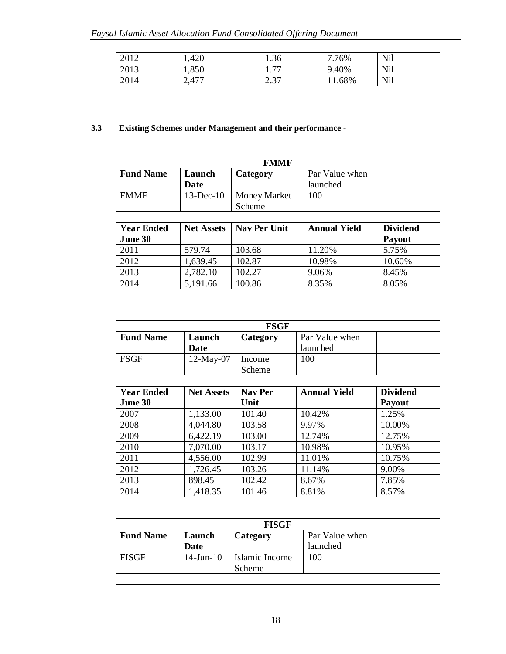| 2012 | 1,420 | 1.36                       | 76%<br>−  | Nil        |
|------|-------|----------------------------|-----------|------------|
| 2013 | 1,850 | <b>……</b><br><b>L.I.</b>   | 9.40%     | Nil        |
| 2014 | 2,477 | $\bigcap$<br>$\sim$<br>ا ت | $.1.68\%$ | <b>Nil</b> |

# **3.3 Existing Schemes under Management and their performance -**

| <b>FMMF</b>                |                   |                     |                     |                 |  |  |
|----------------------------|-------------------|---------------------|---------------------|-----------------|--|--|
| <b>Fund Name</b><br>Launch |                   | Category            | Par Value when      |                 |  |  |
|                            | Date              |                     | launched            |                 |  |  |
| <b>FMMF</b>                | $13$ -Dec- $10$   | Money Market        | 100                 |                 |  |  |
|                            |                   | Scheme              |                     |                 |  |  |
|                            |                   |                     |                     |                 |  |  |
| <b>Year Ended</b>          | <b>Net Assets</b> | <b>Nav Per Unit</b> | <b>Annual Yield</b> | <b>Dividend</b> |  |  |
| June 30                    |                   |                     |                     | Payout          |  |  |
| 2011                       | 579.74            | 103.68              | 11.20%              | 5.75%           |  |  |
| 2012                       | 1,639.45          | 102.87              | 10.98%              | 10.60%          |  |  |
| 2013                       | 2,782.10          | 102.27              | 9.06%               | 8.45%           |  |  |
| 2014                       | 5,191.66          | 100.86              | 8.35%               | 8.05%           |  |  |

| <b>FSGF</b>       |                   |                |                     |                 |  |
|-------------------|-------------------|----------------|---------------------|-----------------|--|
| <b>Fund Name</b>  | Launch            | Category       | Par Value when      |                 |  |
|                   | Date              |                | launched            |                 |  |
| <b>FSGF</b>       | 12-May-07         | Income         | 100                 |                 |  |
|                   |                   | Scheme         |                     |                 |  |
|                   |                   |                |                     |                 |  |
| <b>Year Ended</b> | <b>Net Assets</b> | <b>Nav Per</b> | <b>Annual Yield</b> | <b>Dividend</b> |  |
| June 30           |                   | Unit           |                     | <b>Payout</b>   |  |
| 2007              | 1,133.00          | 101.40         | 10.42%              | 1.25%           |  |
| 2008              | 4,044.80          | 103.58         | 9.97%               | 10.00%          |  |
| 2009              | 6,422.19          | 103.00         | 12.74%              | 12.75%          |  |
| 2010              | 7,070.00          | 103.17         | 10.98%              | 10.95%          |  |
| 2011              | 4,556.00          | 102.99         | 11.01%              | 10.75%          |  |
| 2012              | 1,726.45          | 103.26         | 11.14%              | 9.00%           |  |
| 2013              | 898.45            | 102.42         | 8.67%               | 7.85%           |  |
| 2014              | 1,418.35          | 101.46         | 8.81%               | 8.57%           |  |

| <b>FISGF</b>     |                 |                |                |  |
|------------------|-----------------|----------------|----------------|--|
| <b>Fund Name</b> | Launch          | Category       | Par Value when |  |
|                  | Date            |                | launched       |  |
| <b>FISGF</b>     | $14$ -Jun- $10$ | Islamic Income | 100            |  |
|                  |                 | Scheme         |                |  |
|                  |                 |                |                |  |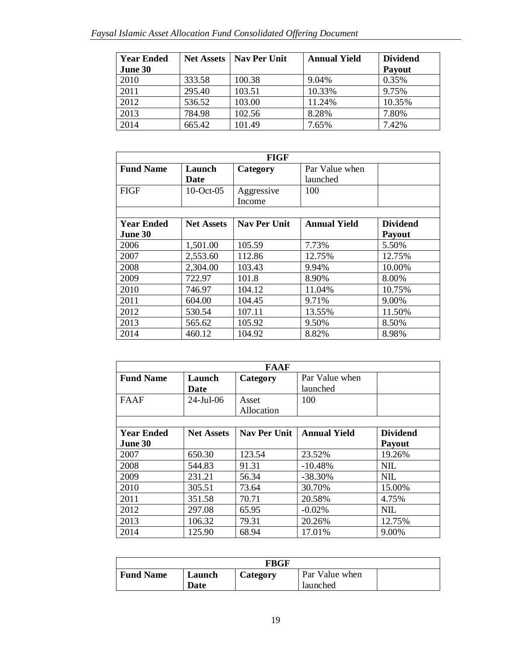| <b>Year Ended</b> | <b>Net Assets</b> | <b>Nav Per Unit</b> | <b>Annual Yield</b> | <b>Dividend</b> |
|-------------------|-------------------|---------------------|---------------------|-----------------|
| June 30           |                   |                     |                     | Payout          |
| 2010              | 333.58            | 100.38              | 9.04%               | 0.35%           |
| 2011              | 295.40            | 103.51              | 10.33%              | 9.75%           |
| 2012              | 536.52            | 103.00              | 11.24%              | 10.35%          |
| 2013              | 784.98            | 102.56              | 8.28%               | 7.80%           |
| 2014              | 665.42            | 101.49              | 7.65%               | 7.42%           |

| <b>FIGF</b>       |                   |                     |                     |                 |
|-------------------|-------------------|---------------------|---------------------|-----------------|
| <b>Fund Name</b>  | Launch            | Category            | Par Value when      |                 |
|                   | Date              |                     | launched            |                 |
| <b>FIGF</b>       | $10$ -Oct-05      | Aggressive          | 100                 |                 |
|                   |                   | Income              |                     |                 |
|                   |                   |                     |                     |                 |
| <b>Year Ended</b> | <b>Net Assets</b> | <b>Nav Per Unit</b> | <b>Annual Yield</b> | <b>Dividend</b> |
| June 30           |                   |                     |                     | <b>Payout</b>   |
| 2006              | 1,501.00          | 105.59              | 7.73%               | 5.50%           |
| 2007              | 2,553.60          | 112.86              | 12.75%              | 12.75%          |
| 2008              | 2,304.00          | 103.43              | 9.94%               | 10.00%          |
| 2009              | 722.97            | 101.8               | 8.90%               | 8.00%           |
| 2010              | 746.97            | 104.12              | 11.04%              | 10.75%          |
| 2011              | 604.00            | 104.45              | 9.71%               | 9.00%           |
| 2012              | 530.54            | 107.11              | 13.55%              | 11.50%          |
| 2013              | 565.62            | 105.92              | 9.50%               | 8.50%           |
| 2014              | 460.12            | 104.92              | 8.82%               | 8.98%           |

| <b>FAAF</b>       |                   |                     |                            |                 |
|-------------------|-------------------|---------------------|----------------------------|-----------------|
| <b>Fund Name</b>  | Launch<br>Date    | Category            | Par Value when<br>launched |                 |
| <b>FAAF</b>       | $24$ -Jul-06      | Asset<br>Allocation | 100                        |                 |
|                   |                   |                     |                            |                 |
| <b>Year Ended</b> | <b>Net Assets</b> | <b>Nav Per Unit</b> | <b>Annual Yield</b>        | <b>Dividend</b> |
| June 30           |                   |                     |                            | <b>Payout</b>   |
| 2007              | 650.30            | 123.54              | 23.52%                     | 19.26%          |
| 2008              | 544.83            | 91.31               | $-10.48%$                  | <b>NIL</b>      |
| 2009              | 231.21            | 56.34               | $-38.30%$                  | <b>NIL</b>      |
| 2010              | 305.51            | 73.64               | 30.70%                     | 15.00%          |
| 2011              | 351.58            | 70.71               | 20.58%                     | 4.75%           |
| 2012              | 297.08            | 65.95               | $-0.02%$                   | <b>NIL</b>      |
| 2013              | 106.32            | 79.31               | 20.26%                     | 12.75%          |
| 2014              | 125.90            | 68.94               | 17.01%                     | 9.00%           |

| FBGF             |        |          |                |  |
|------------------|--------|----------|----------------|--|
| <b>Fund Name</b> | Launch | Category | Par Value when |  |
| Date<br>launched |        |          |                |  |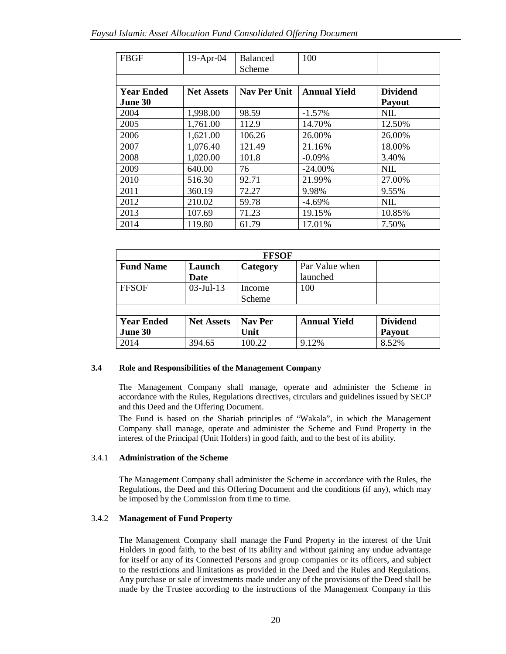| <b>FBGF</b>       | 19-Apr-04         | <b>Balanced</b>     | 100                 |                 |
|-------------------|-------------------|---------------------|---------------------|-----------------|
|                   |                   | Scheme              |                     |                 |
|                   |                   |                     |                     |                 |
| <b>Year Ended</b> | <b>Net Assets</b> | <b>Nav Per Unit</b> | <b>Annual Yield</b> | <b>Dividend</b> |
| June 30           |                   |                     |                     | Payout          |
| 2004              | 1,998.00          | 98.59               | $-1.57%$            | <b>NIL</b>      |
| 2005              | 1,761.00          | 112.9               | 14.70%              | 12.50%          |
| 2006              | 1,621.00          | 106.26              | 26.00%              | 26.00%          |
| 2007              | 1,076.40          | 121.49              | 21.16%              | 18.00%          |
| 2008              | 1,020.00          | 101.8               | $-0.09%$            | 3.40%           |
| 2009              | 640.00            | 76                  | $-24.00\%$          | <b>NIL</b>      |
| 2010              | 516.30            | 92.71               | 21.99%              | 27.00%          |
| 2011              | 360.19            | 72.27               | 9.98%               | 9.55%           |
| 2012              | 210.02            | 59.78               | $-4.69%$            | <b>NIL</b>      |
| 2013              | 107.69            | 71.23               | 19.15%              | 10.85%          |
| 2014              | 119.80            | 61.79               | 17.01%              | 7.50%           |

| <b>FFSOF</b>      |                   |                |                     |                 |
|-------------------|-------------------|----------------|---------------------|-----------------|
| <b>Fund Name</b>  | Launch            | Category       | Par Value when      |                 |
|                   | Date              |                | launched            |                 |
| <b>FFSOF</b>      | $03$ -Jul-13      | Income         | 100                 |                 |
|                   |                   | Scheme         |                     |                 |
|                   |                   |                |                     |                 |
| <b>Year Ended</b> | <b>Net Assets</b> | <b>Nav Per</b> | <b>Annual Yield</b> | <b>Dividend</b> |
| June 30           |                   | Unit           |                     | Payout          |
| 2014              | 394.65            | 100.22         | 9.12%               | 8.52%           |

# **3.4 Role and Responsibilities of the Management Company**

The Management Company shall manage, operate and administer the Scheme in accordance with the Rules, Regulations directives, circulars and guidelines issued by SECP and this Deed and the Offering Document.

The Fund is based on the Shariah principles of "Wakala", in which the Management Company shall manage, operate and administer the Scheme and Fund Property in the interest of the Principal (Unit Holders) in good faith, and to the best of its ability.

### 3.4.1 **Administration of the Scheme**

The Management Company shall administer the Scheme in accordance with the Rules, the Regulations, the Deed and this Offering Document and the conditions (if any), which may be imposed by the Commission from time to time.

# 3.4.2 **Management of Fund Property**

The Management Company shall manage the Fund Property in the interest of the Unit Holders in good faith, to the best of its ability and without gaining any undue advantage for itself or any of its Connected Persons and group companies or its officers, and subject to the restrictions and limitations as provided in the Deed and the Rules and Regulations. Any purchase or sale of investments made under any of the provisions of the Deed shall be made by the Trustee according to the instructions of the Management Company in this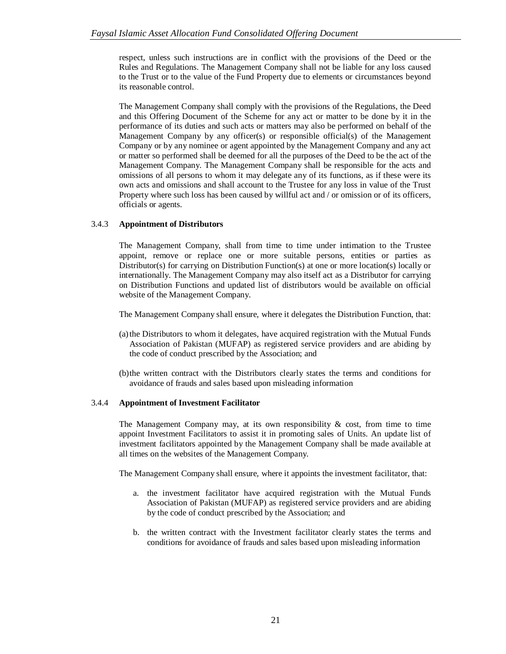respect, unless such instructions are in conflict with the provisions of the Deed or the Rules and Regulations. The Management Company shall not be liable for any loss caused to the Trust or to the value of the Fund Property due to elements or circumstances beyond its reasonable control.

The Management Company shall comply with the provisions of the Regulations, the Deed and this Offering Document of the Scheme for any act or matter to be done by it in the performance of its duties and such acts or matters may also be performed on behalf of the Management Company by any officer(s) or responsible official(s) of the Management Company or by any nominee or agent appointed by the Management Company and any act or matter so performed shall be deemed for all the purposes of the Deed to be the act of the Management Company. The Management Company shall be responsible for the acts and omissions of all persons to whom it may delegate any of its functions, as if these were its own acts and omissions and shall account to the Trustee for any loss in value of the Trust Property where such loss has been caused by willful act and / or omission or of its officers, officials or agents.

# 3.4.3 **Appointment of Distributors**

The Management Company, shall from time to time under intimation to the Trustee appoint, remove or replace one or more suitable persons, entities or parties as Distributor(s) for carrying on Distribution Function(s) at one or more location(s) locally or internationally. The Management Company may also itself act as a Distributor for carrying on Distribution Functions and updated list of distributors would be available on official website of the Management Company.

The Management Company shall ensure, where it delegates the Distribution Function, that:

- (a)the Distributors to whom it delegates, have acquired registration with the Mutual Funds Association of Pakistan (MUFAP) as registered service providers and are abiding by the code of conduct prescribed by the Association; and
- (b)the written contract with the Distributors clearly states the terms and conditions for avoidance of frauds and sales based upon misleading information

# 3.4.4 **Appointment of Investment Facilitator**

The Management Company may, at its own responsibility  $\& cost$ , from time to time appoint Investment Facilitators to assist it in promoting sales of Units. An update list of investment facilitators appointed by the Management Company shall be made available at all times on the websites of the Management Company.

The Management Company shall ensure, where it appoints the investment facilitator, that:

- a. the investment facilitator have acquired registration with the Mutual Funds Association of Pakistan (MUFAP) as registered service providers and are abiding by the code of conduct prescribed by the Association; and
- b. the written contract with the Investment facilitator clearly states the terms and conditions for avoidance of frauds and sales based upon misleading information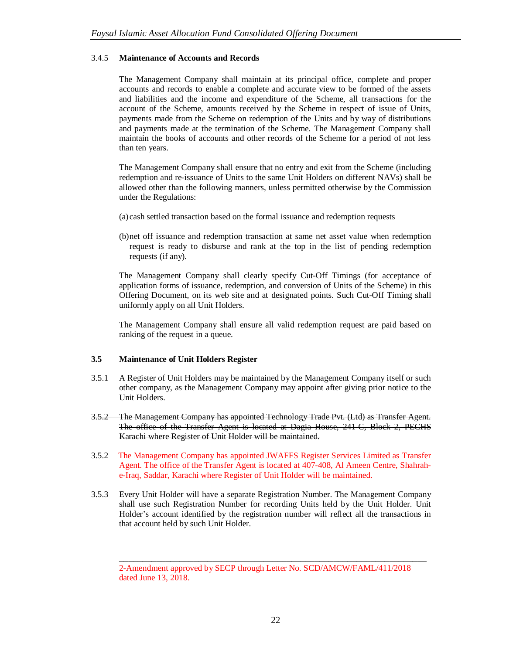# 3.4.5 **Maintenance of Accounts and Records**

The Management Company shall maintain at its principal office, complete and proper accounts and records to enable a complete and accurate view to be formed of the assets and liabilities and the income and expenditure of the Scheme, all transactions for the account of the Scheme, amounts received by the Scheme in respect of issue of Units, payments made from the Scheme on redemption of the Units and by way of distributions and payments made at the termination of the Scheme. The Management Company shall maintain the books of accounts and other records of the Scheme for a period of not less than ten years.

The Management Company shall ensure that no entry and exit from the Scheme (including redemption and re-issuance of Units to the same Unit Holders on different NAVs) shall be allowed other than the following manners, unless permitted otherwise by the Commission under the Regulations:

- (a) cash settled transaction based on the formal issuance and redemption requests
- (b)net off issuance and redemption transaction at same net asset value when redemption request is ready to disburse and rank at the top in the list of pending redemption requests (if any).

The Management Company shall clearly specify Cut-Off Timings (for acceptance of application forms of issuance, redemption, and conversion of Units of the Scheme) in this Offering Document, on its web site and at designated points. Such Cut-Off Timing shall uniformly apply on all Unit Holders.

The Management Company shall ensure all valid redemption request are paid based on ranking of the request in a queue.

### **3.5 Maintenance of Unit Holders Register**

- 3.5.1 A Register of Unit Holders may be maintained by the Management Company itself or such other company, as the Management Company may appoint after giving prior notice to the Unit Holders.
- 3.5.2 The Management Company has appointed Technology Trade Pvt. (Ltd) as Transfer Agent. The office of the Transfer Agent is located at Dagia House, 241-C, Block 2, PECHS Karachi where Register of Unit Holder will be maintained.
- 3.5.2 The Management Company has appointed JWAFFS Register Services Limited as Transfer Agent. The office of the Transfer Agent is located at 407-408, Al Ameen Centre, Shahrahe-Iraq, Saddar, Karachi where Register of Unit Holder will be maintained.
- 3.5.3 Every Unit Holder will have a separate Registration Number. The Management Company shall use such Registration Number for recording Units held by the Unit Holder. Unit Holder's account identified by the registration number will reflect all the transactions in that account held by such Unit Holder.

\_\_\_\_\_\_\_\_\_\_\_\_\_\_\_\_\_\_\_\_\_\_\_\_\_\_\_\_\_\_\_\_\_\_\_\_\_\_\_\_\_\_\_\_\_\_\_\_\_\_\_\_\_\_\_\_\_\_\_\_\_\_\_\_\_\_

<sup>2-</sup>Amendment approved by SECP through Letter No. SCD/AMCW/FAML/411/2018 dated June 13, 2018.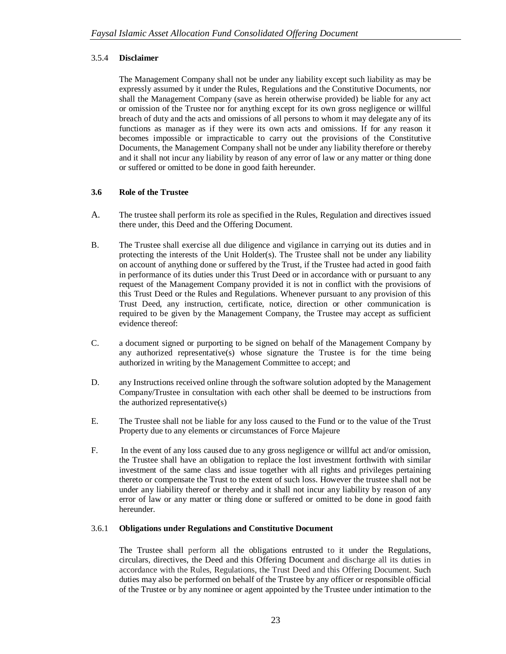# 3.5.4 **Disclaimer**

The Management Company shall not be under any liability except such liability as may be expressly assumed by it under the Rules, Regulations and the Constitutive Documents, nor shall the Management Company (save as herein otherwise provided) be liable for any act or omission of the Trustee nor for anything except for its own gross negligence or willful breach of duty and the acts and omissions of all persons to whom it may delegate any of its functions as manager as if they were its own acts and omissions. If for any reason it becomes impossible or impracticable to carry out the provisions of the Constitutive Documents, the Management Company shall not be under any liability therefore or thereby and it shall not incur any liability by reason of any error of law or any matter or thing done or suffered or omitted to be done in good faith hereunder.

# **3.6 Role of the Trustee**

- A. The trustee shall perform its role as specified in the Rules, Regulation and directives issued there under, this Deed and the Offering Document.
- B. The Trustee shall exercise all due diligence and vigilance in carrying out its duties and in protecting the interests of the Unit Holder(s). The Trustee shall not be under any liability on account of anything done or suffered by the Trust, if the Trustee had acted in good faith in performance of its duties under this Trust Deed or in accordance with or pursuant to any request of the Management Company provided it is not in conflict with the provisions of this Trust Deed or the Rules and Regulations. Whenever pursuant to any provision of this Trust Deed, any instruction, certificate, notice, direction or other communication is required to be given by the Management Company, the Trustee may accept as sufficient evidence thereof:
- C. a document signed or purporting to be signed on behalf of the Management Company by any authorized representative(s) whose signature the Trustee is for the time being authorized in writing by the Management Committee to accept; and
- D. any Instructions received online through the software solution adopted by the Management Company/Trustee in consultation with each other shall be deemed to be instructions from the authorized representative(s)
- E. The Trustee shall not be liable for any loss caused to the Fund or to the value of the Trust Property due to any elements or circumstances of Force Majeure
- F. In the event of any loss caused due to any gross negligence or willful act and/or omission, the Trustee shall have an obligation to replace the lost investment forthwith with similar investment of the same class and issue together with all rights and privileges pertaining thereto or compensate the Trust to the extent of such loss. However the trustee shall not be under any liability thereof or thereby and it shall not incur any liability by reason of any error of law or any matter or thing done or suffered or omitted to be done in good faith hereunder.

# 3.6.1 **Obligations under Regulations and Constitutive Document**

The Trustee shall perform all the obligations entrusted to it under the Regulations, circulars, directives, the Deed and this Offering Document and discharge all its duties in accordance with the Rules, Regulations, the Trust Deed and this Offering Document. Such duties may also be performed on behalf of the Trustee by any officer or responsible official of the Trustee or by any nominee or agent appointed by the Trustee under intimation to the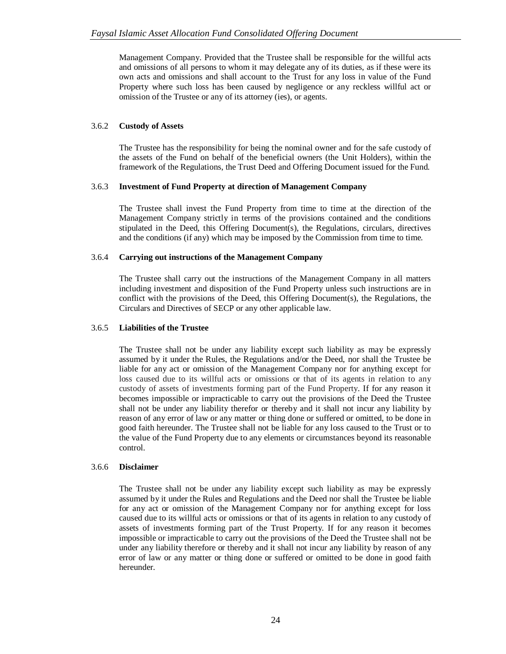Management Company. Provided that the Trustee shall be responsible for the willful acts and omissions of all persons to whom it may delegate any of its duties, as if these were its own acts and omissions and shall account to the Trust for any loss in value of the Fund Property where such loss has been caused by negligence or any reckless willful act or omission of the Trustee or any of its attorney (ies), or agents.

# 3.6.2 **Custody of Assets**

The Trustee has the responsibility for being the nominal owner and for the safe custody of the assets of the Fund on behalf of the beneficial owners (the Unit Holders), within the framework of the Regulations, the Trust Deed and Offering Document issued for the Fund.

# 3.6.3 **Investment of Fund Property at direction of Management Company**

The Trustee shall invest the Fund Property from time to time at the direction of the Management Company strictly in terms of the provisions contained and the conditions stipulated in the Deed, this Offering Document(s), the Regulations, circulars, directives and the conditions (if any) which may be imposed by the Commission from time to time.

# 3.6.4 **Carrying out instructions of the Management Company**

The Trustee shall carry out the instructions of the Management Company in all matters including investment and disposition of the Fund Property unless such instructions are in conflict with the provisions of the Deed, this Offering Document(s), the Regulations, the Circulars and Directives of SECP or any other applicable law.

### 3.6.5 **Liabilities of the Trustee**

The Trustee shall not be under any liability except such liability as may be expressly assumed by it under the Rules, the Regulations and/or the Deed, nor shall the Trustee be liable for any act or omission of the Management Company nor for anything except for loss caused due to its willful acts or omissions or that of its agents in relation to any custody of assets of investments forming part of the Fund Property. If for any reason it becomes impossible or impracticable to carry out the provisions of the Deed the Trustee shall not be under any liability therefor or thereby and it shall not incur any liability by reason of any error of law or any matter or thing done or suffered or omitted, to be done in good faith hereunder. The Trustee shall not be liable for any loss caused to the Trust or to the value of the Fund Property due to any elements or circumstances beyond its reasonable control.

### 3.6.6 **Disclaimer**

The Trustee shall not be under any liability except such liability as may be expressly assumed by it under the Rules and Regulations and the Deed nor shall the Trustee be liable for any act or omission of the Management Company nor for anything except for loss caused due to its willful acts or omissions or that of its agents in relation to any custody of assets of investments forming part of the Trust Property. If for any reason it becomes impossible or impracticable to carry out the provisions of the Deed the Trustee shall not be under any liability therefore or thereby and it shall not incur any liability by reason of any error of law or any matter or thing done or suffered or omitted to be done in good faith hereunder.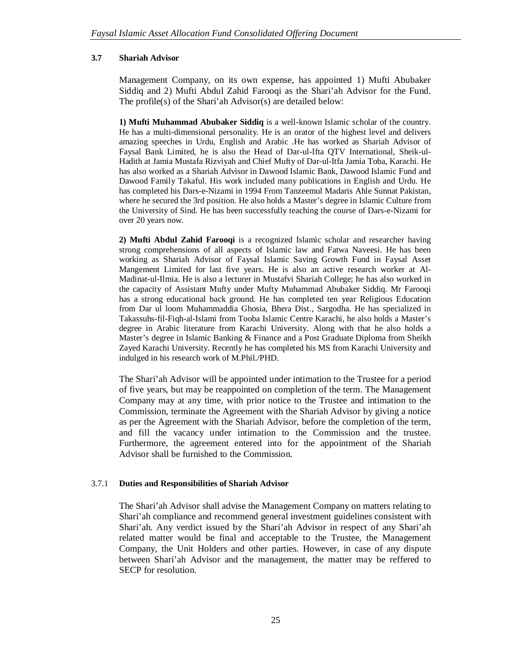# **3.7 Shariah Advisor**

Management Company, on its own expense, has appointed 1) Mufti Abubaker Siddiq and 2) Mufti Abdul Zahid Farooqi as the Shari'ah Advisor for the Fund. The profile(s) of the Shari'ah Advisor(s) are detailed below:

**1) Mufti Muhammad Abubaker Siddiq** is a well-known Islamic scholar of the country. He has a multi-dimensional personality. He is an orator of the highest level and delivers amazing speeches in Urdu, English and Arabic .He has worked as Shariah Advisor of Faysal Bank Limited, he is also the Head of Dar-ul-Ifta QTV International, Sheik-ul-Hadith at Jamia Mustafa Rizviyah and Chief Mufty of Dar-ul-Itfa Jamia Toba, Karachi. He has also worked as a Shariah Advisor in Dawood Islamic Bank, Dawood Islamic Fund and Dawood Family Takaful. His work included many publications in English and Urdu. He has completed his Dars-e-Nizami in 1994 From Tanzeemul Madaris Ahle Sunnat Pakistan, where he secured the 3rd position. He also holds a Master's degree in Islamic Culture from the University of Sind. He has been successfully teaching the course of Dars-e-Nizami for over 20 years now.

**2) Mufti Abdul Zahid Farooqi** is a recognized Islamic scholar and researcher having strong comprehensions of all aspects of Islamic law and Fatwa Naveesi. He has been working as Shariah Advisor of Faysal Islamic Saving Growth Fund in Faysal Asset Mangement Limited for last five years. He is also an active research worker at Al-Madinat-ul-Ilmia. He is also a lecturer in Mustafvi Shariah College; he has also worked in the capacity of Assistant Mufty under Mufty Muhammad Abubaker Siddiq. Mr Farooqi has a strong educational back ground. He has completed ten year Religious Education from Dar ul loom Muhammaddia Ghosia, Bhera Dist., Sargodha. He has specialized in Takassuhs-fil-Fiqh-al-Islami from Tooba Islamic Centre Karachi, he also holds a Master's degree in Arabic literature from Karachi University. Along with that he also holds a Master's degree in Islamic Banking & Finance and a Post Graduate Diploma from Sheikh Zayed Karachi University. Recently he has completed his MS from Karachi University and indulged in his research work of M.Phil./PHD.

The Shari'ah Advisor will be appointed under intimation to the Trustee for a period of five years, but may be reappointed on completion of the term. The Management Company may at any time, with prior notice to the Trustee and intimation to the Commission, terminate the Agreement with the Shariah Advisor by giving a notice as per the Agreement with the Shariah Advisor, before the completion of the term, and fill the vacancy under intimation to the Commission and the trustee. Furthermore, the agreement entered into for the appointment of the Shariah Advisor shall be furnished to the Commission.

# 3.7.1 **Duties and Responsibilities of Shariah Advisor**

The Shari'ah Advisor shall advise the Management Company on matters relating to Shari'ah compliance and recommend general investment guidelines consistent with Shari'ah. Any verdict issued by the Shari'ah Advisor in respect of any Shari'ah related matter would be final and acceptable to the Trustee, the Management Company, the Unit Holders and other parties. However, in case of any dispute between Shari'ah Advisor and the management, the matter may be reffered to SECP for resolution.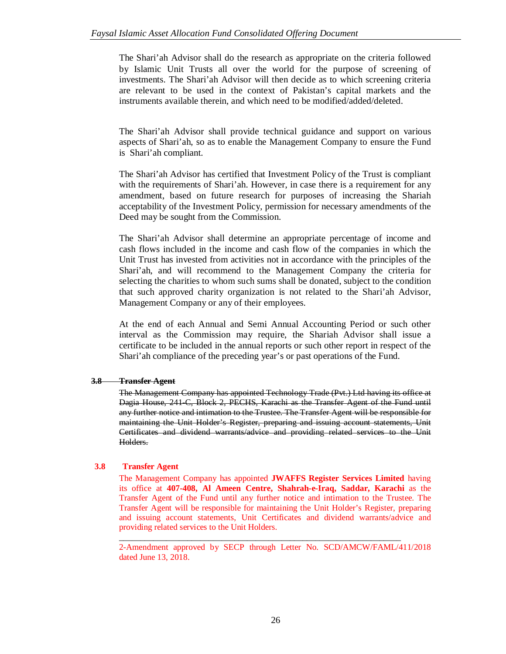The Shari'ah Advisor shall do the research as appropriate on the criteria followed by Islamic Unit Trusts all over the world for the purpose of screening of investments. The Shari'ah Advisor will then decide as to which screening criteria are relevant to be used in the context of Pakistan's capital markets and the instruments available therein, and which need to be modified/added/deleted.

The Shari'ah Advisor shall provide technical guidance and support on various aspects of Shari'ah, so as to enable the Management Company to ensure the Fund is Shari'ah compliant.

The Shari'ah Advisor has certified that Investment Policy of the Trust is compliant with the requirements of Shari'ah. However, in case there is a requirement for any amendment, based on future research for purposes of increasing the Shariah acceptability of the Investment Policy, permission for necessary amendments of the Deed may be sought from the Commission.

The Shari'ah Advisor shall determine an appropriate percentage of income and cash flows included in the income and cash flow of the companies in which the Unit Trust has invested from activities not in accordance with the principles of the Shari'ah, and will recommend to the Management Company the criteria for selecting the charities to whom such sums shall be donated, subject to the condition that such approved charity organization is not related to the Shari'ah Advisor, Management Company or any of their employees.

At the end of each Annual and Semi Annual Accounting Period or such other interval as the Commission may require, the Shariah Advisor shall issue a certificate to be included in the annual reports or such other report in respect of the Shari'ah compliance of the preceding year's or past operations of the Fund.

# **3.8 Transfer Agent**

The Management Company has appointed Technology Trade (Pvt.) Ltd having its office at Dagia House, 241-C, Block 2, PECHS, Karachi as the Transfer Agent of the Fund until any further notice and intimation to the Trustee. The Transfer Agent will be responsible for maintaining the Unit Holder's Register, preparing and issuing account statements, Unit Certificates and dividend warrants/advice and providing related services to the Unit Holders.

# **3.8 Transfer Agent**

The Management Company has appointed **JWAFFS Register Services Limited** having its office at **407-408, Al Ameen Centre, Shahrah-e-Iraq, Saddar, Karachi** as the Transfer Agent of the Fund until any further notice and intimation to the Trustee. The Transfer Agent will be responsible for maintaining the Unit Holder's Register, preparing and issuing account statements, Unit Certificates and dividend warrants/advice and providing related services to the Unit Holders.

2-Amendment approved by SECP through Letter No. SCD/AMCW/FAML/411/2018 dated June 13, 2018.

\_\_\_\_\_\_\_\_\_\_\_\_\_\_\_\_\_\_\_\_\_\_\_\_\_\_\_\_\_\_\_\_\_\_\_\_\_\_\_\_\_\_\_\_\_\_\_\_\_\_\_\_\_\_\_\_\_\_\_\_\_\_\_\_\_\_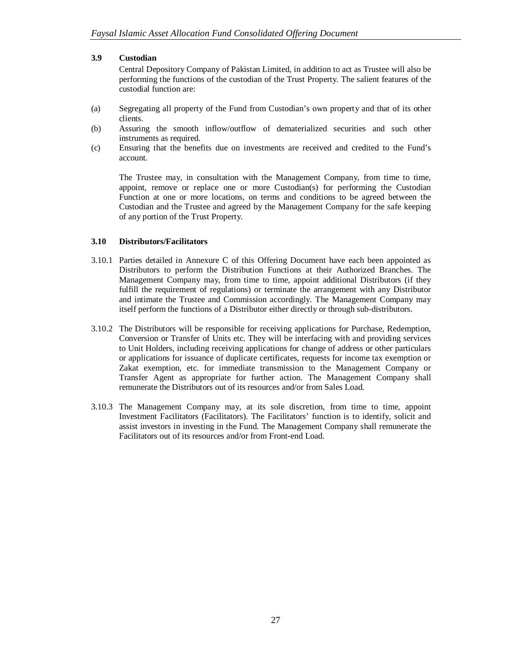### **3.9 Custodian**

Central Depository Company of Pakistan Limited, in addition to act as Trustee will also be performing the functions of the custodian of the Trust Property. The salient features of the custodial function are:

- (a) Segregating all property of the Fund from Custodian's own property and that of its other clients.
- (b) Assuring the smooth inflow/outflow of dematerialized securities and such other instruments as required.
- (c) Ensuring that the benefits due on investments are received and credited to the Fund's account.

The Trustee may, in consultation with the Management Company, from time to time, appoint, remove or replace one or more Custodian(s) for performing the Custodian Function at one or more locations, on terms and conditions to be agreed between the Custodian and the Trustee and agreed by the Management Company for the safe keeping of any portion of the Trust Property.

# **3.10 Distributors/Facilitators**

- 3.10.1 Parties detailed in Annexure C of this Offering Document have each been appointed as Distributors to perform the Distribution Functions at their Authorized Branches. The Management Company may, from time to time, appoint additional Distributors (if they fulfill the requirement of regulations) or terminate the arrangement with any Distributor and intimate the Trustee and Commission accordingly. The Management Company may itself perform the functions of a Distributor either directly or through sub-distributors.
- 3.10.2 The Distributors will be responsible for receiving applications for Purchase, Redemption, Conversion or Transfer of Units etc. They will be interfacing with and providing services to Unit Holders, including receiving applications for change of address or other particulars or applications for issuance of duplicate certificates, requests for income tax exemption or Zakat exemption, etc. for immediate transmission to the Management Company or Transfer Agent as appropriate for further action. The Management Company shall remunerate the Distributors out of its resources and/or from Sales Load.
- 3.10.3 The Management Company may, at its sole discretion, from time to time, appoint Investment Facilitators (Facilitators). The Facilitators' function is to identify, solicit and assist investors in investing in the Fund. The Management Company shall remunerate the Facilitators out of its resources and/or from Front-end Load.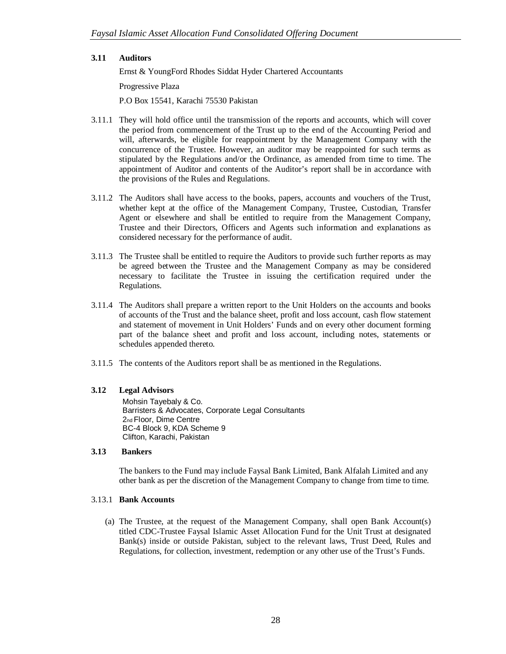### **3.11 Auditors**

Ernst & YoungFord Rhodes Siddat Hyder Chartered Accountants

Progressive Plaza

P.O Box 15541, Karachi 75530 Pakistan

- 3.11.1 They will hold office until the transmission of the reports and accounts, which will cover the period from commencement of the Trust up to the end of the Accounting Period and will, afterwards, be eligible for reappointment by the Management Company with the concurrence of the Trustee. However, an auditor may be reappointed for such terms as stipulated by the Regulations and/or the Ordinance, as amended from time to time. The appointment of Auditor and contents of the Auditor's report shall be in accordance with the provisions of the Rules and Regulations.
- 3.11.2 The Auditors shall have access to the books, papers, accounts and vouchers of the Trust, whether kept at the office of the Management Company, Trustee, Custodian, Transfer Agent or elsewhere and shall be entitled to require from the Management Company, Trustee and their Directors, Officers and Agents such information and explanations as considered necessary for the performance of audit.
- 3.11.3 The Trustee shall be entitled to require the Auditors to provide such further reports as may be agreed between the Trustee and the Management Company as may be considered necessary to facilitate the Trustee in issuing the certification required under the Regulations.
- 3.11.4 The Auditors shall prepare a written report to the Unit Holders on the accounts and books of accounts of the Trust and the balance sheet, profit and loss account, cash flow statement and statement of movement in Unit Holders' Funds and on every other document forming part of the balance sheet and profit and loss account, including notes, statements or schedules appended thereto.
- 3.11.5 The contents of the Auditors report shall be as mentioned in the Regulations.

# **3.12 Legal Advisors**

Mohsin Tayebaly & Co. Barristers & Advocates, Corporate Legal Consultants 2nd Floor, Dime Centre BC-4 Block 9, KDA Scheme 9 Clifton, Karachi, Pakistan

### **3.13 Bankers**

The bankers to the Fund may include Faysal Bank Limited, Bank Alfalah Limited and any other bank as per the discretion of the Management Company to change from time to time.

### 3.13.1 **Bank Accounts**

(a) The Trustee, at the request of the Management Company, shall open Bank Account(s) titled CDC-Trustee Faysal Islamic Asset Allocation Fund for the Unit Trust at designated Bank(s) inside or outside Pakistan, subject to the relevant laws, Trust Deed, Rules and Regulations, for collection, investment, redemption or any other use of the Trust's Funds.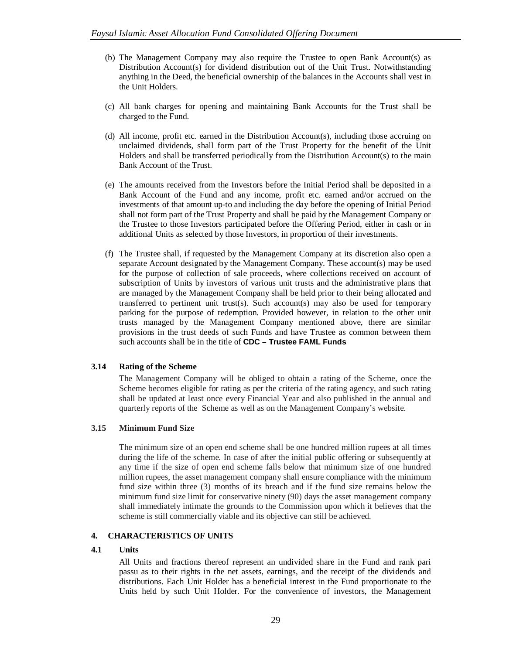- (b) The Management Company may also require the Trustee to open Bank Account(s) as Distribution Account(s) for dividend distribution out of the Unit Trust. Notwithstanding anything in the Deed, the beneficial ownership of the balances in the Accounts shall vest in the Unit Holders.
- (c) All bank charges for opening and maintaining Bank Accounts for the Trust shall be charged to the Fund.
- (d) All income, profit etc. earned in the Distribution Account(s), including those accruing on unclaimed dividends, shall form part of the Trust Property for the benefit of the Unit Holders and shall be transferred periodically from the Distribution Account(s) to the main Bank Account of the Trust.
- (e) The amounts received from the Investors before the Initial Period shall be deposited in a Bank Account of the Fund and any income, profit etc. earned and/or accrued on the investments of that amount up-to and including the day before the opening of Initial Period shall not form part of the Trust Property and shall be paid by the Management Company or the Trustee to those Investors participated before the Offering Period, either in cash or in additional Units as selected by those Investors, in proportion of their investments.
- (f) The Trustee shall, if requested by the Management Company at its discretion also open a separate Account designated by the Management Company. These account(s) may be used for the purpose of collection of sale proceeds, where collections received on account of subscription of Units by investors of various unit trusts and the administrative plans that are managed by the Management Company shall be held prior to their being allocated and transferred to pertinent unit trust(s). Such account(s) may also be used for temporary parking for the purpose of redemption. Provided however, in relation to the other unit trusts managed by the Management Company mentioned above, there are similar provisions in the trust deeds of such Funds and have Trustee as common between them such accounts shall be in the title of **CDC – Trustee FAML Funds**

# **3.14 Rating of the Scheme**

The Management Company will be obliged to obtain a rating of the Scheme, once the Scheme becomes eligible for rating as per the criteria of the rating agency, and such rating shall be updated at least once every Financial Year and also published in the annual and quarterly reports of the Scheme as well as on the Management Company's website.

### **3.15 Minimum Fund Size**

The minimum size of an open end scheme shall be one hundred million rupees at all times during the life of the scheme. In case of after the initial public offering or subsequently at any time if the size of open end scheme falls below that minimum size of one hundred million rupees, the asset management company shall ensure compliance with the minimum fund size within three (3) months of its breach and if the fund size remains below the minimum fund size limit for conservative ninety (90) days the asset management company shall immediately intimate the grounds to the Commission upon which it believes that the scheme is still commercially viable and its objective can still be achieved.

### **4. CHARACTERISTICS OF UNITS**

### **4.1 Units**

All Units and fractions thereof represent an undivided share in the Fund and rank pari passu as to their rights in the net assets, earnings, and the receipt of the dividends and distributions. Each Unit Holder has a beneficial interest in the Fund proportionate to the Units held by such Unit Holder. For the convenience of investors, the Management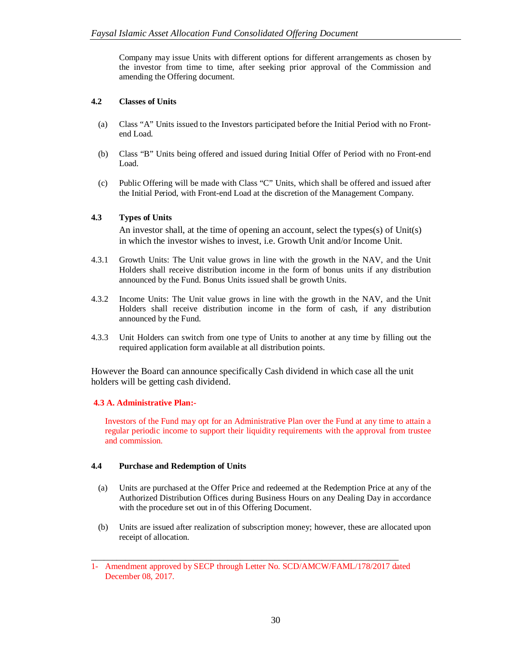Company may issue Units with different options for different arrangements as chosen by the investor from time to time, after seeking prior approval of the Commission and amending the Offering document.

# **4.2 Classes of Units**

- (a) Class "A" Units issued to the Investors participated before the Initial Period with no Frontend Load.
- (b) Class "B" Units being offered and issued during Initial Offer of Period with no Front-end Load.
- (c) Public Offering will be made with Class "C" Units, which shall be offered and issued after the Initial Period, with Front-end Load at the discretion of the Management Company.

# **4.3 Types of Units**

An investor shall, at the time of opening an account, select the types(s) of Unit(s) in which the investor wishes to invest, i.e. Growth Unit and/or Income Unit.

- 4.3.1 Growth Units: The Unit value grows in line with the growth in the NAV, and the Unit Holders shall receive distribution income in the form of bonus units if any distribution announced by the Fund. Bonus Units issued shall be growth Units.
- 4.3.2 Income Units: The Unit value grows in line with the growth in the NAV, and the Unit Holders shall receive distribution income in the form of cash, if any distribution announced by the Fund.
- 4.3.3 Unit Holders can switch from one type of Units to another at any time by filling out the required application form available at all distribution points.

However the Board can announce specifically Cash dividend in which case all the unit holders will be getting cash dividend.

### **4.3 A. Administrative Plan:-**

Investors of the Fund may opt for an Administrative Plan over the Fund at any time to attain a regular periodic income to support their liquidity requirements with the approval from trustee and commission.

### **4.4 Purchase and Redemption of Units**

- (a) Units are purchased at the Offer Price and redeemed at the Redemption Price at any of the Authorized Distribution Offices during Business Hours on any Dealing Day in accordance with the procedure set out in of this Offering Document.
- (b) Units are issued after realization of subscription money; however, these are allocated upon receipt of allocation.

\_\_\_\_\_\_\_\_\_\_\_\_\_\_\_\_\_\_\_\_\_\_\_\_\_\_\_\_\_\_\_\_\_\_\_\_\_\_\_\_\_\_\_\_\_\_\_\_\_\_\_\_\_\_\_\_\_\_\_\_\_\_\_\_\_\_\_\_\_\_\_\_

<sup>1-</sup> Amendment approved by SECP through Letter No. SCD/AMCW/FAML/178/2017 dated December 08, 2017.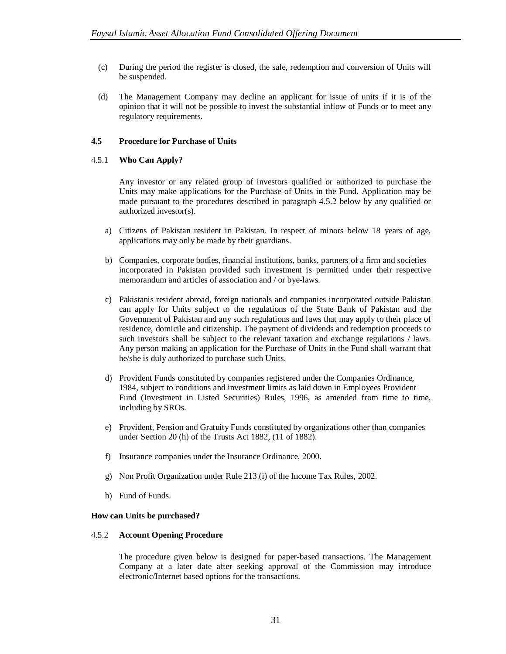- (c) During the period the register is closed, the sale, redemption and conversion of Units will be suspended.
- (d) The Management Company may decline an applicant for issue of units if it is of the opinion that it will not be possible to invest the substantial inflow of Funds or to meet any regulatory requirements.

### **4.5 Procedure for Purchase of Units**

### 4.5.1 **Who Can Apply?**

Any investor or any related group of investors qualified or authorized to purchase the Units may make applications for the Purchase of Units in the Fund. Application may be made pursuant to the procedures described in paragraph 4.5.2 below by any qualified or authorized investor(s).

- a) Citizens of Pakistan resident in Pakistan. In respect of minors below 18 years of age, applications may only be made by their guardians.
- b) Companies, corporate bodies, financial institutions, banks, partners of a firm and societies incorporated in Pakistan provided such investment is permitted under their respective memorandum and articles of association and / or bye-laws.
- c) Pakistanis resident abroad, foreign nationals and companies incorporated outside Pakistan can apply for Units subject to the regulations of the State Bank of Pakistan and the Government of Pakistan and any such regulations and laws that may apply to their place of residence, domicile and citizenship. The payment of dividends and redemption proceeds to such investors shall be subject to the relevant taxation and exchange regulations / laws. Any person making an application for the Purchase of Units in the Fund shall warrant that he/she is duly authorized to purchase such Units.
- d) Provident Funds constituted by companies registered under the Companies Ordinance, 1984, subject to conditions and investment limits as laid down in Employees Provident Fund (Investment in Listed Securities) Rules, 1996, as amended from time to time, including by SROs.
- e) Provident, Pension and Gratuity Funds constituted by organizations other than companies under Section 20 (h) of the Trusts Act 1882, (11 of 1882).
- f) Insurance companies under the Insurance Ordinance, 2000.
- g) Non Profit Organization under Rule 213 (i) of the Income Tax Rules, 2002.
- h) Fund of Funds.

### **How can Units be purchased?**

### 4.5.2 **Account Opening Procedure**

The procedure given below is designed for paper-based transactions. The Management Company at a later date after seeking approval of the Commission may introduce electronic/Internet based options for the transactions.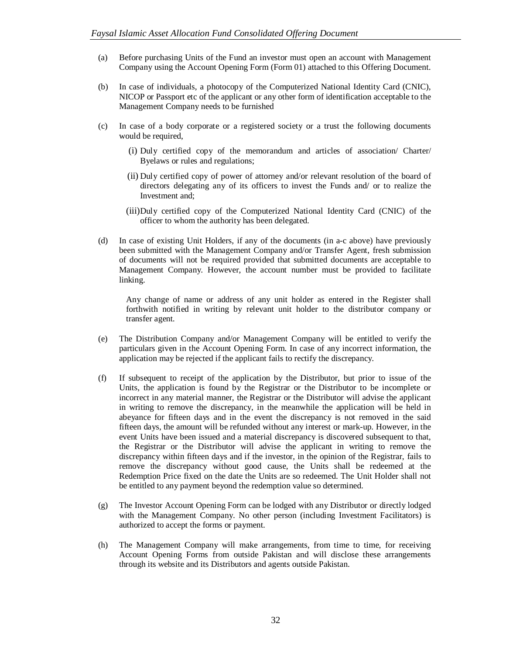- (a) Before purchasing Units of the Fund an investor must open an account with Management Company using the Account Opening Form (Form 01) attached to this Offering Document.
- (b) In case of individuals, a photocopy of the Computerized National Identity Card (CNIC), NICOP or Passport etc of the applicant or any other form of identification acceptable to the Management Company needs to be furnished
- (c) In case of a body corporate or a registered society or a trust the following documents would be required,
	- (i) Duly certified copy of the memorandum and articles of association/ Charter/ Byelaws or rules and regulations;
	- (ii) Duly certified copy of power of attorney and/or relevant resolution of the board of directors delegating any of its officers to invest the Funds and/ or to realize the Investment and;
	- (iii)Duly certified copy of the Computerized National Identity Card (CNIC) of the officer to whom the authority has been delegated.
- (d) In case of existing Unit Holders, if any of the documents (in a-c above) have previously been submitted with the Management Company and/or Transfer Agent, fresh submission of documents will not be required provided that submitted documents are acceptable to Management Company. However, the account number must be provided to facilitate linking.

Any change of name or address of any unit holder as entered in the Register shall forthwith notified in writing by relevant unit holder to the distributor company or transfer agent.

- (e) The Distribution Company and/or Management Company will be entitled to verify the particulars given in the Account Opening Form. In case of any incorrect information, the application may be rejected if the applicant fails to rectify the discrepancy.
- (f) If subsequent to receipt of the application by the Distributor, but prior to issue of the Units, the application is found by the Registrar or the Distributor to be incomplete or incorrect in any material manner, the Registrar or the Distributor will advise the applicant in writing to remove the discrepancy, in the meanwhile the application will be held in abeyance for fifteen days and in the event the discrepancy is not removed in the said fifteen days, the amount will be refunded without any interest or mark-up. However, in the event Units have been issued and a material discrepancy is discovered subsequent to that, the Registrar or the Distributor will advise the applicant in writing to remove the discrepancy within fifteen days and if the investor, in the opinion of the Registrar, fails to remove the discrepancy without good cause, the Units shall be redeemed at the Redemption Price fixed on the date the Units are so redeemed. The Unit Holder shall not be entitled to any payment beyond the redemption value so determined.
- (g) The Investor Account Opening Form can be lodged with any Distributor or directly lodged with the Management Company. No other person (including Investment Facilitators) is authorized to accept the forms or payment.
- (h) The Management Company will make arrangements, from time to time, for receiving Account Opening Forms from outside Pakistan and will disclose these arrangements through its website and its Distributors and agents outside Pakistan.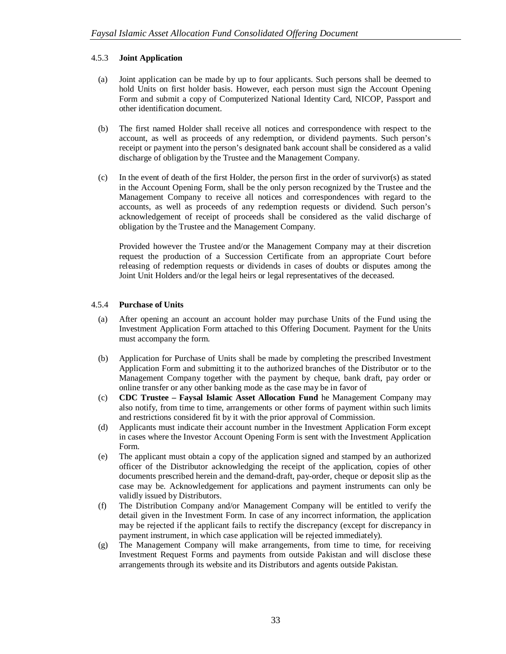# 4.5.3 **Joint Application**

- (a) Joint application can be made by up to four applicants. Such persons shall be deemed to hold Units on first holder basis. However, each person must sign the Account Opening Form and submit a copy of Computerized National Identity Card, NICOP, Passport and other identification document.
- (b) The first named Holder shall receive all notices and correspondence with respect to the account, as well as proceeds of any redemption, or dividend payments. Such person's receipt or payment into the person's designated bank account shall be considered as a valid discharge of obligation by the Trustee and the Management Company.
- (c) In the event of death of the first Holder, the person first in the order of survivor(s) as stated in the Account Opening Form, shall be the only person recognized by the Trustee and the Management Company to receive all notices and correspondences with regard to the accounts, as well as proceeds of any redemption requests or dividend. Such person's acknowledgement of receipt of proceeds shall be considered as the valid discharge of obligation by the Trustee and the Management Company.

Provided however the Trustee and/or the Management Company may at their discretion request the production of a Succession Certificate from an appropriate Court before releasing of redemption requests or dividends in cases of doubts or disputes among the Joint Unit Holders and/or the legal heirs or legal representatives of the deceased.

# 4.5.4 **Purchase of Units**

- (a) After opening an account an account holder may purchase Units of the Fund using the Investment Application Form attached to this Offering Document. Payment for the Units must accompany the form.
- (b) Application for Purchase of Units shall be made by completing the prescribed Investment Application Form and submitting it to the authorized branches of the Distributor or to the Management Company together with the payment by cheque, bank draft, pay order or online transfer or any other banking mode as the case may be in favor of
- (c) **CDC Trustee – Faysal Islamic Asset Allocation Fund** he Management Company may also notify, from time to time, arrangements or other forms of payment within such limits and restrictions considered fit by it with the prior approval of Commission.
- (d) Applicants must indicate their account number in the Investment Application Form except in cases where the Investor Account Opening Form is sent with the Investment Application Form.
- (e) The applicant must obtain a copy of the application signed and stamped by an authorized officer of the Distributor acknowledging the receipt of the application, copies of other documents prescribed herein and the demand-draft, pay-order, cheque or deposit slip as the case may be. Acknowledgement for applications and payment instruments can only be validly issued by Distributors.
- (f) The Distribution Company and/or Management Company will be entitled to verify the detail given in the Investment Form. In case of any incorrect information, the application may be rejected if the applicant fails to rectify the discrepancy (except for discrepancy in payment instrument, in which case application will be rejected immediately).
- (g) The Management Company will make arrangements, from time to time, for receiving Investment Request Forms and payments from outside Pakistan and will disclose these arrangements through its website and its Distributors and agents outside Pakistan.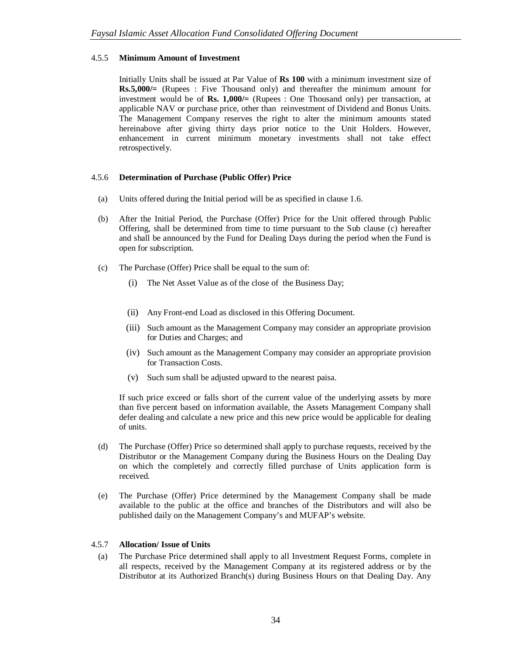# 4.5.5 **Minimum Amount of Investment**

Initially Units shall be issued at Par Value of **Rs 100** with a minimum investment size of **Rs.5,000/=** (Rupees : Five Thousand only) and thereafter the minimum amount for investment would be of **Rs. 1,000/=** (Rupees : One Thousand only) per transaction, at applicable NAV or purchase price, other than reinvestment of Dividend and Bonus Units. The Management Company reserves the right to alter the minimum amounts stated hereinabove after giving thirty days prior notice to the Unit Holders. However, enhancement in current minimum monetary investments shall not take effect retrospectively.

# 4.5.6 **Determination of Purchase (Public Offer) Price**

- (a) Units offered during the Initial period will be as specified in clause 1.6.
- (b) After the Initial Period, the Purchase (Offer) Price for the Unit offered through Public Offering, shall be determined from time to time pursuant to the Sub clause (c) hereafter and shall be announced by the Fund for Dealing Days during the period when the Fund is open for subscription.
- (c) The Purchase (Offer) Price shall be equal to the sum of:
	- (i) The Net Asset Value as of the close of the Business Day;
	- (ii) Any Front-end Load as disclosed in this Offering Document.
	- (iii) Such amount as the Management Company may consider an appropriate provision for Duties and Charges; and
	- (iv) Such amount as the Management Company may consider an appropriate provision for Transaction Costs.
	- (v) Such sum shall be adjusted upward to the nearest paisa.

If such price exceed or falls short of the current value of the underlying assets by more than five percent based on information available, the Assets Management Company shall defer dealing and calculate a new price and this new price would be applicable for dealing of units.

- (d) The Purchase (Offer) Price so determined shall apply to purchase requests, received by the Distributor or the Management Company during the Business Hours on the Dealing Day on which the completely and correctly filled purchase of Units application form is received.
- (e) The Purchase (Offer) Price determined by the Management Company shall be made available to the public at the office and branches of the Distributors and will also be published daily on the Management Company's and MUFAP's website.

# 4.5.7 **Allocation/ Issue of Units**

(a) The Purchase Price determined shall apply to all Investment Request Forms, complete in all respects, received by the Management Company at its registered address or by the Distributor at its Authorized Branch(s) during Business Hours on that Dealing Day. Any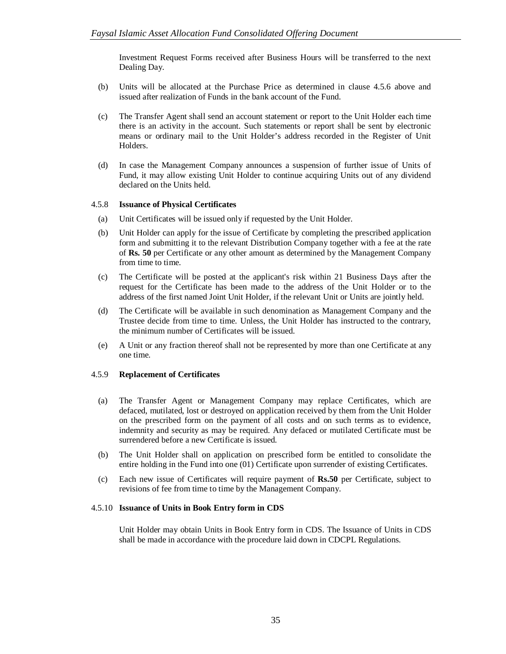Investment Request Forms received after Business Hours will be transferred to the next Dealing Day.

- (b) Units will be allocated at the Purchase Price as determined in clause 4.5.6 above and issued after realization of Funds in the bank account of the Fund.
- (c) The Transfer Agent shall send an account statement or report to the Unit Holder each time there is an activity in the account. Such statements or report shall be sent by electronic means or ordinary mail to the Unit Holder's address recorded in the Register of Unit Holders.
- (d) In case the Management Company announces a suspension of further issue of Units of Fund, it may allow existing Unit Holder to continue acquiring Units out of any dividend declared on the Units held.

### 4.5.8 **Issuance of Physical Certificates**

- (a) Unit Certificates will be issued only if requested by the Unit Holder.
- (b) Unit Holder can apply for the issue of Certificate by completing the prescribed application form and submitting it to the relevant Distribution Company together with a fee at the rate of **Rs. 50** per Certificate or any other amount as determined by the Management Company from time to time.
- (c) The Certificate will be posted at the applicant's risk within 21 Business Days after the request for the Certificate has been made to the address of the Unit Holder or to the address of the first named Joint Unit Holder, if the relevant Unit or Units are jointly held.
- (d) The Certificate will be available in such denomination as Management Company and the Trustee decide from time to time. Unless, the Unit Holder has instructed to the contrary, the minimum number of Certificates will be issued.
- (e) A Unit or any fraction thereof shall not be represented by more than one Certificate at any one time.

### 4.5.9 **Replacement of Certificates**

- (a) The Transfer Agent or Management Company may replace Certificates, which are defaced, mutilated, lost or destroyed on application received by them from the Unit Holder on the prescribed form on the payment of all costs and on such terms as to evidence, indemnity and security as may be required. Any defaced or mutilated Certificate must be surrendered before a new Certificate is issued.
- (b) The Unit Holder shall on application on prescribed form be entitled to consolidate the entire holding in the Fund into one (01) Certificate upon surrender of existing Certificates.
- (c) Each new issue of Certificates will require payment of **Rs.50** per Certificate, subject to revisions of fee from time to time by the Management Company.

#### 4.5.10 **Issuance of Units in Book Entry form in CDS**

Unit Holder may obtain Units in Book Entry form in CDS. The Issuance of Units in CDS shall be made in accordance with the procedure laid down in CDCPL Regulations.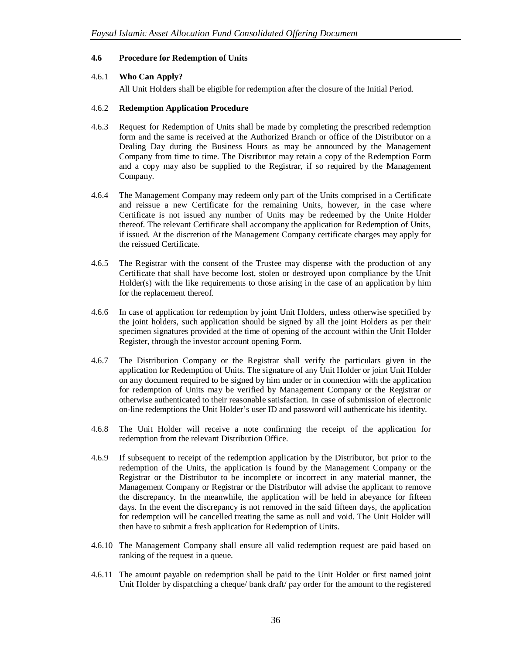# **4.6 Procedure for Redemption of Units**

# 4.6.1 **Who Can Apply?**

All Unit Holders shall be eligible for redemption after the closure of the Initial Period.

### 4.6.2 **Redemption Application Procedure**

- 4.6.3 Request for Redemption of Units shall be made by completing the prescribed redemption form and the same is received at the Authorized Branch or office of the Distributor on a Dealing Day during the Business Hours as may be announced by the Management Company from time to time. The Distributor may retain a copy of the Redemption Form and a copy may also be supplied to the Registrar, if so required by the Management Company.
- 4.6.4 The Management Company may redeem only part of the Units comprised in a Certificate and reissue a new Certificate for the remaining Units, however, in the case where Certificate is not issued any number of Units may be redeemed by the Unite Holder thereof. The relevant Certificate shall accompany the application for Redemption of Units, if issued. At the discretion of the Management Company certificate charges may apply for the reissued Certificate.
- 4.6.5 The Registrar with the consent of the Trustee may dispense with the production of any Certificate that shall have become lost, stolen or destroyed upon compliance by the Unit Holder(s) with the like requirements to those arising in the case of an application by him for the replacement thereof.
- 4.6.6 In case of application for redemption by joint Unit Holders, unless otherwise specified by the joint holders, such application should be signed by all the joint Holders as per their specimen signatures provided at the time of opening of the account within the Unit Holder Register, through the investor account opening Form.
- 4.6.7 The Distribution Company or the Registrar shall verify the particulars given in the application for Redemption of Units. The signature of any Unit Holder or joint Unit Holder on any document required to be signed by him under or in connection with the application for redemption of Units may be verified by Management Company or the Registrar or otherwise authenticated to their reasonable satisfaction. In case of submission of electronic on-line redemptions the Unit Holder's user ID and password will authenticate his identity.
- 4.6.8 The Unit Holder will receive a note confirming the receipt of the application for redemption from the relevant Distribution Office.
- 4.6.9 If subsequent to receipt of the redemption application by the Distributor, but prior to the redemption of the Units, the application is found by the Management Company or the Registrar or the Distributor to be incomplete or incorrect in any material manner, the Management Company or Registrar or the Distributor will advise the applicant to remove the discrepancy. In the meanwhile, the application will be held in abeyance for fifteen days. In the event the discrepancy is not removed in the said fifteen days, the application for redemption will be cancelled treating the same as null and void. The Unit Holder will then have to submit a fresh application for Redemption of Units.
- 4.6.10 The Management Company shall ensure all valid redemption request are paid based on ranking of the request in a queue.
- 4.6.11 The amount payable on redemption shall be paid to the Unit Holder or first named joint Unit Holder by dispatching a cheque/ bank draft/ pay order for the amount to the registered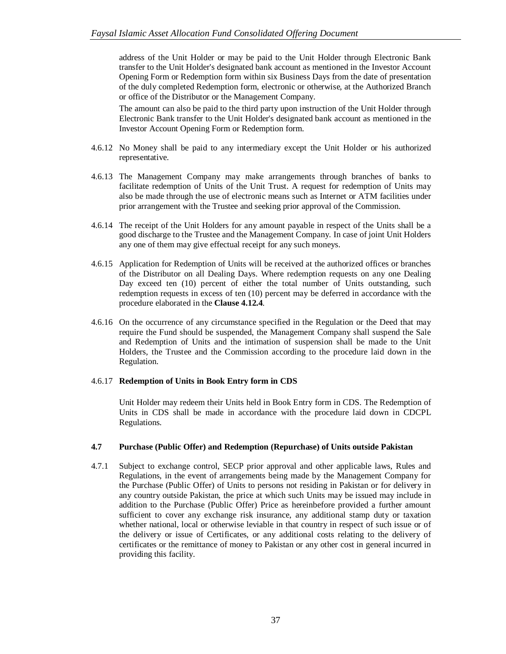address of the Unit Holder or may be paid to the Unit Holder through Electronic Bank transfer to the Unit Holder's designated bank account as mentioned in the Investor Account Opening Form or Redemption form within six Business Days from the date of presentation of the duly completed Redemption form, electronic or otherwise, at the Authorized Branch or office of the Distributor or the Management Company.

The amount can also be paid to the third party upon instruction of the Unit Holder through Electronic Bank transfer to the Unit Holder's designated bank account as mentioned in the Investor Account Opening Form or Redemption form.

- 4.6.12 No Money shall be paid to any intermediary except the Unit Holder or his authorized representative.
- 4.6.13 The Management Company may make arrangements through branches of banks to facilitate redemption of Units of the Unit Trust. A request for redemption of Units may also be made through the use of electronic means such as Internet or ATM facilities under prior arrangement with the Trustee and seeking prior approval of the Commission.
- 4.6.14 The receipt of the Unit Holders for any amount payable in respect of the Units shall be a good discharge to the Trustee and the Management Company. In case of joint Unit Holders any one of them may give effectual receipt for any such moneys.
- 4.6.15 Application for Redemption of Units will be received at the authorized offices or branches of the Distributor on all Dealing Days. Where redemption requests on any one Dealing Day exceed ten (10) percent of either the total number of Units outstanding, such redemption requests in excess of ten (10) percent may be deferred in accordance with the procedure elaborated in the **Clause 4.12.4**.
- 4.6.16 On the occurrence of any circumstance specified in the Regulation or the Deed that may require the Fund should be suspended, the Management Company shall suspend the Sale and Redemption of Units and the intimation of suspension shall be made to the Unit Holders, the Trustee and the Commission according to the procedure laid down in the Regulation.

### 4.6.17 **Redemption of Units in Book Entry form in CDS**

Unit Holder may redeem their Units held in Book Entry form in CDS. The Redemption of Units in CDS shall be made in accordance with the procedure laid down in CDCPL Regulations.

### **4.7 Purchase (Public Offer) and Redemption (Repurchase) of Units outside Pakistan**

4.7.1 Subject to exchange control, SECP prior approval and other applicable laws, Rules and Regulations, in the event of arrangements being made by the Management Company for the Purchase (Public Offer) of Units to persons not residing in Pakistan or for delivery in any country outside Pakistan, the price at which such Units may be issued may include in addition to the Purchase (Public Offer) Price as hereinbefore provided a further amount sufficient to cover any exchange risk insurance, any additional stamp duty or taxation whether national, local or otherwise leviable in that country in respect of such issue or of the delivery or issue of Certificates, or any additional costs relating to the delivery of certificates or the remittance of money to Pakistan or any other cost in general incurred in providing this facility.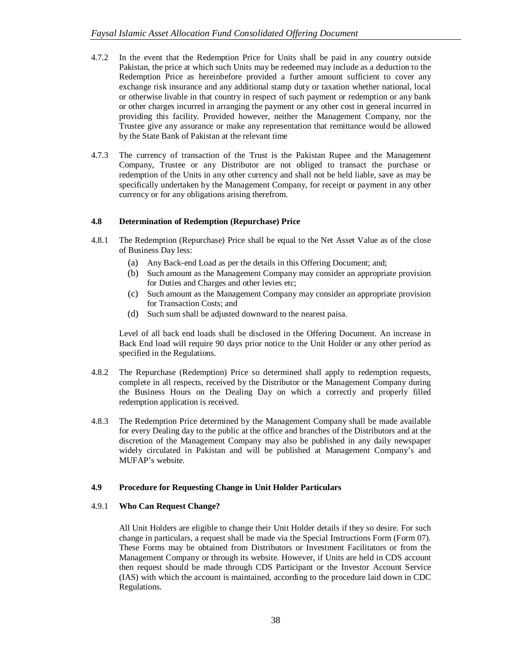- 4.7.2 In the event that the Redemption Price for Units shall be paid in any country outside Pakistan, the price at which such Units may be redeemed may include as a deduction to the Redemption Price as hereinbefore provided a further amount sufficient to cover any exchange risk insurance and any additional stamp duty or taxation whether national, local or otherwise livable in that country in respect of such payment or redemption or any bank or other charges incurred in arranging the payment or any other cost in general incurred in providing this facility. Provided however, neither the Management Company, nor the Trustee give any assurance or make any representation that remittance would be allowed by the State Bank of Pakistan at the relevant time
- 4.7.3 The currency of transaction of the Trust is the Pakistan Rupee and the Management Company, Trustee or any Distributor are not obliged to transact the purchase or redemption of the Units in any other currency and shall not be held liable, save as may be specifically undertaken by the Management Company, for receipt or payment in any other currency or for any obligations arising therefrom.

# **4.8 Determination of Redemption (Repurchase) Price**

- 4.8.1 The Redemption (Repurchase) Price shall be equal to the Net Asset Value as of the close of Business Day less:
	- (a) Any Back-end Load as per the details in this Offering Document; and;
	- (b) Such amount as the Management Company may consider an appropriate provision for Duties and Charges and other levies etc;
	- (c) Such amount as the Management Company may consider an appropriate provision for Transaction Costs; and
	- (d) Such sum shall be adjusted downward to the nearest paisa.

Level of all back end loads shall be disclosed in the Offering Document. An increase in Back End load will require 90 days prior notice to the Unit Holder or any other period as specified in the Regulations.

- 4.8.2 The Repurchase (Redemption) Price so determined shall apply to redemption requests, complete in all respects, received by the Distributor or the Management Company during the Business Hours on the Dealing Day on which a correctly and properly filled redemption application is received.
- 4.8.3 The Redemption Price determined by the Management Company shall be made available for every Dealing day to the public at the office and branches of the Distributors and at the discretion of the Management Company may also be published in any daily newspaper widely circulated in Pakistan and will be published at Management Company's and MUFAP's website.

# **4.9 Procedure for Requesting Change in Unit Holder Particulars**

# 4.9.1 **Who Can Request Change?**

All Unit Holders are eligible to change their Unit Holder details if they so desire. For such change in particulars, a request shall be made via the Special Instructions Form (Form 07). These Forms may be obtained from Distributors or Investment Facilitators or from the Management Company or through its website. However, if Units are held in CDS account then request should be made through CDS Participant or the Investor Account Service (IAS) with which the account is maintained, according to the procedure laid down in CDC Regulations.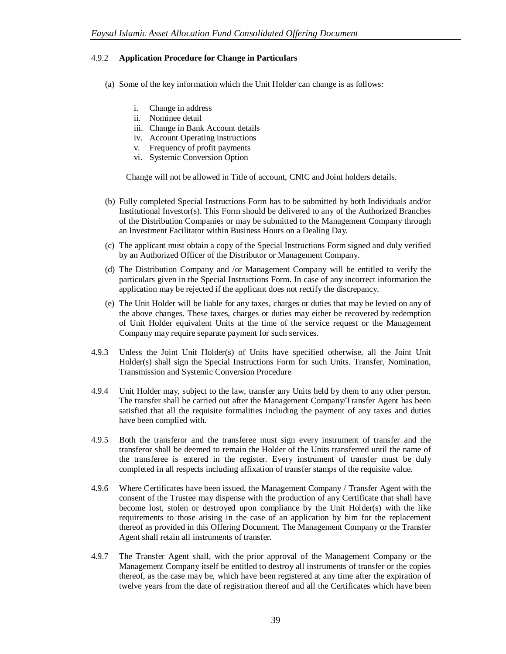# 4.9.2 **Application Procedure for Change in Particulars**

- (a) Some of the key information which the Unit Holder can change is as follows:
	- i. Change in address
	- ii. Nominee detail
	- iii. Change in Bank Account details
	- iv. Account Operating instructions
	- v. Frequency of profit payments
	- vi. Systemic Conversion Option

Change will not be allowed in Title of account, CNIC and Joint holders details.

- (b) Fully completed Special Instructions Form has to be submitted by both Individuals and/or Institutional Investor(s). This Form should be delivered to any of the Authorized Branches of the Distribution Companies or may be submitted to the Management Company through an Investment Facilitator within Business Hours on a Dealing Day.
- (c) The applicant must obtain a copy of the Special Instructions Form signed and duly verified by an Authorized Officer of the Distributor or Management Company.
- (d) The Distribution Company and /or Management Company will be entitled to verify the particulars given in the Special Instructions Form. In case of any incorrect information the application may be rejected if the applicant does not rectify the discrepancy.
- (e) The Unit Holder will be liable for any taxes, charges or duties that may be levied on any of the above changes. These taxes, charges or duties may either be recovered by redemption of Unit Holder equivalent Units at the time of the service request or the Management Company may require separate payment for such services.
- 4.9.3 Unless the Joint Unit Holder(s) of Units have specified otherwise, all the Joint Unit Holder(s) shall sign the Special Instructions Form for such Units. Transfer, Nomination, Transmission and Systemic Conversion Procedure
- 4.9.4 Unit Holder may, subject to the law, transfer any Units held by them to any other person. The transfer shall be carried out after the Management Company/Transfer Agent has been satisfied that all the requisite formalities including the payment of any taxes and duties have been complied with.
- 4.9.5 Both the transferor and the transferee must sign every instrument of transfer and the transferor shall be deemed to remain the Holder of the Units transferred until the name of the transferee is entered in the register. Every instrument of transfer must be duly completed in all respects including affixation of transfer stamps of the requisite value.
- 4.9.6 Where Certificates have been issued, the Management Company / Transfer Agent with the consent of the Trustee may dispense with the production of any Certificate that shall have become lost, stolen or destroyed upon compliance by the Unit Holder(s) with the like requirements to those arising in the case of an application by him for the replacement thereof as provided in this Offering Document. The Management Company or the Transfer Agent shall retain all instruments of transfer.
- 4.9.7 The Transfer Agent shall, with the prior approval of the Management Company or the Management Company itself be entitled to destroy all instruments of transfer or the copies thereof, as the case may be, which have been registered at any time after the expiration of twelve years from the date of registration thereof and all the Certificates which have been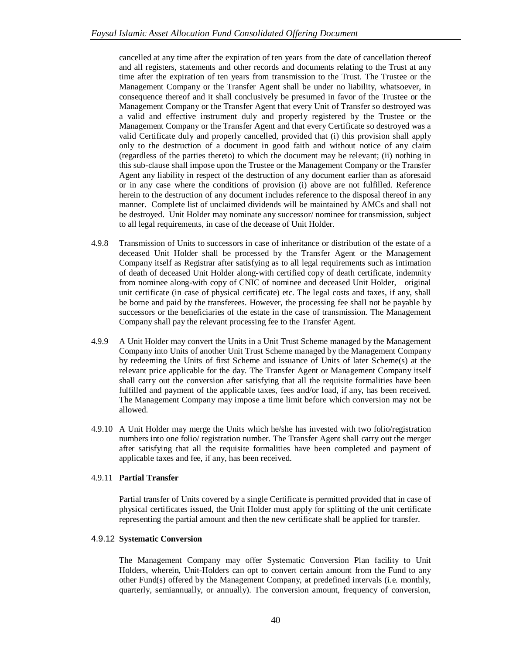cancelled at any time after the expiration of ten years from the date of cancellation thereof and all registers, statements and other records and documents relating to the Trust at any time after the expiration of ten years from transmission to the Trust. The Trustee or the Management Company or the Transfer Agent shall be under no liability, whatsoever, in consequence thereof and it shall conclusively be presumed in favor of the Trustee or the Management Company or the Transfer Agent that every Unit of Transfer so destroyed was a valid and effective instrument duly and properly registered by the Trustee or the Management Company or the Transfer Agent and that every Certificate so destroyed was a valid Certificate duly and properly cancelled, provided that (i) this provision shall apply only to the destruction of a document in good faith and without notice of any claim (regardless of the parties thereto) to which the document may be relevant; (ii) nothing in this sub-clause shall impose upon the Trustee or the Management Company or the Transfer Agent any liability in respect of the destruction of any document earlier than as aforesaid or in any case where the conditions of provision (i) above are not fulfilled. Reference herein to the destruction of any document includes reference to the disposal thereof in any manner. Complete list of unclaimed dividends will be maintained by AMCs and shall not be destroyed. Unit Holder may nominate any successor/ nominee for transmission, subject to all legal requirements, in case of the decease of Unit Holder.

- 4.9.8 Transmission of Units to successors in case of inheritance or distribution of the estate of a deceased Unit Holder shall be processed by the Transfer Agent or the Management Company itself as Registrar after satisfying as to all legal requirements such as intimation of death of deceased Unit Holder along-with certified copy of death certificate, indemnity from nominee along-with copy of CNIC of nominee and deceased Unit Holder, original unit certificate (in case of physical certificate) etc. The legal costs and taxes, if any, shall be borne and paid by the transferees. However, the processing fee shall not be payable by successors or the beneficiaries of the estate in the case of transmission. The Management Company shall pay the relevant processing fee to the Transfer Agent.
- 4.9.9 A Unit Holder may convert the Units in a Unit Trust Scheme managed by the Management Company into Units of another Unit Trust Scheme managed by the Management Company by redeeming the Units of first Scheme and issuance of Units of later Scheme(s) at the relevant price applicable for the day. The Transfer Agent or Management Company itself shall carry out the conversion after satisfying that all the requisite formalities have been fulfilled and payment of the applicable taxes, fees and/or load, if any, has been received. The Management Company may impose a time limit before which conversion may not be allowed.
- 4.9.10 A Unit Holder may merge the Units which he/she has invested with two folio/registration numbers into one folio/ registration number. The Transfer Agent shall carry out the merger after satisfying that all the requisite formalities have been completed and payment of applicable taxes and fee, if any, has been received.

# 4.9.11 **Partial Transfer**

Partial transfer of Units covered by a single Certificate is permitted provided that in case of physical certificates issued, the Unit Holder must apply for splitting of the unit certificate representing the partial amount and then the new certificate shall be applied for transfer.

# 4.9.12 **Systematic Conversion**

The Management Company may offer Systematic Conversion Plan facility to Unit Holders, wherein, Unit-Holders can opt to convert certain amount from the Fund to any other Fund(s) offered by the Management Company, at predefined intervals (i.e. monthly, quarterly, semiannually, or annually). The conversion amount, frequency of conversion,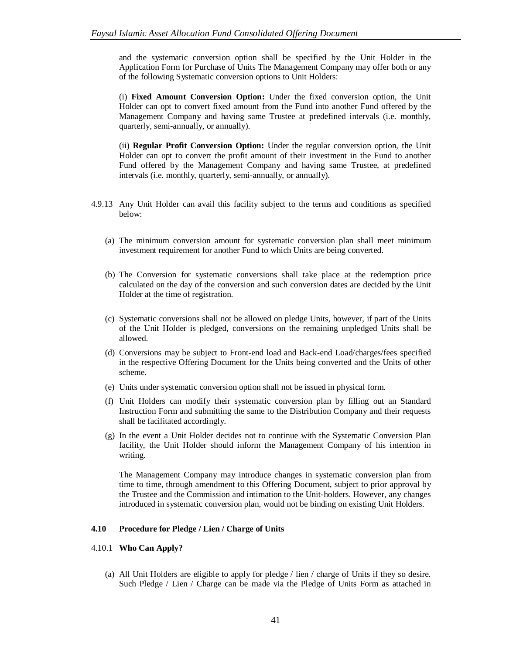and the systematic conversion option shall be specified by the Unit Holder in the Application Form for Purchase of Units The Management Company may offer both or any of the following Systematic conversion options to Unit Holders:

(i) **Fixed Amount Conversion Option:** Under the fixed conversion option, the Unit Holder can opt to convert fixed amount from the Fund into another Fund offered by the Management Company and having same Trustee at predefined intervals (i.e. monthly, quarterly, semi-annually, or annually).

(ii) **Regular Profit Conversion Option:** Under the regular conversion option, the Unit Holder can opt to convert the profit amount of their investment in the Fund to another Fund offered by the Management Company and having same Trustee, at predefined intervals (i.e. monthly, quarterly, semi-annually, or annually).

- 4.9.13 Any Unit Holder can avail this facility subject to the terms and conditions as specified below:
	- (a) The minimum conversion amount for systematic conversion plan shall meet minimum investment requirement for another Fund to which Units are being converted.
	- (b) The Conversion for systematic conversions shall take place at the redemption price calculated on the day of the conversion and such conversion dates are decided by the Unit Holder at the time of registration.
	- (c) Systematic conversions shall not be allowed on pledge Units, however, if part of the Units of the Unit Holder is pledged, conversions on the remaining unpledged Units shall be allowed.
	- (d) Conversions may be subject to Front-end load and Back-end Load/charges/fees specified in the respective Offering Document for the Units being converted and the Units of other scheme.
	- (e) Units under systematic conversion option shall not be issued in physical form.
	- (f) Unit Holders can modify their systematic conversion plan by filling out an Standard Instruction Form and submitting the same to the Distribution Company and their requests shall be facilitated accordingly.
	- (g) In the event a Unit Holder decides not to continue with the Systematic Conversion Plan facility, the Unit Holder should inform the Management Company of his intention in writing.

The Management Company may introduce changes in systematic conversion plan from time to time, through amendment to this Offering Document, subject to prior approval by the Trustee and the Commission and intimation to the Unit-holders. However, any changes introduced in systematic conversion plan, would not be binding on existing Unit Holders.

# **4.10 Procedure for Pledge / Lien / Charge of Units**

### 4.10.1 **Who Can Apply?**

(a) All Unit Holders are eligible to apply for pledge / lien / charge of Units if they so desire. Such Pledge / Lien / Charge can be made via the Pledge of Units Form as attached in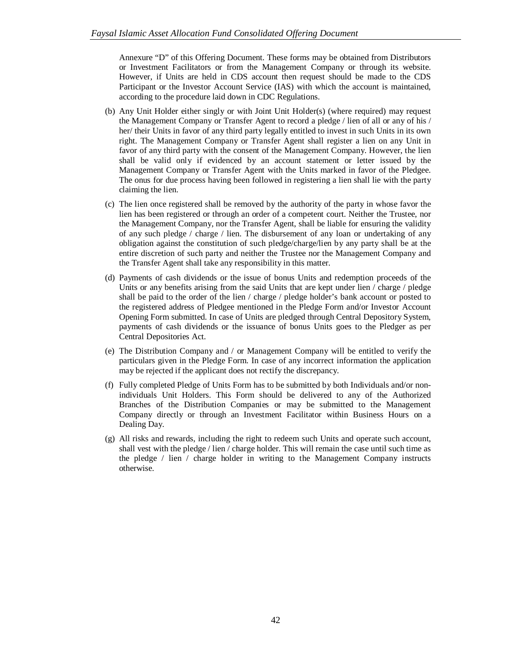Annexure "D" of this Offering Document. These forms may be obtained from Distributors or Investment Facilitators or from the Management Company or through its website. However, if Units are held in CDS account then request should be made to the CDS Participant or the Investor Account Service (IAS) with which the account is maintained, according to the procedure laid down in CDC Regulations.

- (b) Any Unit Holder either singly or with Joint Unit Holder(s) (where required) may request the Management Company or Transfer Agent to record a pledge / lien of all or any of his / her/ their Units in favor of any third party legally entitled to invest in such Units in its own right. The Management Company or Transfer Agent shall register a lien on any Unit in favor of any third party with the consent of the Management Company. However, the lien shall be valid only if evidenced by an account statement or letter issued by the Management Company or Transfer Agent with the Units marked in favor of the Pledgee. The onus for due process having been followed in registering a lien shall lie with the party claiming the lien.
- (c) The lien once registered shall be removed by the authority of the party in whose favor the lien has been registered or through an order of a competent court. Neither the Trustee, nor the Management Company, nor the Transfer Agent, shall be liable for ensuring the validity of any such pledge / charge / lien. The disbursement of any loan or undertaking of any obligation against the constitution of such pledge/charge/lien by any party shall be at the entire discretion of such party and neither the Trustee nor the Management Company and the Transfer Agent shall take any responsibility in this matter.
- (d) Payments of cash dividends or the issue of bonus Units and redemption proceeds of the Units or any benefits arising from the said Units that are kept under lien / charge / pledge shall be paid to the order of the lien / charge / pledge holder's bank account or posted to the registered address of Pledgee mentioned in the Pledge Form and/or Investor Account Opening Form submitted. In case of Units are pledged through Central Depository System, payments of cash dividends or the issuance of bonus Units goes to the Pledger as per Central Depositories Act.
- (e) The Distribution Company and / or Management Company will be entitled to verify the particulars given in the Pledge Form. In case of any incorrect information the application may be rejected if the applicant does not rectify the discrepancy.
- (f) Fully completed Pledge of Units Form has to be submitted by both Individuals and/or nonindividuals Unit Holders. This Form should be delivered to any of the Authorized Branches of the Distribution Companies or may be submitted to the Management Company directly or through an Investment Facilitator within Business Hours on a Dealing Day.
- (g) All risks and rewards, including the right to redeem such Units and operate such account, shall vest with the pledge / lien / charge holder. This will remain the case until such time as the pledge / lien / charge holder in writing to the Management Company instructs otherwise.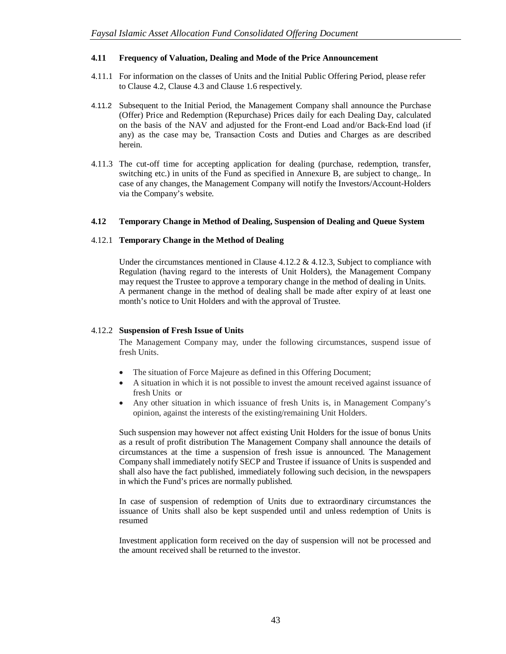# **4.11 Frequency of Valuation, Dealing and Mode of the Price Announcement**

- 4.11.1 For information on the classes of Units and the Initial Public Offering Period, please refer to Clause 4.2, Clause 4.3 and Clause 1.6 respectively.
- 4.11.2 Subsequent to the Initial Period, the Management Company shall announce the Purchase (Offer) Price and Redemption (Repurchase) Prices daily for each Dealing Day, calculated on the basis of the NAV and adjusted for the Front-end Load and/or Back-End load (if any) as the case may be, Transaction Costs and Duties and Charges as are described herein.
- 4.11.3 The cut-off time for accepting application for dealing (purchase, redemption, transfer, switching etc.) in units of the Fund as specified in Annexure B, are subject to change,. In case of any changes, the Management Company will notify the Investors/Account-Holders via the Company's website.

### **4.12 Temporary Change in Method of Dealing, Suspension of Dealing and Queue System**

### 4.12.1 **Temporary Change in the Method of Dealing**

Under the circumstances mentioned in Clause  $4.12.2 \& 4.12.3$ , Subject to compliance with Regulation (having regard to the interests of Unit Holders), the Management Company may request the Trustee to approve a temporary change in the method of dealing in Units. A permanent change in the method of dealing shall be made after expiry of at least one month's notice to Unit Holders and with the approval of Trustee.

#### 4.12.2 **Suspension of Fresh Issue of Units**

The Management Company may, under the following circumstances, suspend issue of fresh Units.

- The situation of Force Majeure as defined in this Offering Document;
- A situation in which it is not possible to invest the amount received against issuance of fresh Units or
- Any other situation in which issuance of fresh Units is, in Management Company's opinion, against the interests of the existing/remaining Unit Holders.

Such suspension may however not affect existing Unit Holders for the issue of bonus Units as a result of profit distribution The Management Company shall announce the details of circumstances at the time a suspension of fresh issue is announced. The Management Company shall immediately notify SECP and Trustee if issuance of Units is suspended and shall also have the fact published, immediately following such decision, in the newspapers in which the Fund's prices are normally published.

In case of suspension of redemption of Units due to extraordinary circumstances the issuance of Units shall also be kept suspended until and unless redemption of Units is resumed

Investment application form received on the day of suspension will not be processed and the amount received shall be returned to the investor.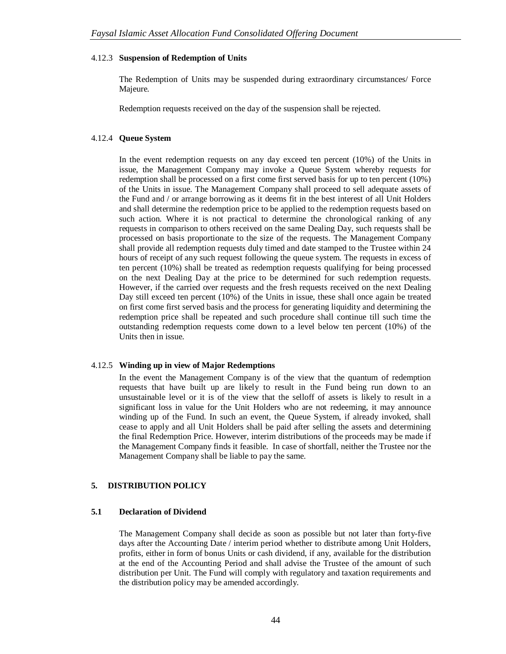#### 4.12.3 **Suspension of Redemption of Units**

The Redemption of Units may be suspended during extraordinary circumstances/ Force Majeure.

Redemption requests received on the day of the suspension shall be rejected.

#### 4.12.4 **Queue System**

In the event redemption requests on any day exceed ten percent (10%) of the Units in issue, the Management Company may invoke a Queue System whereby requests for redemption shall be processed on a first come first served basis for up to ten percent (10%) of the Units in issue. The Management Company shall proceed to sell adequate assets of the Fund and / or arrange borrowing as it deems fit in the best interest of all Unit Holders and shall determine the redemption price to be applied to the redemption requests based on such action. Where it is not practical to determine the chronological ranking of any requests in comparison to others received on the same Dealing Day, such requests shall be processed on basis proportionate to the size of the requests. The Management Company shall provide all redemption requests duly timed and date stamped to the Trustee within 24 hours of receipt of any such request following the queue system. The requests in excess of ten percent (10%) shall be treated as redemption requests qualifying for being processed on the next Dealing Day at the price to be determined for such redemption requests. However, if the carried over requests and the fresh requests received on the next Dealing Day still exceed ten percent (10%) of the Units in issue, these shall once again be treated on first come first served basis and the process for generating liquidity and determining the redemption price shall be repeated and such procedure shall continue till such time the outstanding redemption requests come down to a level below ten percent (10%) of the Units then in issue.

### 4.12.5 **Winding up in view of Major Redemptions**

In the event the Management Company is of the view that the quantum of redemption requests that have built up are likely to result in the Fund being run down to an unsustainable level or it is of the view that the selloff of assets is likely to result in a significant loss in value for the Unit Holders who are not redeeming, it may announce winding up of the Fund. In such an event, the Queue System, if already invoked, shall cease to apply and all Unit Holders shall be paid after selling the assets and determining the final Redemption Price. However, interim distributions of the proceeds may be made if the Management Company finds it feasible. In case of shortfall, neither the Trustee nor the Management Company shall be liable to pay the same.

### **5. DISTRIBUTION POLICY**

#### **5.1 Declaration of Dividend**

The Management Company shall decide as soon as possible but not later than forty-five days after the Accounting Date / interim period whether to distribute among Unit Holders, profits, either in form of bonus Units or cash dividend, if any, available for the distribution at the end of the Accounting Period and shall advise the Trustee of the amount of such distribution per Unit. The Fund will comply with regulatory and taxation requirements and the distribution policy may be amended accordingly.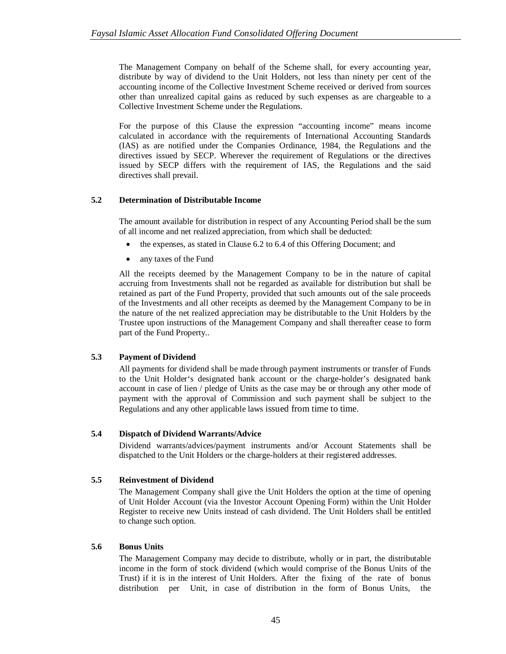The Management Company on behalf of the Scheme shall, for every accounting year, distribute by way of dividend to the Unit Holders, not less than ninety per cent of the accounting income of the Collective Investment Scheme received or derived from sources other than unrealized capital gains as reduced by such expenses as are chargeable to a Collective Investment Scheme under the Regulations.

For the purpose of this Clause the expression "accounting income" means income calculated in accordance with the requirements of International Accounting Standards (IAS) as are notified under the Companies Ordinance, 1984, the Regulations and the directives issued by SECP. Wherever the requirement of Regulations or the directives issued by SECP differs with the requirement of IAS, the Regulations and the said directives shall prevail.

# **5.2 Determination of Distributable Income**

The amount available for distribution in respect of any Accounting Period shall be the sum of all income and net realized appreciation, from which shall be deducted:

- the expenses, as stated in Clause 6.2 to 6.4 of this Offering Document; and
- any taxes of the Fund

All the receipts deemed by the Management Company to be in the nature of capital accruing from Investments shall not be regarded as available for distribution but shall be retained as part of the Fund Property, provided that such amounts out of the sale proceeds of the Investments and all other receipts as deemed by the Management Company to be in the nature of the net realized appreciation may be distributable to the Unit Holders by the Trustee upon instructions of the Management Company and shall thereafter cease to form part of the Fund Property..

# **5.3 Payment of Dividend**

All payments for dividend shall be made through payment instruments or transfer of Funds to the Unit Holder's designated bank account or the charge-holder's designated bank account in case of lien / pledge of Units as the case may be or through any other mode of payment with the approval of Commission and such payment shall be subject to the Regulations and any other applicable laws issued from time to time.

# **5.4 Dispatch of Dividend Warrants/Advice**

Dividend warrants/advices/payment instruments and/or Account Statements shall be dispatched to the Unit Holders or the charge-holders at their registered addresses.

# **5.5 Reinvestment of Dividend**

The Management Company shall give the Unit Holders the option at the time of opening of Unit Holder Account (via the Investor Account Opening Form) within the Unit Holder Register to receive new Units instead of cash dividend. The Unit Holders shall be entitled to change such option.

# **5.6 Bonus Units**

The Management Company may decide to distribute, wholly or in part, the distributable income in the form of stock dividend (which would comprise of the Bonus Units of the Trust) if it is in the interest of Unit Holders. After the fixing of the rate of bonus distribution per Unit, in case of distribution in the form of Bonus Units, the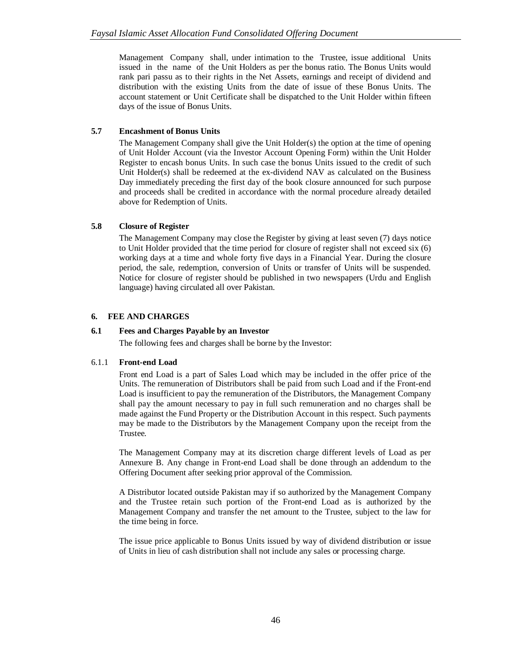Management Company shall, under intimation to the Trustee, issue additional Units issued in the name of the Unit Holders as per the bonus ratio. The Bonus Units would rank pari passu as to their rights in the Net Assets, earnings and receipt of dividend and distribution with the existing Units from the date of issue of these Bonus Units. The account statement or Unit Certificate shall be dispatched to the Unit Holder within fifteen days of the issue of Bonus Units.

# **5.7 Encashment of Bonus Units**

The Management Company shall give the Unit Holder(s) the option at the time of opening of Unit Holder Account (via the Investor Account Opening Form) within the Unit Holder Register to encash bonus Units. In such case the bonus Units issued to the credit of such Unit Holder(s) shall be redeemed at the ex-dividend NAV as calculated on the Business Day immediately preceding the first day of the book closure announced for such purpose and proceeds shall be credited in accordance with the normal procedure already detailed above for Redemption of Units.

# **5.8 Closure of Register**

The Management Company may close the Register by giving at least seven (7) days notice to Unit Holder provided that the time period for closure of register shall not exceed six (6) working days at a time and whole forty five days in a Financial Year. During the closure period, the sale, redemption, conversion of Units or transfer of Units will be suspended. Notice for closure of register should be published in two newspapers (Urdu and English language) having circulated all over Pakistan.

# **6. FEE AND CHARGES**

# **6.1 Fees and Charges Payable by an Investor**

The following fees and charges shall be borne by the Investor:

# 6.1.1 **Front-end Load**

Front end Load is a part of Sales Load which may be included in the offer price of the Units. The remuneration of Distributors shall be paid from such Load and if the Front-end Load is insufficient to pay the remuneration of the Distributors, the Management Company shall pay the amount necessary to pay in full such remuneration and no charges shall be made against the Fund Property or the Distribution Account in this respect. Such payments may be made to the Distributors by the Management Company upon the receipt from the Trustee.

The Management Company may at its discretion charge different levels of Load as per Annexure B. Any change in Front-end Load shall be done through an addendum to the Offering Document after seeking prior approval of the Commission.

A Distributor located outside Pakistan may if so authorized by the Management Company and the Trustee retain such portion of the Front-end Load as is authorized by the Management Company and transfer the net amount to the Trustee, subject to the law for the time being in force.

The issue price applicable to Bonus Units issued by way of dividend distribution or issue of Units in lieu of cash distribution shall not include any sales or processing charge.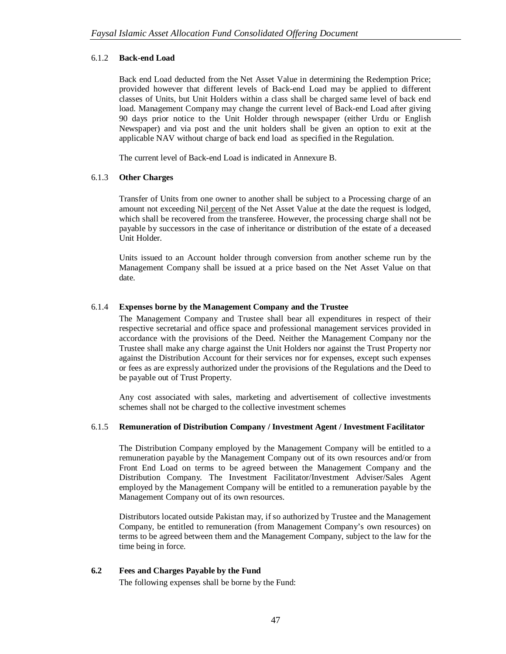# 6.1.2 **Back-end Load**

Back end Load deducted from the Net Asset Value in determining the Redemption Price; provided however that different levels of Back-end Load may be applied to different classes of Units, but Unit Holders within a class shall be charged same level of back end load. Management Company may change the current level of Back-end Load after giving 90 days prior notice to the Unit Holder through newspaper (either Urdu or English Newspaper) and via post and the unit holders shall be given an option to exit at the applicable NAV without charge of back end load as specified in the Regulation.

The current level of Back-end Load is indicated in Annexure B.

# 6.1.3 **Other Charges**

Transfer of Units from one owner to another shall be subject to a Processing charge of an amount not exceeding Nil percent of the Net Asset Value at the date the request is lodged, which shall be recovered from the transferee. However, the processing charge shall not be payable by successors in the case of inheritance or distribution of the estate of a deceased Unit Holder.

Units issued to an Account holder through conversion from another scheme run by the Management Company shall be issued at a price based on the Net Asset Value on that date.

# 6.1.4 **Expenses borne by the Management Company and the Trustee**

The Management Company and Trustee shall bear all expenditures in respect of their respective secretarial and office space and professional management services provided in accordance with the provisions of the Deed. Neither the Management Company nor the Trustee shall make any charge against the Unit Holders nor against the Trust Property nor against the Distribution Account for their services nor for expenses, except such expenses or fees as are expressly authorized under the provisions of the Regulations and the Deed to be payable out of Trust Property.

Any cost associated with sales, marketing and advertisement of collective investments schemes shall not be charged to the collective investment schemes

### 6.1.5 **Remuneration of Distribution Company / Investment Agent / Investment Facilitator**

The Distribution Company employed by the Management Company will be entitled to a remuneration payable by the Management Company out of its own resources and/or from Front End Load on terms to be agreed between the Management Company and the Distribution Company. The Investment Facilitator/Investment Adviser/Sales Agent employed by the Management Company will be entitled to a remuneration payable by the Management Company out of its own resources.

Distributors located outside Pakistan may, if so authorized by Trustee and the Management Company, be entitled to remuneration (from Management Company's own resources) on terms to be agreed between them and the Management Company, subject to the law for the time being in force.

### **6.2 Fees and Charges Payable by the Fund**

The following expenses shall be borne by the Fund: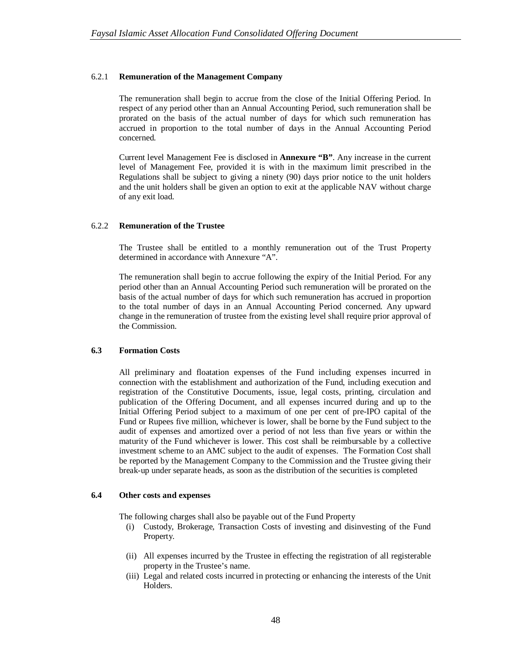### 6.2.1 **Remuneration of the Management Company**

The remuneration shall begin to accrue from the close of the Initial Offering Period. In respect of any period other than an Annual Accounting Period, such remuneration shall be prorated on the basis of the actual number of days for which such remuneration has accrued in proportion to the total number of days in the Annual Accounting Period concerned.

Current level Management Fee is disclosed in **Annexure "B"**. Any increase in the current level of Management Fee, provided it is with in the maximum limit prescribed in the Regulations shall be subject to giving a ninety (90) days prior notice to the unit holders and the unit holders shall be given an option to exit at the applicable NAV without charge of any exit load.

### 6.2.2 **Remuneration of the Trustee**

The Trustee shall be entitled to a monthly remuneration out of the Trust Property determined in accordance with Annexure "A".

The remuneration shall begin to accrue following the expiry of the Initial Period. For any period other than an Annual Accounting Period such remuneration will be prorated on the basis of the actual number of days for which such remuneration has accrued in proportion to the total number of days in an Annual Accounting Period concerned. Any upward change in the remuneration of trustee from the existing level shall require prior approval of the Commission.

### **6.3 Formation Costs**

All preliminary and floatation expenses of the Fund including expenses incurred in connection with the establishment and authorization of the Fund, including execution and registration of the Constitutive Documents, issue, legal costs, printing, circulation and publication of the Offering Document, and all expenses incurred during and up to the Initial Offering Period subject to a maximum of one per cent of pre-IPO capital of the Fund or Rupees five million, whichever is lower, shall be borne by the Fund subject to the audit of expenses and amortized over a period of not less than five years or within the maturity of the Fund whichever is lower. This cost shall be reimbursable by a collective investment scheme to an AMC subject to the audit of expenses. The Formation Cost shall be reported by the Management Company to the Commission and the Trustee giving their break-up under separate heads, as soon as the distribution of the securities is completed

### **6.4 Other costs and expenses**

The following charges shall also be payable out of the Fund Property

- (i) Custody, Brokerage, Transaction Costs of investing and disinvesting of the Fund Property.
- (ii) All expenses incurred by the Trustee in effecting the registration of all registerable property in the Trustee's name.
- (iii) Legal and related costs incurred in protecting or enhancing the interests of the Unit Holders.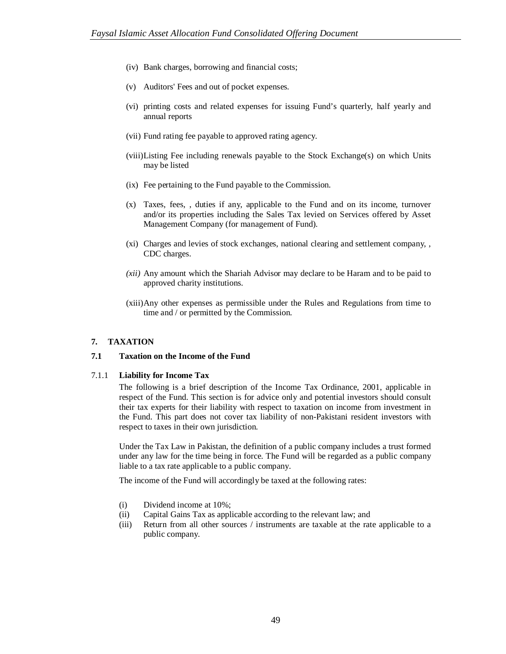- (iv) Bank charges, borrowing and financial costs;
- (v) Auditors' Fees and out of pocket expenses.
- (vi) printing costs and related expenses for issuing Fund's quarterly, half yearly and annual reports
- (vii) Fund rating fee payable to approved rating agency.
- (viii)Listing Fee including renewals payable to the Stock Exchange(s) on which Units may be listed
- (ix) Fee pertaining to the Fund payable to the Commission.
- (x) Taxes, fees, , duties if any, applicable to the Fund and on its income, turnover and/or its properties including the Sales Tax levied on Services offered by Asset Management Company (for management of Fund).
- (xi) Charges and levies of stock exchanges, national clearing and settlement company, , CDC charges.
- *(xii)* Any amount which the Shariah Advisor may declare to be Haram and to be paid to approved charity institutions.
- (xiii)Any other expenses as permissible under the Rules and Regulations from time to time and / or permitted by the Commission.

### **7. TAXATION**

### **7.1 Taxation on the Income of the Fund**

#### 7.1.1 **Liability for Income Tax**

The following is a brief description of the Income Tax Ordinance, 2001, applicable in respect of the Fund. This section is for advice only and potential investors should consult their tax experts for their liability with respect to taxation on income from investment in the Fund. This part does not cover tax liability of non-Pakistani resident investors with respect to taxes in their own jurisdiction.

Under the Tax Law in Pakistan, the definition of a public company includes a trust formed under any law for the time being in force. The Fund will be regarded as a public company liable to a tax rate applicable to a public company.

The income of the Fund will accordingly be taxed at the following rates:

- (i) Dividend income at 10%;
- (ii) Capital Gains Tax as applicable according to the relevant law; and
- (iii) Return from all other sources / instruments are taxable at the rate applicable to a public company.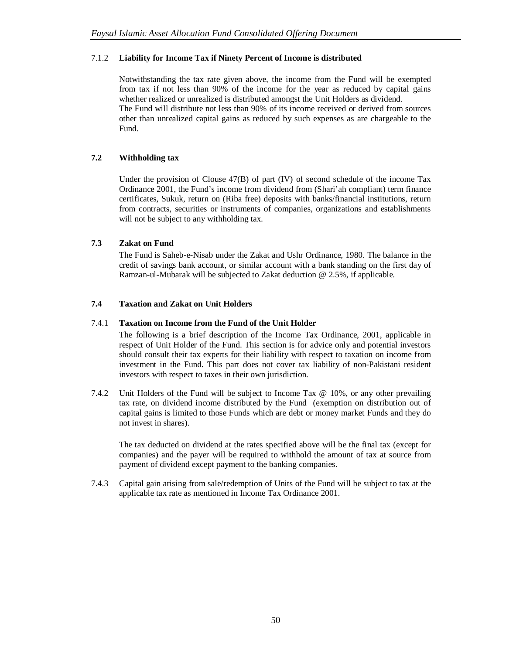# 7.1.2 **Liability for Income Tax if Ninety Percent of Income is distributed**

Notwithstanding the tax rate given above, the income from the Fund will be exempted from tax if not less than 90% of the income for the year as reduced by capital gains whether realized or unrealized is distributed amongst the Unit Holders as dividend. The Fund will distribute not less than 90% of its income received or derived from sources other than unrealized capital gains as reduced by such expenses as are chargeable to the Fund.

# **7.2 Withholding tax**

Under the provision of Clouse  $47(B)$  of part (IV) of second schedule of the income Tax Ordinance 2001, the Fund's income from dividend from (Shari'ah compliant) term finance certificates, Sukuk, return on (Riba free) deposits with banks/financial institutions, return from contracts, securities or instruments of companies, organizations and establishments will not be subject to any withholding tax.

# **7.3 Zakat on Fund**

The Fund is Saheb-e-Nisab under the Zakat and Ushr Ordinance, 1980. The balance in the credit of savings bank account, or similar account with a bank standing on the first day of Ramzan-ul-Mubarak will be subjected to Zakat deduction @ 2.5%, if applicable.

# **7.4 Taxation and Zakat on Unit Holders**

# 7.4.1 **Taxation on Income from the Fund of the Unit Holder**

The following is a brief description of the Income Tax Ordinance, 2001, applicable in respect of Unit Holder of the Fund. This section is for advice only and potential investors should consult their tax experts for their liability with respect to taxation on income from investment in the Fund. This part does not cover tax liability of non-Pakistani resident investors with respect to taxes in their own jurisdiction.

7.4.2 Unit Holders of the Fund will be subject to Income Tax @ 10%, or any other prevailing tax rate, on dividend income distributed by the Fund (exemption on distribution out of capital gains is limited to those Funds which are debt or money market Funds and they do not invest in shares).

The tax deducted on dividend at the rates specified above will be the final tax (except for companies) and the payer will be required to withhold the amount of tax at source from payment of dividend except payment to the banking companies.

7.4.3 Capital gain arising from sale/redemption of Units of the Fund will be subject to tax at the applicable tax rate as mentioned in Income Tax Ordinance 2001.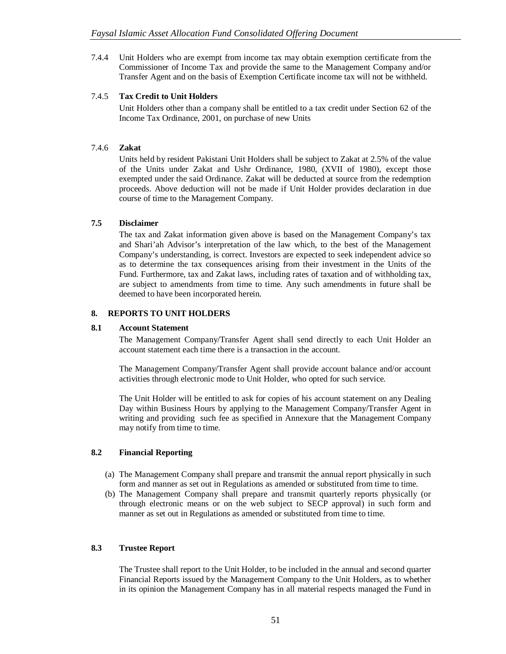7.4.4 Unit Holders who are exempt from income tax may obtain exemption certificate from the Commissioner of Income Tax and provide the same to the Management Company and/or Transfer Agent and on the basis of Exemption Certificate income tax will not be withheld.

# 7.4.5 **Tax Credit to Unit Holders**

Unit Holders other than a company shall be entitled to a tax credit under Section 62 of the Income Tax Ordinance, 2001, on purchase of new Units

# 7.4.6 **Zakat**

Units held by resident Pakistani Unit Holders shall be subject to Zakat at 2.5% of the value of the Units under Zakat and Ushr Ordinance, 1980, (XVII of 1980), except those exempted under the said Ordinance. Zakat will be deducted at source from the redemption proceeds. Above deduction will not be made if Unit Holder provides declaration in due course of time to the Management Company.

# **7.5 Disclaimer**

The tax and Zakat information given above is based on the Management Company's tax and Shari'ah Advisor's interpretation of the law which, to the best of the Management Company's understanding, is correct. Investors are expected to seek independent advice so as to determine the tax consequences arising from their investment in the Units of the Fund. Furthermore, tax and Zakat laws, including rates of taxation and of withholding tax, are subject to amendments from time to time. Any such amendments in future shall be deemed to have been incorporated herein.

# **8. REPORTS TO UNIT HOLDERS**

### **8.1 Account Statement**

The Management Company/Transfer Agent shall send directly to each Unit Holder an account statement each time there is a transaction in the account.

The Management Company/Transfer Agent shall provide account balance and/or account activities through electronic mode to Unit Holder, who opted for such service.

The Unit Holder will be entitled to ask for copies of his account statement on any Dealing Day within Business Hours by applying to the Management Company/Transfer Agent in writing and providing such fee as specified in Annexure that the Management Company may notify from time to time.

### **8.2 Financial Reporting**

- (a) The Management Company shall prepare and transmit the annual report physically in such form and manner as set out in Regulations as amended or substituted from time to time.
- (b) The Management Company shall prepare and transmit quarterly reports physically (or through electronic means or on the web subject to SECP approval) in such form and manner as set out in Regulations as amended or substituted from time to time.

### **8.3 Trustee Report**

The Trustee shall report to the Unit Holder, to be included in the annual and second quarter Financial Reports issued by the Management Company to the Unit Holders, as to whether in its opinion the Management Company has in all material respects managed the Fund in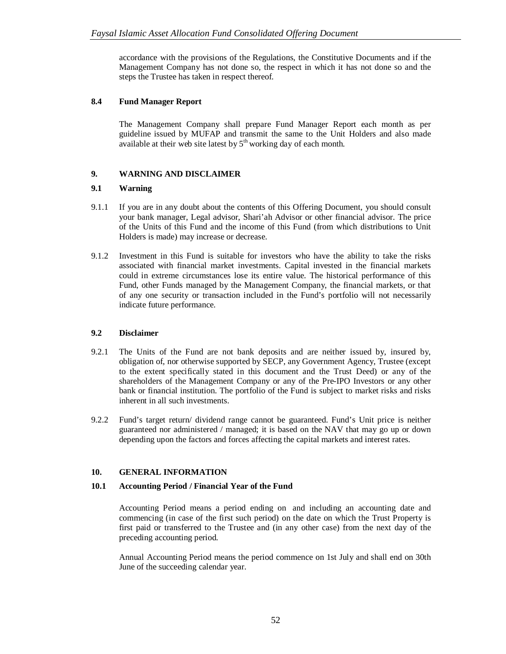accordance with the provisions of the Regulations, the Constitutive Documents and if the Management Company has not done so, the respect in which it has not done so and the steps the Trustee has taken in respect thereof.

# **8.4 Fund Manager Report**

The Management Company shall prepare Fund Manager Report each month as per guideline issued by MUFAP and transmit the same to the Unit Holders and also made available at their web site latest by  $5<sup>th</sup>$  working day of each month.

# **9. WARNING AND DISCLAIMER**

# **9.1 Warning**

- 9.1.1 If you are in any doubt about the contents of this Offering Document, you should consult your bank manager, Legal advisor, Shari'ah Advisor or other financial advisor. The price of the Units of this Fund and the income of this Fund (from which distributions to Unit Holders is made) may increase or decrease.
- 9.1.2 Investment in this Fund is suitable for investors who have the ability to take the risks associated with financial market investments. Capital invested in the financial markets could in extreme circumstances lose its entire value. The historical performance of this Fund, other Funds managed by the Management Company, the financial markets, or that of any one security or transaction included in the Fund's portfolio will not necessarily indicate future performance.

### **9.2 Disclaimer**

- 9.2.1 The Units of the Fund are not bank deposits and are neither issued by, insured by, obligation of, nor otherwise supported by SECP, any Government Agency, Trustee (except to the extent specifically stated in this document and the Trust Deed) or any of the shareholders of the Management Company or any of the Pre-IPO Investors or any other bank or financial institution. The portfolio of the Fund is subject to market risks and risks inherent in all such investments.
- 9.2.2 Fund's target return/ dividend range cannot be guaranteed. Fund's Unit price is neither guaranteed nor administered / managed; it is based on the NAV that may go up or down depending upon the factors and forces affecting the capital markets and interest rates.

# **10. GENERAL INFORMATION**

### **10.1 Accounting Period / Financial Year of the Fund**

Accounting Period means a period ending on and including an accounting date and commencing (in case of the first such period) on the date on which the Trust Property is first paid or transferred to the Trustee and (in any other case) from the next day of the preceding accounting period.

Annual Accounting Period means the period commence on 1st July and shall end on 30th June of the succeeding calendar year.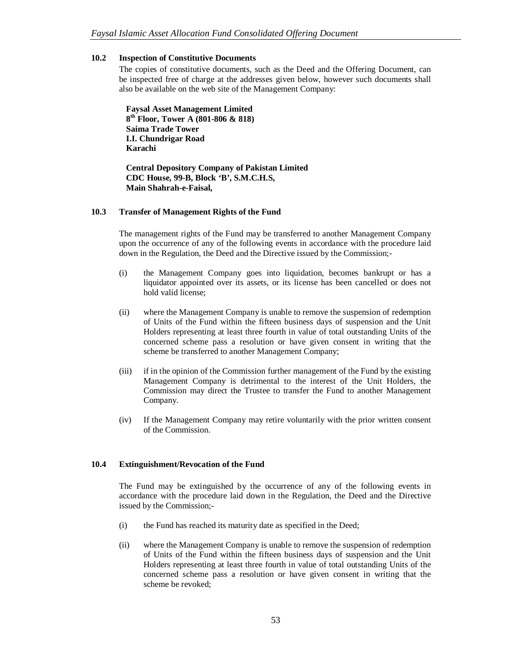### **10.2 Inspection of Constitutive Documents**

The copies of constitutive documents, such as the Deed and the Offering Document, can be inspected free of charge at the addresses given below, however such documents shall also be available on the web site of the Management Company:

**Faysal Asset Management Limited 8 th Floor, Tower A (801-806 & 818) Saima Trade Tower I.I. Chundrigar Road Karachi** 

**Central Depository Company of Pakistan Limited CDC House, 99-B, Block 'B', S.M.C.H.S, Main Shahrah-e-Faisal,**

### **10.3 Transfer of Management Rights of the Fund**

The management rights of the Fund may be transferred to another Management Company upon the occurrence of any of the following events in accordance with the procedure laid down in the Regulation, the Deed and the Directive issued by the Commission;-

- (i) the Management Company goes into liquidation, becomes bankrupt or has a liquidator appointed over its assets, or its license has been cancelled or does not hold valid license;
- (ii) where the Management Company is unable to remove the suspension of redemption of Units of the Fund within the fifteen business days of suspension and the Unit Holders representing at least three fourth in value of total outstanding Units of the concerned scheme pass a resolution or have given consent in writing that the scheme be transferred to another Management Company;
- (iii) if in the opinion of the Commission further management of the Fund by the existing Management Company is detrimental to the interest of the Unit Holders, the Commission may direct the Trustee to transfer the Fund to another Management Company.
- (iv) If the Management Company may retire voluntarily with the prior written consent of the Commission.

# **10.4 Extinguishment/Revocation of the Fund**

The Fund may be extinguished by the occurrence of any of the following events in accordance with the procedure laid down in the Regulation, the Deed and the Directive issued by the Commission;-

- (i) the Fund has reached its maturity date as specified in the Deed;
- (ii) where the Management Company is unable to remove the suspension of redemption of Units of the Fund within the fifteen business days of suspension and the Unit Holders representing at least three fourth in value of total outstanding Units of the concerned scheme pass a resolution or have given consent in writing that the scheme be revoked;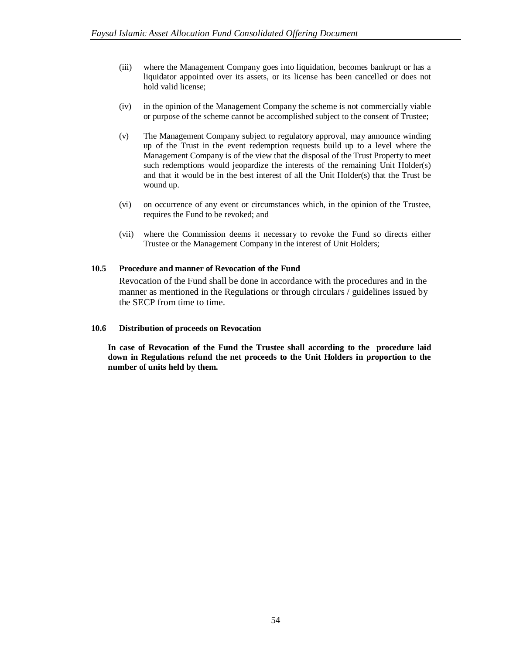- (iii) where the Management Company goes into liquidation, becomes bankrupt or has a liquidator appointed over its assets, or its license has been cancelled or does not hold valid license;
- (iv) in the opinion of the Management Company the scheme is not commercially viable or purpose of the scheme cannot be accomplished subject to the consent of Trustee;
- (v) The Management Company subject to regulatory approval, may announce winding up of the Trust in the event redemption requests build up to a level where the Management Company is of the view that the disposal of the Trust Property to meet such redemptions would jeopardize the interests of the remaining Unit Holder(s) and that it would be in the best interest of all the Unit Holder(s) that the Trust be wound up.
- (vi) on occurrence of any event or circumstances which, in the opinion of the Trustee, requires the Fund to be revoked; and
- (vii) where the Commission deems it necessary to revoke the Fund so directs either Trustee or the Management Company in the interest of Unit Holders;

### **10.5 Procedure and manner of Revocation of the Fund**

Revocation of the Fund shall be done in accordance with the procedures and in the manner as mentioned in the Regulations or through circulars / guidelines issued by the SECP from time to time.

### **10.6 Distribution of proceeds on Revocation**

**In case of Revocation of the Fund the Trustee shall according to the procedure laid down in Regulations refund the net proceeds to the Unit Holders in proportion to the number of units held by them.**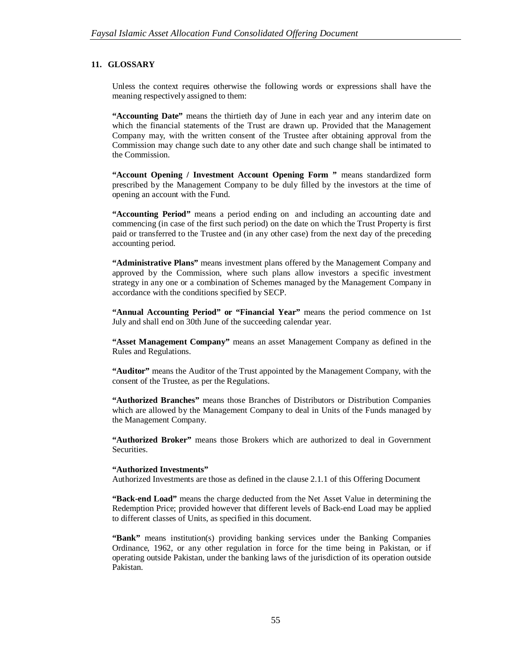# **11. GLOSSARY**

Unless the context requires otherwise the following words or expressions shall have the meaning respectively assigned to them:

**"Accounting Date"** means the thirtieth day of June in each year and any interim date on which the financial statements of the Trust are drawn up. Provided that the Management Company may, with the written consent of the Trustee after obtaining approval from the Commission may change such date to any other date and such change shall be intimated to the Commission.

**"Account Opening / Investment Account Opening Form "** means standardized form prescribed by the Management Company to be duly filled by the investors at the time of opening an account with the Fund.

**"Accounting Period"** means a period ending on and including an accounting date and commencing (in case of the first such period) on the date on which the Trust Property is first paid or transferred to the Trustee and (in any other case) from the next day of the preceding accounting period.

**"Administrative Plans"** means investment plans offered by the Management Company and approved by the Commission, where such plans allow investors a specific investment strategy in any one or a combination of Schemes managed by the Management Company in accordance with the conditions specified by SECP.

**"Annual Accounting Period" or "Financial Year"** means the period commence on 1st July and shall end on 30th June of the succeeding calendar year.

**"Asset Management Company"** means an asset Management Company as defined in the Rules and Regulations.

**"Auditor"** means the Auditor of the Trust appointed by the Management Company, with the consent of the Trustee, as per the Regulations.

**"Authorized Branches"** means those Branches of Distributors or Distribution Companies which are allowed by the Management Company to deal in Units of the Funds managed by the Management Company.

**"Authorized Broker"** means those Brokers which are authorized to deal in Government Securities.

#### **"Authorized Investments"**

Authorized Investments are those as defined in the clause 2.1.1 of this Offering Document

**"Back-end Load"** means the charge deducted from the Net Asset Value in determining the Redemption Price; provided however that different levels of Back-end Load may be applied to different classes of Units, as specified in this document.

**"Bank"** means institution(s) providing banking services under the Banking Companies Ordinance, 1962, or any other regulation in force for the time being in Pakistan, or if operating outside Pakistan, under the banking laws of the jurisdiction of its operation outside Pakistan.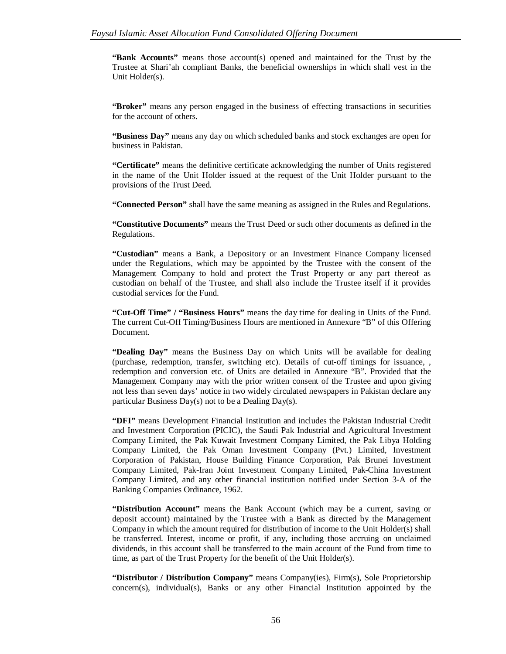**"Bank Accounts"** means those account(s) opened and maintained for the Trust by the Trustee at Shari'ah compliant Banks, the beneficial ownerships in which shall vest in the Unit Holder(s).

**"Broker"** means any person engaged in the business of effecting transactions in securities for the account of others.

**"Business Day"** means any day on which scheduled banks and stock exchanges are open for business in Pakistan.

**"Certificate"** means the definitive certificate acknowledging the number of Units registered in the name of the Unit Holder issued at the request of the Unit Holder pursuant to the provisions of the Trust Deed.

**"Connected Person"** shall have the same meaning as assigned in the Rules and Regulations.

**"Constitutive Documents"** means the Trust Deed or such other documents as defined in the Regulations.

**"Custodian"** means a Bank, a Depository or an Investment Finance Company licensed under the Regulations, which may be appointed by the Trustee with the consent of the Management Company to hold and protect the Trust Property or any part thereof as custodian on behalf of the Trustee, and shall also include the Trustee itself if it provides custodial services for the Fund.

**"Cut-Off Time" / "Business Hours"** means the day time for dealing in Units of the Fund. The current Cut-Off Timing/Business Hours are mentioned in Annexure "B" of this Offering Document.

**"Dealing Day"** means the Business Day on which Units will be available for dealing (purchase, redemption, transfer, switching etc). Details of cut-off timings for issuance, , redemption and conversion etc. of Units are detailed in Annexure "B". Provided that the Management Company may with the prior written consent of the Trustee and upon giving not less than seven days' notice in two widely circulated newspapers in Pakistan declare any particular Business Day(s) not to be a Dealing Day(s).

**"DFI"** means Development Financial Institution and includes the Pakistan Industrial Credit and Investment Corporation (PICIC), the Saudi Pak Industrial and Agricultural Investment Company Limited, the Pak Kuwait Investment Company Limited, the Pak Libya Holding Company Limited, the Pak Oman Investment Company (Pvt.) Limited, Investment Corporation of Pakistan, House Building Finance Corporation, Pak Brunei Investment Company Limited, Pak-Iran Joint Investment Company Limited, Pak-China Investment Company Limited, and any other financial institution notified under Section 3-A of the Banking Companies Ordinance, 1962.

**"Distribution Account"** means the Bank Account (which may be a current, saving or deposit account) maintained by the Trustee with a Bank as directed by the Management Company in which the amount required for distribution of income to the Unit Holder(s) shall be transferred. Interest, income or profit, if any, including those accruing on unclaimed dividends, in this account shall be transferred to the main account of the Fund from time to time, as part of the Trust Property for the benefit of the Unit Holder(s).

**"Distributor / Distribution Company"** means Company(ies), Firm(s), Sole Proprietorship concern(s), individual(s), Banks or any other Financial Institution appointed by the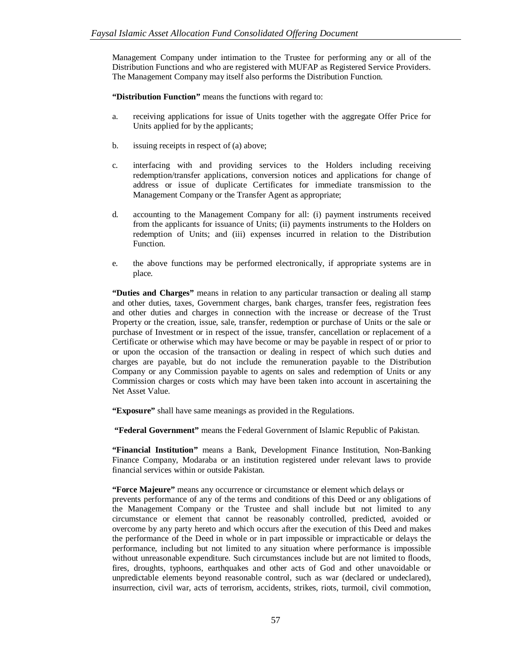Management Company under intimation to the Trustee for performing any or all of the Distribution Functions and who are registered with MUFAP as Registered Service Providers. The Management Company may itself also performs the Distribution Function.

**"Distribution Function"** means the functions with regard to:

- a. receiving applications for issue of Units together with the aggregate Offer Price for Units applied for by the applicants;
- b. issuing receipts in respect of (a) above;
- c. interfacing with and providing services to the Holders including receiving redemption/transfer applications, conversion notices and applications for change of address or issue of duplicate Certificates for immediate transmission to the Management Company or the Transfer Agent as appropriate;
- d. accounting to the Management Company for all: (i) payment instruments received from the applicants for issuance of Units; (ii) payments instruments to the Holders on redemption of Units; and (iii) expenses incurred in relation to the Distribution Function.
- e. the above functions may be performed electronically, if appropriate systems are in place.

**"Duties and Charges"** means in relation to any particular transaction or dealing all stamp and other duties, taxes, Government charges, bank charges, transfer fees, registration fees and other duties and charges in connection with the increase or decrease of the Trust Property or the creation, issue, sale, transfer, redemption or purchase of Units or the sale or purchase of Investment or in respect of the issue, transfer, cancellation or replacement of a Certificate or otherwise which may have become or may be payable in respect of or prior to or upon the occasion of the transaction or dealing in respect of which such duties and charges are payable, but do not include the remuneration payable to the Distribution Company or any Commission payable to agents on sales and redemption of Units or any Commission charges or costs which may have been taken into account in ascertaining the Net Asset Value.

**"Exposure"** shall have same meanings as provided in the Regulations.

**"Federal Government"** means the Federal Government of Islamic Republic of Pakistan.

**"Financial Institution"** means a Bank, Development Finance Institution, Non-Banking Finance Company, Modaraba or an institution registered under relevant laws to provide financial services within or outside Pakistan.

**"Force Majeure"** means any occurrence or circumstance or element which delays or

prevents performance of any of the terms and conditions of this Deed or any obligations of the Management Company or the Trustee and shall include but not limited to any circumstance or element that cannot be reasonably controlled, predicted, avoided or overcome by any party hereto and which occurs after the execution of this Deed and makes the performance of the Deed in whole or in part impossible or impracticable or delays the performance, including but not limited to any situation where performance is impossible without unreasonable expenditure. Such circumstances include but are not limited to floods, fires, droughts, typhoons, earthquakes and other acts of God and other unavoidable or unpredictable elements beyond reasonable control, such as war (declared or undeclared), insurrection, civil war, acts of terrorism, accidents, strikes, riots, turmoil, civil commotion,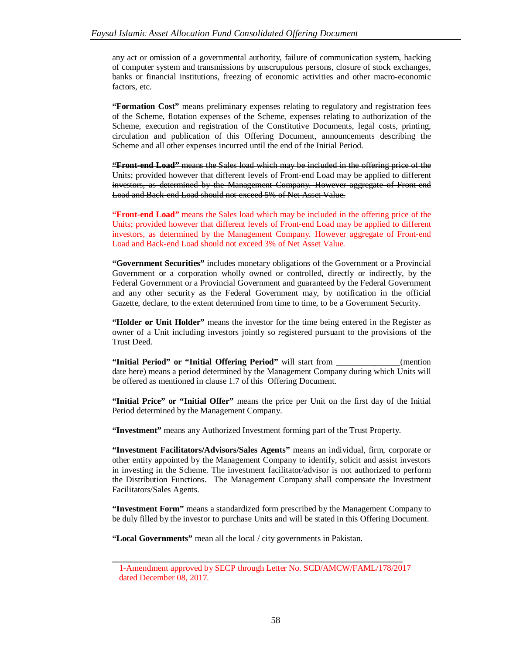any act or omission of a governmental authority, failure of communication system, hacking of computer system and transmissions by unscrupulous persons, closure of stock exchanges, banks or financial institutions, freezing of economic activities and other macro-economic factors, etc.

**"Formation Cost"** means preliminary expenses relating to regulatory and registration fees of the Scheme, flotation expenses of the Scheme, expenses relating to authorization of the Scheme, execution and registration of the Constitutive Documents, legal costs, printing, circulation and publication of this Offering Document, announcements describing the Scheme and all other expenses incurred until the end of the Initial Period.

**"Front-end Load"** means the Sales load which may be included in the offering price of the Units; provided however that different levels of Front-end Load may be applied to different investors, as determined by the Management Company. However aggregate of Front-end Load and Back-end Load should not exceed 5% of Net Asset Value.

**"Front-end Load"** means the Sales load which may be included in the offering price of the Units; provided however that different levels of Front-end Load may be applied to different investors, as determined by the Management Company. However aggregate of Front-end Load and Back-end Load should not exceed 3% of Net Asset Value.

**"Government Securities"** includes monetary obligations of the Government or a Provincial Government or a corporation wholly owned or controlled, directly or indirectly, by the Federal Government or a Provincial Government and guaranteed by the Federal Government and any other security as the Federal Government may, by notification in the official Gazette, declare, to the extent determined from time to time, to be a Government Security.

**"Holder or Unit Holder"** means the investor for the time being entered in the Register as owner of a Unit including investors jointly so registered pursuant to the provisions of the Trust Deed.

**"Initial Period" or "Initial Offering Period"** will start from \_\_\_\_\_\_\_\_\_\_\_\_\_\_\_(mention date here) means a period determined by the Management Company during which Units will be offered as mentioned in clause 1.7 of this Offering Document.

**"Initial Price" or "Initial Offer"** means the price per Unit on the first day of the Initial Period determined by the Management Company.

**"Investment"** means any Authorized Investment forming part of the Trust Property.

**"Investment Facilitators/Advisors/Sales Agents"** means an individual, firm, corporate or other entity appointed by the Management Company to identify, solicit and assist investors in investing in the Scheme. The investment facilitator/advisor is not authorized to perform the Distribution Functions. The Management Company shall compensate the Investment Facilitators/Sales Agents.

**"Investment Form"** means a standardized form prescribed by the Management Company to be duly filled by the investor to purchase Units and will be stated in this Offering Document.

**"Local Governments"** mean all the local / city governments in Pakistan.

**\_\_\_\_\_\_\_\_\_\_\_\_\_\_\_\_\_\_\_\_\_\_\_\_\_\_\_\_\_\_\_\_\_\_\_\_\_\_\_\_\_\_\_\_\_\_\_\_\_\_\_\_\_\_\_\_\_\_\_\_\_\_\_\_\_\_\_\_**

<sup>1-</sup>Amendment approved by SECP through Letter No. SCD/AMCW/FAML/178/2017 dated December 08, 2017.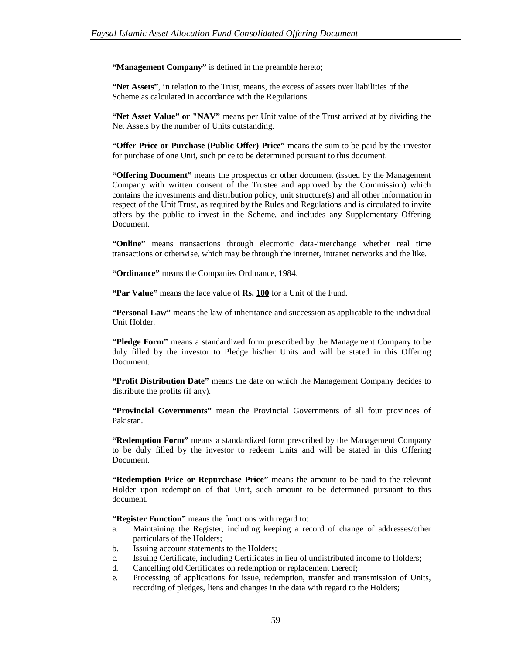"Management Company" is defined in the preamble hereto;

**"Net Assets"**, in relation to the Trust, means, the excess of assets over liabilities of the Scheme as calculated in accordance with the Regulations.

**"Net Asset Value" or "NAV"** means per Unit value of the Trust arrived at by dividing the Net Assets by the number of Units outstanding.

**"Offer Price or Purchase (Public Offer) Price"** means the sum to be paid by the investor for purchase of one Unit, such price to be determined pursuant to this document.

**"Offering Document"** means the prospectus or other document (issued by the Management Company with written consent of the Trustee and approved by the Commission) which contains the investments and distribution policy, unit structure(s) and all other information in respect of the Unit Trust, as required by the Rules and Regulations and is circulated to invite offers by the public to invest in the Scheme, and includes any Supplementary Offering Document.

**"Online"** means transactions through electronic data-interchange whether real time transactions or otherwise, which may be through the internet, intranet networks and the like.

**"Ordinance"** means the Companies Ordinance, 1984.

**"Par Value"** means the face value of **Rs. 100** for a Unit of the Fund.

**"Personal Law"** means the law of inheritance and succession as applicable to the individual Unit Holder.

**"Pledge Form"** means a standardized form prescribed by the Management Company to be duly filled by the investor to Pledge his/her Units and will be stated in this Offering Document.

**"Profit Distribution Date"** means the date on which the Management Company decides to distribute the profits (if any).

**"Provincial Governments"** mean the Provincial Governments of all four provinces of Pakistan.

**"Redemption Form"** means a standardized form prescribed by the Management Company to be duly filled by the investor to redeem Units and will be stated in this Offering Document.

**"Redemption Price or Repurchase Price"** means the amount to be paid to the relevant Holder upon redemption of that Unit, such amount to be determined pursuant to this document.

**"Register Function"** means the functions with regard to:

- a. Maintaining the Register, including keeping a record of change of addresses/other particulars of the Holders;
- b. Issuing account statements to the Holders;
- c. Issuing Certificate, including Certificates in lieu of undistributed income to Holders;
- d. Cancelling old Certificates on redemption or replacement thereof;
- e. Processing of applications for issue, redemption, transfer and transmission of Units, recording of pledges, liens and changes in the data with regard to the Holders;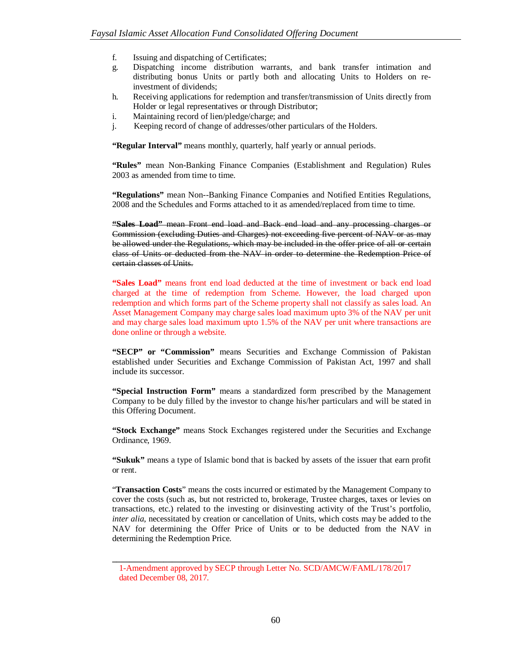- f. Issuing and dispatching of Certificates;
- g. Dispatching income distribution warrants, and bank transfer intimation and distributing bonus Units or partly both and allocating Units to Holders on reinvestment of dividends;
- h. Receiving applications for redemption and transfer/transmission of Units directly from Holder or legal representatives or through Distributor;
- i. Maintaining record of lien/pledge/charge; and
- j. Keeping record of change of addresses/other particulars of the Holders.

"Regular Interval" means monthly, quarterly, half yearly or annual periods.

**"Rules"** mean Non-Banking Finance Companies (Establishment and Regulation) Rules 2003 as amended from time to time.

**"Regulations"** mean Non--Banking Finance Companies and Notified Entities Regulations, 2008 and the Schedules and Forms attached to it as amended/replaced from time to time.

**"Sales Load"** mean Front end load and Back end load and any processing charges or Commission (excluding Duties and Charges) not exceeding five percent of NAV or as may be allowed under the Regulations, which may be included in the offer price of all or certain class of Units or deducted from the NAV in order to determine the Redemption Price of certain classes of Units.

**"Sales Load"** means front end load deducted at the time of investment or back end load charged at the time of redemption from Scheme. However, the load charged upon redemption and which forms part of the Scheme property shall not classify as sales load. An Asset Management Company may charge sales load maximum upto 3% of the NAV per unit and may charge sales load maximum upto 1.5% of the NAV per unit where transactions are done online or through a website.

**"SECP" or "Commission"** means Securities and Exchange Commission of Pakistan established under Securities and Exchange Commission of Pakistan Act, 1997 and shall include its successor.

**"Special Instruction Form"** means a standardized form prescribed by the Management Company to be duly filled by the investor to change his/her particulars and will be stated in this Offering Document.

**"Stock Exchange"** means Stock Exchanges registered under the Securities and Exchange Ordinance, 1969.

**"Sukuk"** means a type of Islamic bond that is backed by assets of the issuer that earn profit or rent.

"**Transaction Costs**" means the costs incurred or estimated by the Management Company to cover the costs (such as, but not restricted to, brokerage, Trustee charges, taxes or levies on transactions, etc.) related to the investing or disinvesting activity of the Trust's portfolio, *inter alia*, necessitated by creation or cancellation of Units, which costs may be added to the NAV for determining the Offer Price of Units or to be deducted from the NAV in determining the Redemption Price.

**\_\_\_\_\_\_\_\_\_\_\_\_\_\_\_\_\_\_\_\_\_\_\_\_\_\_\_\_\_\_\_\_\_\_\_\_\_\_\_\_\_\_\_\_\_\_\_\_\_\_\_\_\_\_\_\_\_\_\_\_\_\_\_\_\_\_\_\_**

<sup>1-</sup>Amendment approved by SECP through Letter No. SCD/AMCW/FAML/178/2017 dated December 08, 2017.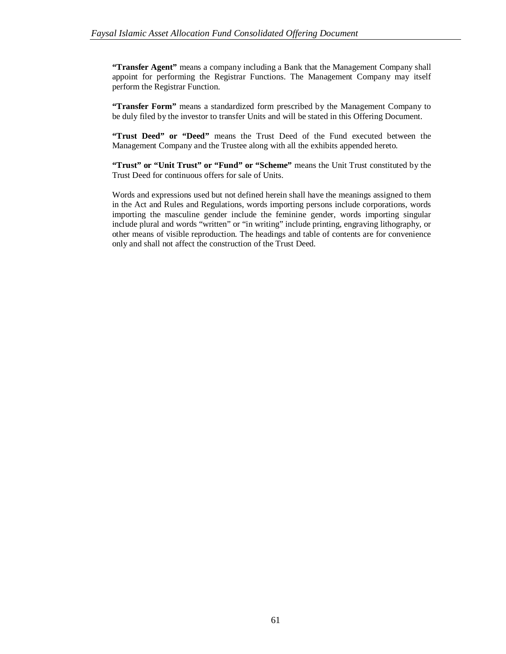**"Transfer Agent"** means a company including a Bank that the Management Company shall appoint for performing the Registrar Functions. The Management Company may itself perform the Registrar Function.

**"Transfer Form"** means a standardized form prescribed by the Management Company to be duly filed by the investor to transfer Units and will be stated in this Offering Document.

**"Trust Deed" or "Deed"** means the Trust Deed of the Fund executed between the Management Company and the Trustee along with all the exhibits appended hereto.

**"Trust" or "Unit Trust" or "Fund" or "Scheme"** means the Unit Trust constituted by the Trust Deed for continuous offers for sale of Units.

Words and expressions used but not defined herein shall have the meanings assigned to them in the Act and Rules and Regulations, words importing persons include corporations, words importing the masculine gender include the feminine gender, words importing singular include plural and words "written" or "in writing" include printing, engraving lithography, or other means of visible reproduction. The headings and table of contents are for convenience only and shall not affect the construction of the Trust Deed.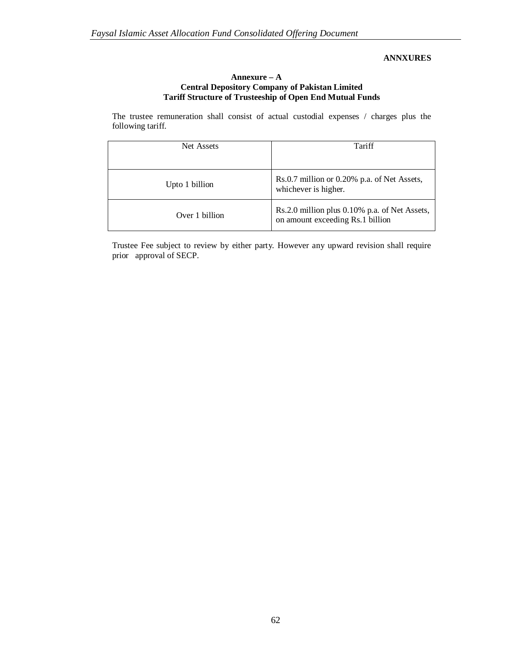# **ANNXURES**

### **Annexure – A Central Depository Company of Pakistan Limited Tariff Structure of Trusteeship of Open End Mutual Funds**

The trustee remuneration shall consist of actual custodial expenses / charges plus the following tariff.

| Net Assets     | Tariff                                                                            |  |
|----------------|-----------------------------------------------------------------------------------|--|
|                |                                                                                   |  |
| Upto 1 billion | Rs.0.7 million or 0.20% p.a. of Net Assets,<br>whichever is higher.               |  |
| Over 1 billion | Rs.2.0 million plus 0.10% p.a. of Net Assets,<br>on amount exceeding Rs.1 billion |  |

Trustee Fee subject to review by either party. However any upward revision shall require prior approval of SECP.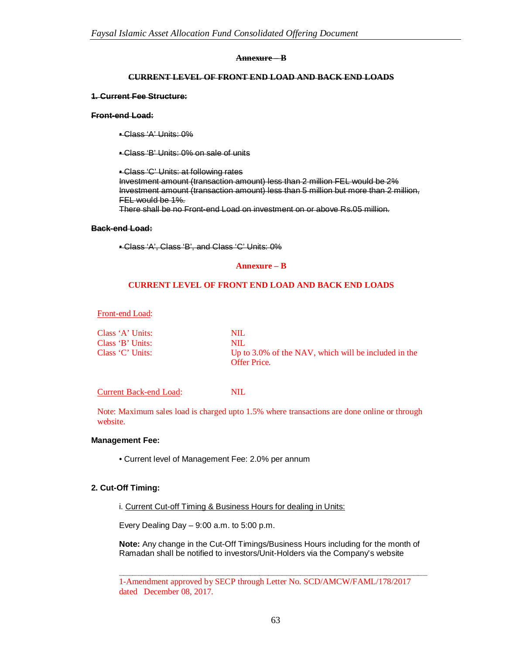#### **Annexure – B**

### **CURRENT LEVEL OF FRONT END LOAD AND BACK END LOADS**

#### **1. Current Fee Structure:**

#### **Front-end Load:**

- Class 'A' Units: 0%
- Class 'B' Units: 0% on sale of units

• Class 'C' Units: at following rates Investment amount (transaction amount) less than 2 million FEL would be 2% Investment amount (transaction amount) less than 5 million but more than 2 million, FEL would be 1%.

There shall be no Front-end Load on investment on or above Rs.05 million.

#### **Back-end Load:**

• Class 'A', Class 'B', and Class 'C' Units: 0%

#### **Annexure – B**

### **CURRENT LEVEL OF FRONT END LOAD AND BACK END LOADS**

Front-end Load:

| Class 'A' Units: | NIL.                                                 |
|------------------|------------------------------------------------------|
| Class 'B' Units: | NIL.                                                 |
| Class 'C' Units: | Up to 3.0% of the NAV, which will be included in the |
|                  | <b>Offer Price.</b>                                  |

### Current Back-end Load: NIL

Note: Maximum sales load is charged upto 1.5% where transactions are done online or through website.

### **Management Fee:**

• Current level of Management Fee: 2.0% per annum

### **2. Cut-Off Timing:**

i. Current Cut-off Timing & Business Hours for dealing in Units:

Every Dealing Day – 9:00 a.m. to 5:00 p.m.

**Note:** Any change in the Cut-Off Timings/Business Hours including for the month of Ramadan shall be notified to investors/Unit-Holders via the Company's website

**\_\_\_\_\_\_\_\_\_\_\_\_\_\_\_\_\_\_\_\_\_\_\_\_\_\_\_\_\_\_\_\_\_\_\_\_\_\_\_\_\_\_\_\_\_\_\_\_\_\_\_\_\_\_\_\_\_\_\_\_\_\_\_\_\_\_\_\_**

<sup>1-</sup>Amendment approved by SECP through Letter No. SCD/AMCW/FAML/178/2017 dated December 08, 2017.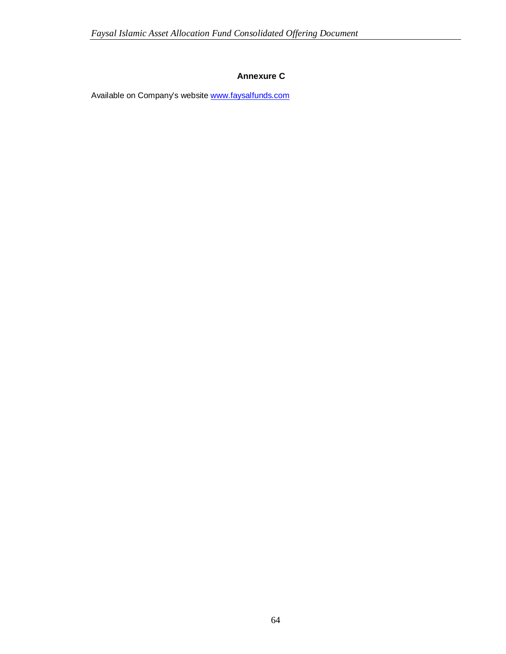# **Annexure C**

Available on Company's website www.faysalfunds.com